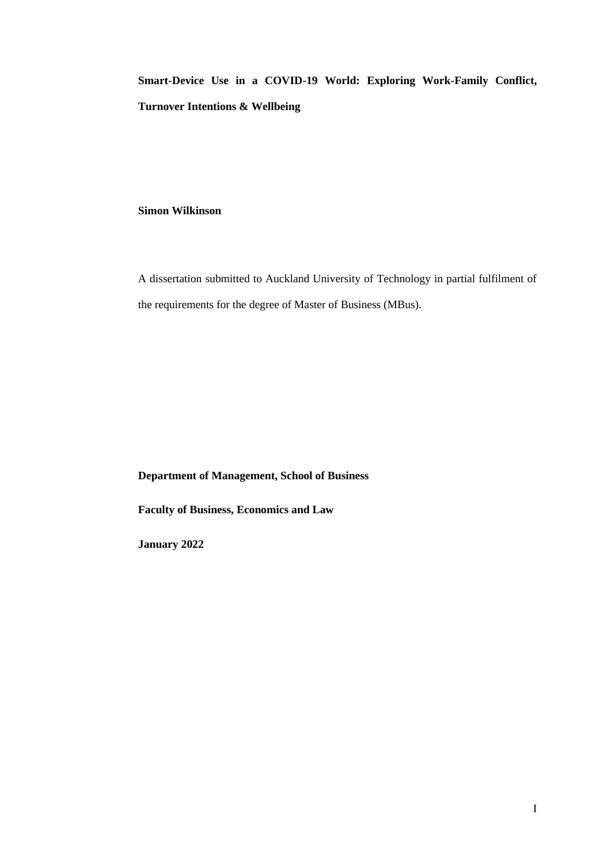**Smart-Device Use in a COVID-19 World: Exploring Work-Family Conflict, Turnover Intentions & Wellbeing**

# **Simon Wilkinson**

A dissertation submitted to Auckland University of Technology in partial fulfilment of the requirements for the degree of Master of Business (MBus).

**Department of Management, School of Business**

**Faculty of Business, Economics and Law**

**January 2022**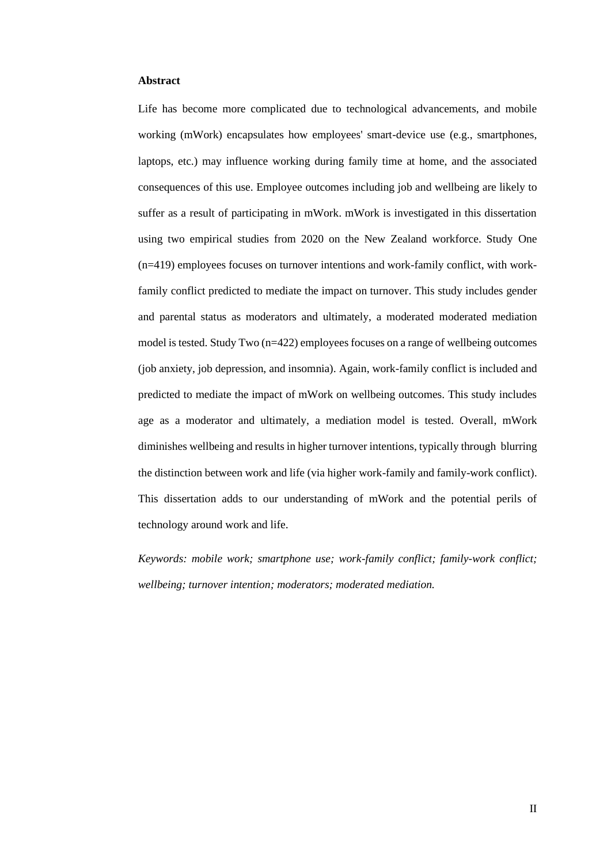#### <span id="page-1-0"></span>**Abstract**

Life has become more complicated due to technological advancements, and mobile working (mWork) encapsulates how employees' smart-device use (e.g., smartphones, laptops, etc.) may influence working during family time at home, and the associated consequences of this use. Employee outcomes including job and wellbeing are likely to suffer as a result of participating in mWork. mWork is investigated in this dissertation using two empirical studies from 2020 on the New Zealand workforce. Study One (n=419) employees focuses on turnover intentions and work-family conflict, with workfamily conflict predicted to mediate the impact on turnover. This study includes gender and parental status as moderators and ultimately, a moderated moderated mediation model is tested. Study Two (n=422) employees focuses on a range of wellbeing outcomes (job anxiety, job depression, and insomnia). Again, work-family conflict is included and predicted to mediate the impact of mWork on wellbeing outcomes. This study includes age as a moderator and ultimately, a mediation model is tested. Overall, mWork diminishes wellbeing and results in higher turnover intentions, typically through blurring the distinction between work and life (via higher work-family and family-work conflict). This dissertation adds to our understanding of mWork and the potential perils of technology around work and life.

*Keywords: mobile work; smartphone use; work-family conflict; family-work conflict; wellbeing; turnover intention; moderators; moderated mediation.*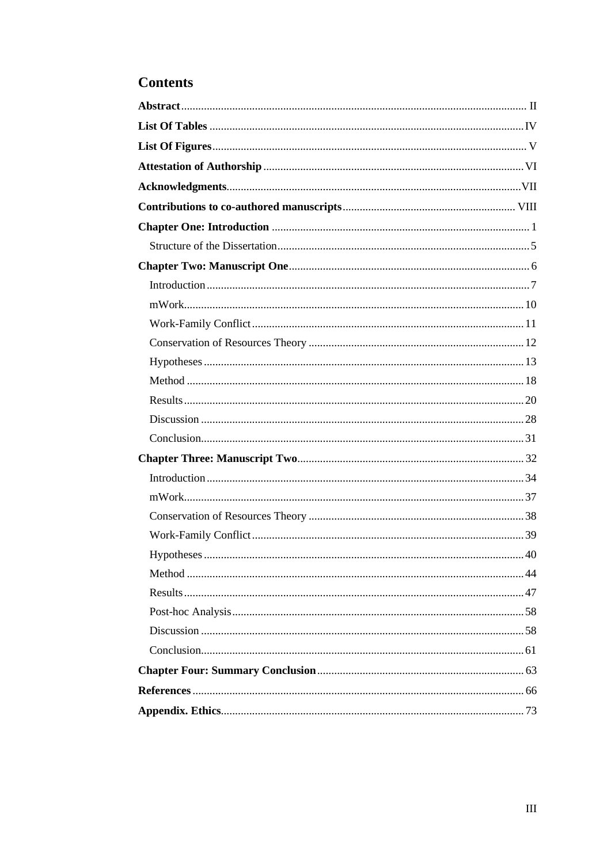# **Contents**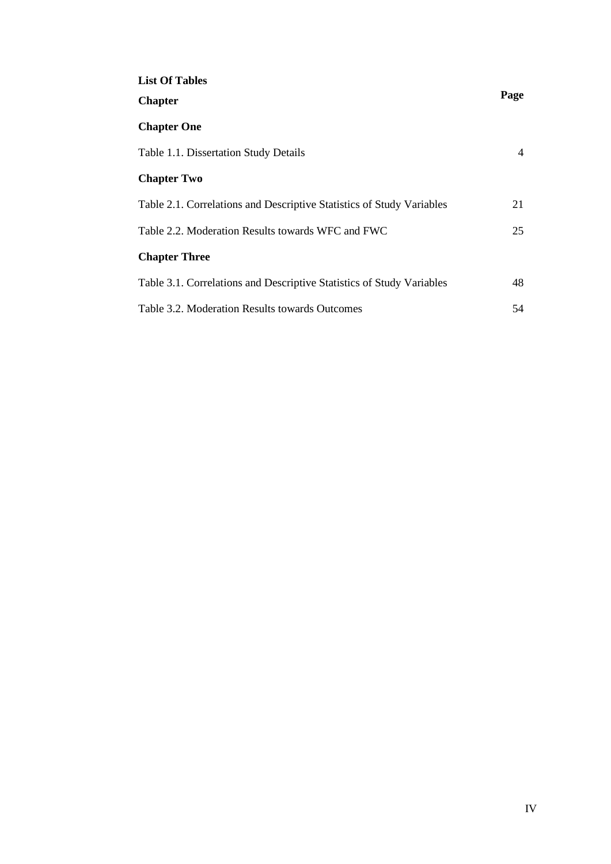<span id="page-3-0"></span>

| <b>List Of Tables</b>                                                 |      |
|-----------------------------------------------------------------------|------|
| <b>Chapter</b>                                                        | Page |
| <b>Chapter One</b>                                                    |      |
| Table 1.1. Dissertation Study Details                                 | 4    |
| <b>Chapter Two</b>                                                    |      |
| Table 2.1. Correlations and Descriptive Statistics of Study Variables | 21   |
| Table 2.2. Moderation Results towards WFC and FWC                     | 25   |
| <b>Chapter Three</b>                                                  |      |
| Table 3.1. Correlations and Descriptive Statistics of Study Variables | 48   |
| Table 3.2. Moderation Results towards Outcomes                        | 54   |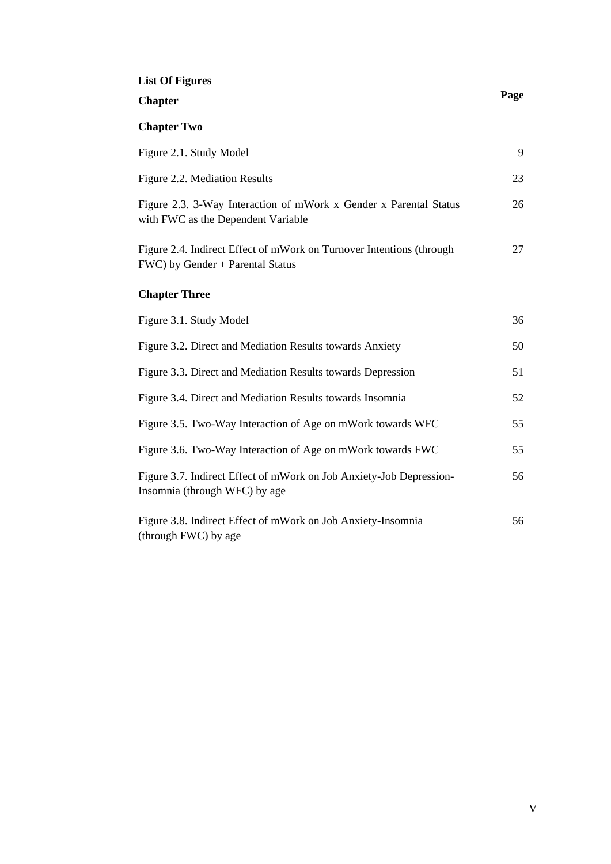# <span id="page-4-0"></span>**List Of Figures**

| <b>Chapter</b>                                                                                           | Page |
|----------------------------------------------------------------------------------------------------------|------|
| <b>Chapter Two</b>                                                                                       |      |
| Figure 2.1. Study Model                                                                                  | 9    |
| Figure 2.2. Mediation Results                                                                            | 23   |
| Figure 2.3. 3-Way Interaction of mWork x Gender x Parental Status<br>with FWC as the Dependent Variable  | 26   |
| Figure 2.4. Indirect Effect of mWork on Turnover Intentions (through<br>FWC) by Gender + Parental Status | 27   |
| <b>Chapter Three</b>                                                                                     |      |
| Figure 3.1. Study Model                                                                                  | 36   |
| Figure 3.2. Direct and Mediation Results towards Anxiety                                                 | 50   |
| Figure 3.3. Direct and Mediation Results towards Depression                                              | 51   |
| Figure 3.4. Direct and Mediation Results towards Insomnia                                                | 52   |
| Figure 3.5. Two-Way Interaction of Age on mWork towards WFC                                              | 55   |
| Figure 3.6. Two-Way Interaction of Age on mWork towards FWC                                              | 55   |
| Figure 3.7. Indirect Effect of mWork on Job Anxiety-Job Depression-<br>Insomnia (through WFC) by age     | 56   |
| Figure 3.8. Indirect Effect of mWork on Job Anxiety-Insomnia<br>(through FWC) by age                     | 56   |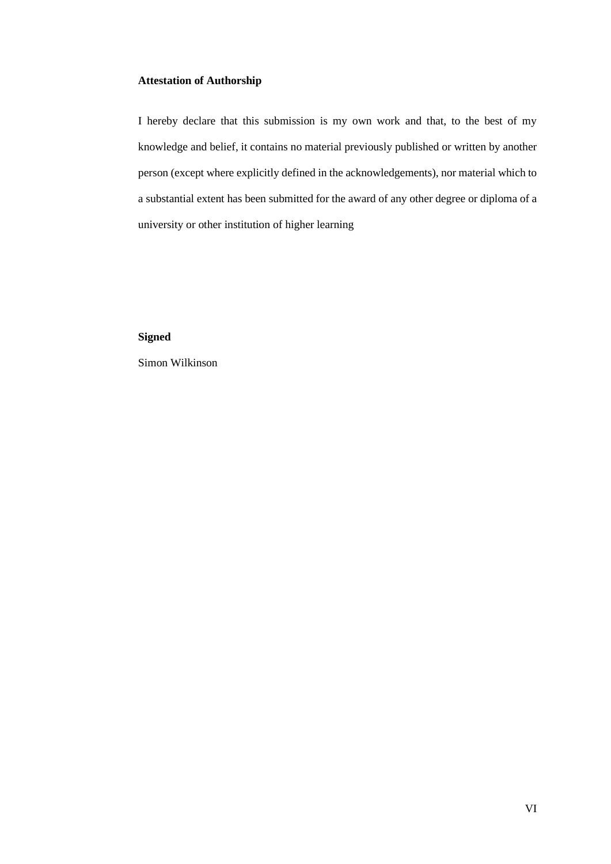# <span id="page-5-0"></span>**Attestation of Authorship**

I hereby declare that this submission is my own work and that, to the best of my knowledge and belief, it contains no material previously published or written by another person (except where explicitly defined in the acknowledgements), nor material which to a substantial extent has been submitted for the award of any other degree or diploma of a university or other institution of higher learning

# **Signed**

Simon Wilkinson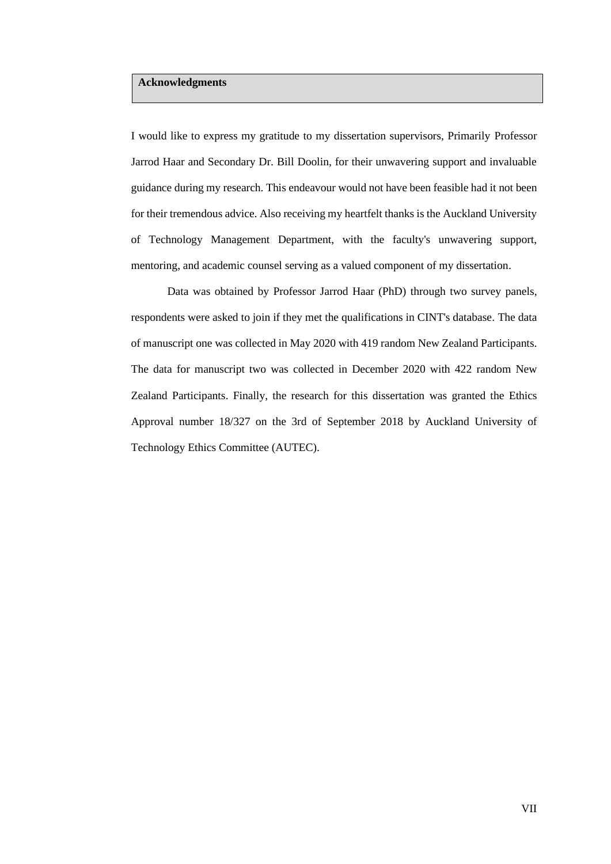# <span id="page-6-0"></span>**Acknowledgments**

I would like to express my gratitude to my dissertation supervisors, Primarily Professor Jarrod Haar and Secondary Dr. Bill Doolin, for their unwavering support and invaluable guidance during my research. This endeavour would not have been feasible had it not been for their tremendous advice. Also receiving my heartfelt thanks is the Auckland University of Technology Management Department, with the faculty's unwavering support, mentoring, and academic counsel serving as a valued component of my dissertation.

Data was obtained by Professor Jarrod Haar (PhD) through two survey panels, respondents were asked to join if they met the qualifications in CINT's database. The data of manuscript one was collected in May 2020 with 419 random New Zealand Participants. The data for manuscript two was collected in December 2020 with 422 random New Zealand Participants. Finally, the research for this dissertation was granted the Ethics Approval number 18/327 on the 3rd of September 2018 by Auckland University of Technology Ethics Committee (AUTEC).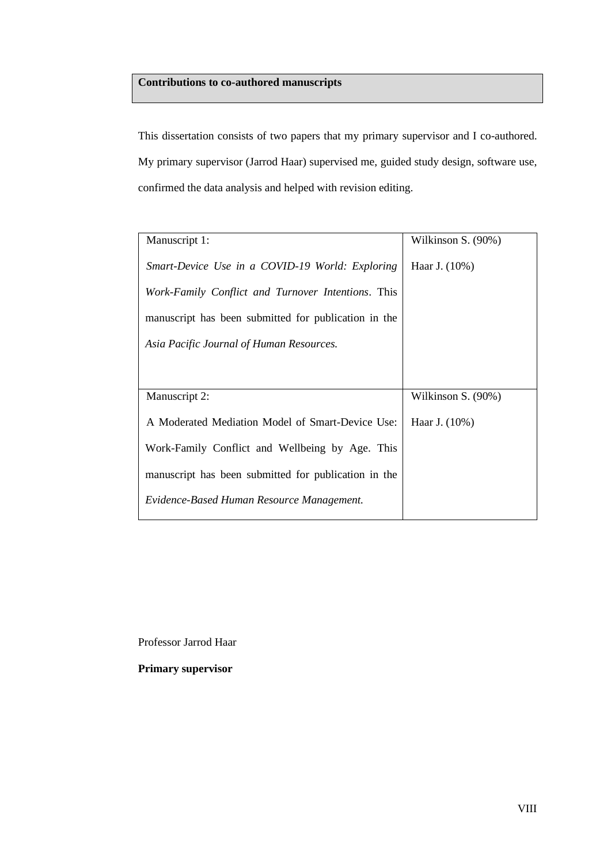# <span id="page-7-0"></span>**Contributions to co-authored manuscripts**

This dissertation consists of two papers that my primary supervisor and I co-authored. My primary supervisor (Jarrod Haar) supervised me, guided study design, software use, confirmed the data analysis and helped with revision editing.

| Manuscript 1:                                        | Wilkinson S. (90%) |
|------------------------------------------------------|--------------------|
| Smart-Device Use in a COVID-19 World: Exploring      | Haar J. (10%)      |
| Work-Family Conflict and Turnover Intentions. This   |                    |
| manuscript has been submitted for publication in the |                    |
| Asia Pacific Journal of Human Resources.             |                    |
|                                                      |                    |
| Manuscript 2:                                        | Wilkinson S. (90%) |
| A Moderated Mediation Model of Smart-Device Use:     | Haar J. (10%)      |
|                                                      |                    |
| Work-Family Conflict and Wellbeing by Age. This      |                    |
| manuscript has been submitted for publication in the |                    |
| Evidence-Based Human Resource Management.            |                    |

Professor Jarrod Haar

**Primary supervisor**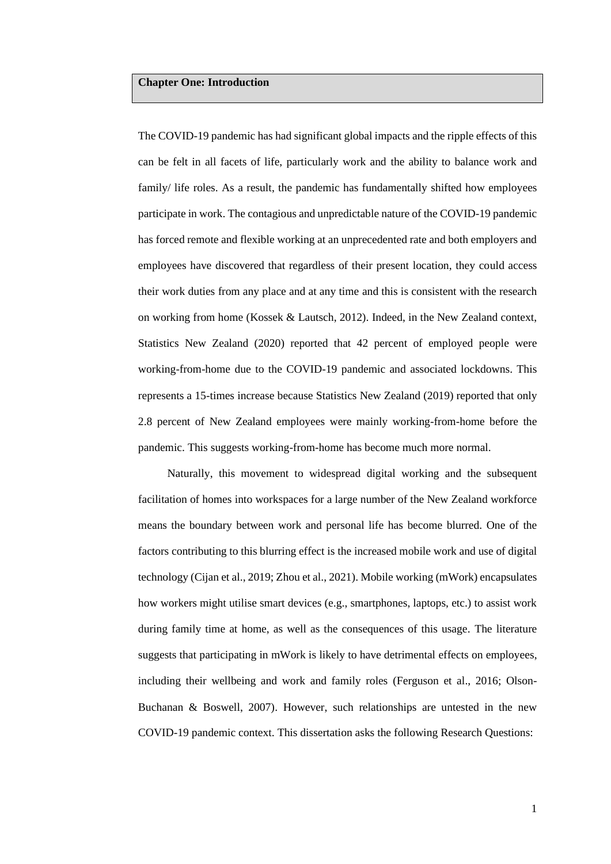## <span id="page-8-0"></span>**Chapter One: Introduction**

The COVID-19 pandemic has had significant global impacts and the ripple effects of this can be felt in all facets of life, particularly work and the ability to balance work and family/ life roles. As a result, the pandemic has fundamentally shifted how employees participate in work. The contagious and unpredictable nature of the COVID-19 pandemic has forced remote and flexible working at an unprecedented rate and both employers and employees have discovered that regardless of their present location, they could access their work duties from any place and at any time and this is consistent with the research on working from home (Kossek & Lautsch, 2012). Indeed, in the New Zealand context, Statistics New Zealand (2020) reported that 42 percent of employed people were working-from-home due to the COVID-19 pandemic and associated lockdowns. This represents a 15-times increase because Statistics New Zealand (2019) reported that only 2.8 percent of New Zealand employees were mainly working-from-home before the pandemic. This suggests working-from-home has become much more normal.

Naturally, this movement to widespread digital working and the subsequent facilitation of homes into workspaces for a large number of the New Zealand workforce means the boundary between work and personal life has become blurred. One of the factors contributing to this blurring effect is the increased mobile work and use of digital technology (Cijan et al., 2019; Zhou et al., 2021). Mobile working (mWork) encapsulates how workers might utilise smart devices (e.g., smartphones, laptops, etc.) to assist work during family time at home, as well as the consequences of this usage. The literature suggests that participating in mWork is likely to have detrimental effects on employees, including their wellbeing and work and family roles (Ferguson et al., 2016; Olson-Buchanan & Boswell, 2007). However, such relationships are untested in the new COVID-19 pandemic context. This dissertation asks the following Research Questions: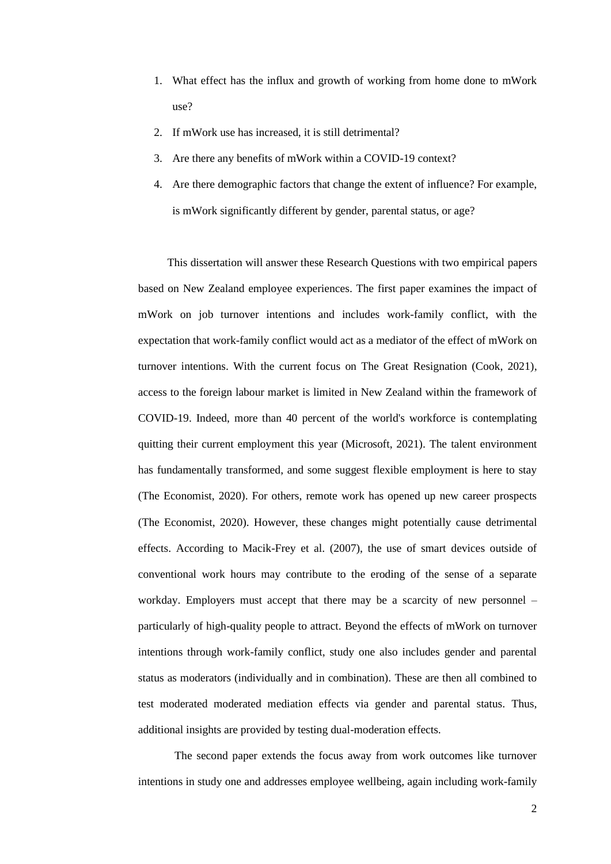- 1. What effect has the influx and growth of working from home done to mWork use?
- 2. If mWork use has increased, it is still detrimental?
- 3. Are there any benefits of mWork within a COVID-19 context?
- 4. Are there demographic factors that change the extent of influence? For example, is mWork significantly different by gender, parental status, or age?

This dissertation will answer these Research Questions with two empirical papers based on New Zealand employee experiences. The first paper examines the impact of mWork on job turnover intentions and includes work-family conflict, with the expectation that work-family conflict would act as a mediator of the effect of mWork on turnover intentions. With the current focus on The Great Resignation (Cook, 2021), access to the foreign labour market is limited in New Zealand within the framework of COVID-19. Indeed, more than 40 percent of the world's workforce is contemplating quitting their current employment this year (Microsoft, 2021). The talent environment has fundamentally transformed, and some suggest flexible employment is here to stay (The Economist, 2020). For others, remote work has opened up new career prospects (The Economist, 2020). However, these changes might potentially cause detrimental effects. According to Macik-Frey et al. (2007), the use of smart devices outside of conventional work hours may contribute to the eroding of the sense of a separate workday. Employers must accept that there may be a scarcity of new personnel – particularly of high-quality people to attract. Beyond the effects of mWork on turnover intentions through work-family conflict, study one also includes gender and parental status as moderators (individually and in combination). These are then all combined to test moderated moderated mediation effects via gender and parental status. Thus, additional insights are provided by testing dual-moderation effects.

The second paper extends the focus away from work outcomes like turnover intentions in study one and addresses employee wellbeing, again including work-family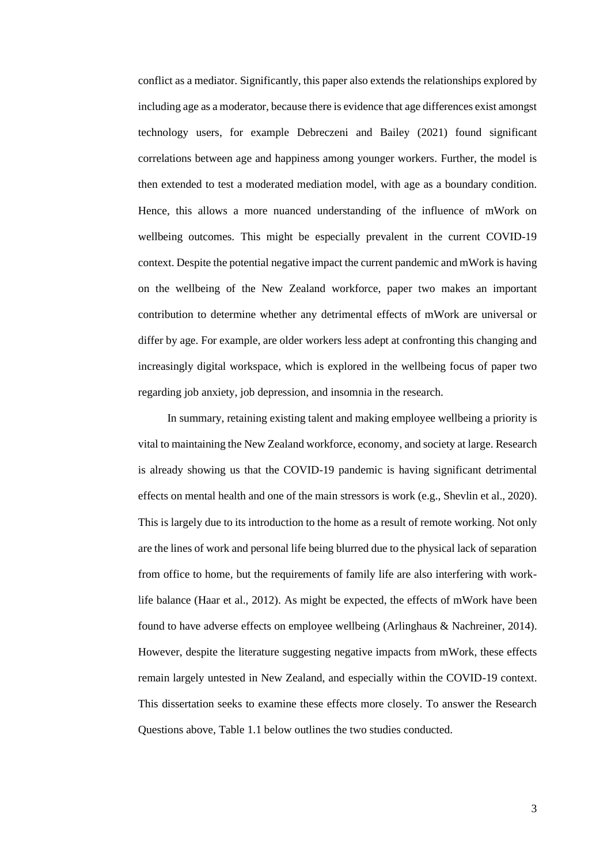conflict as a mediator. Significantly, this paper also extends the relationships explored by including age as a moderator, because there is evidence that age differences exist amongst technology users, for example Debreczeni and Bailey (2021) found significant correlations between age and happiness among younger workers. Further, the model is then extended to test a moderated mediation model, with age as a boundary condition. Hence, this allows a more nuanced understanding of the influence of mWork on wellbeing outcomes. This might be especially prevalent in the current COVID-19 context. Despite the potential negative impact the current pandemic and mWork is having on the wellbeing of the New Zealand workforce, paper two makes an important contribution to determine whether any detrimental effects of mWork are universal or differ by age. For example, are older workers less adept at confronting this changing and increasingly digital workspace, which is explored in the wellbeing focus of paper two regarding job anxiety, job depression, and insomnia in the research.

In summary, retaining existing talent and making employee wellbeing a priority is vital to maintaining the New Zealand workforce, economy, and society at large. Research is already showing us that the COVID-19 pandemic is having significant detrimental effects on mental health and one of the main stressors is work (e.g., Shevlin et al., 2020). This is largely due to its introduction to the home as a result of remote working. Not only are the lines of work and personal life being blurred due to the physical lack of separation from office to home, but the requirements of family life are also interfering with worklife balance (Haar et al., 2012). As might be expected, the effects of mWork have been found to have adverse effects on employee wellbeing (Arlinghaus & Nachreiner, 2014). However, despite the literature suggesting negative impacts from mWork, these effects remain largely untested in New Zealand, and especially within the COVID-19 context. This dissertation seeks to examine these effects more closely. To answer the Research Questions above, Table 1.1 below outlines the two studies conducted.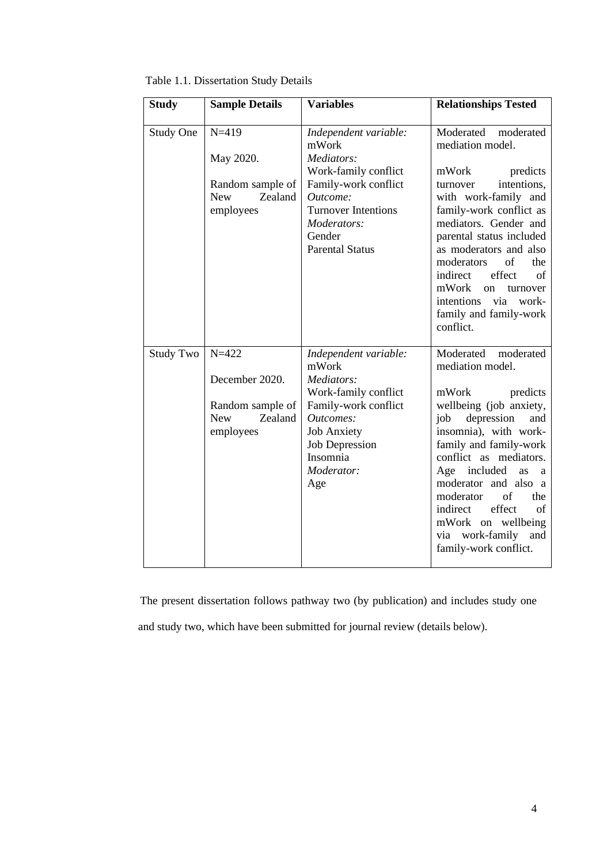| <b>Study</b>     | <b>Sample Details</b>                                  | <b>Variables</b>                                                                                                                          | <b>Relationships Tested</b>                                                                                                                                                                                                                                                                                                             |
|------------------|--------------------------------------------------------|-------------------------------------------------------------------------------------------------------------------------------------------|-----------------------------------------------------------------------------------------------------------------------------------------------------------------------------------------------------------------------------------------------------------------------------------------------------------------------------------------|
| Study One        | $N = 419$<br>May 2020.                                 | Independent variable:<br>mWork<br>Mediators:                                                                                              | Moderated<br>moderated<br>mediation model.                                                                                                                                                                                                                                                                                              |
|                  | Random sample of<br><b>New</b><br>Zealand<br>employees | Work-family conflict<br>Family-work conflict<br>Outcome:<br><b>Turnover Intentions</b><br>Moderators:<br>Gender<br><b>Parental Status</b> | mWork<br>predicts<br>intentions,<br>turnover<br>with work-family and<br>family-work conflict as<br>mediators. Gender and<br>parental status included<br>as moderators and also<br>moderators<br>of<br>the<br>indirect<br>effect<br>of<br>mWork<br>on<br>turnover<br>intentions<br>via<br>work-<br>family and family-work<br>conflict.   |
| <b>Study Two</b> | $N = 422$<br>December 2020.                            | Independent variable:<br>mWork<br>Mediators:                                                                                              | Moderated moderated<br>mediation model.                                                                                                                                                                                                                                                                                                 |
|                  | Random sample of<br>Zealand<br><b>New</b><br>employees | Work-family conflict<br>Family-work conflict<br>Outcomes:<br><b>Job Anxiety</b><br><b>Job Depression</b><br>Insomnia<br>Moderator:<br>Age | mWork<br>predicts<br>wellbeing (job anxiety,<br>depression<br>and<br>job<br>insomnia), with work-<br>family and family-work<br>conflict as mediators.<br>Age included<br>as<br>a<br>moderator and also a<br>moderator<br>of<br>the<br>indirect<br>effect<br>of<br>mWork on wellbeing<br>via work-family<br>and<br>family-work conflict. |

Table 1.1. Dissertation Study Details

The present dissertation follows pathway two (by publication) and includes study one and study two, which have been submitted for journal review (details below).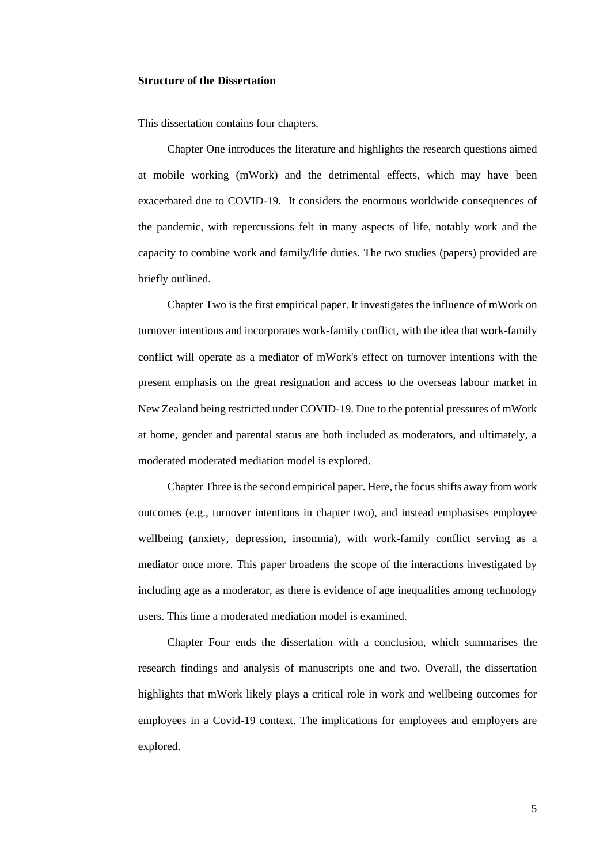#### <span id="page-12-0"></span>**Structure of the Dissertation**

This dissertation contains four chapters.

Chapter One introduces the literature and highlights the research questions aimed at mobile working (mWork) and the detrimental effects, which may have been exacerbated due to COVID-19. It considers the enormous worldwide consequences of the pandemic, with repercussions felt in many aspects of life, notably work and the capacity to combine work and family/life duties. The two studies (papers) provided are briefly outlined.

Chapter Two is the first empirical paper. It investigates the influence of mWork on turnover intentions and incorporates work-family conflict, with the idea that work-family conflict will operate as a mediator of mWork's effect on turnover intentions with the present emphasis on the great resignation and access to the overseas labour market in New Zealand being restricted under COVID-19. Due to the potential pressures of mWork at home, gender and parental status are both included as moderators, and ultimately, a moderated moderated mediation model is explored.

Chapter Three is the second empirical paper. Here, the focus shifts away from work outcomes (e.g., turnover intentions in chapter two), and instead emphasises employee wellbeing (anxiety, depression, insomnia), with work-family conflict serving as a mediator once more. This paper broadens the scope of the interactions investigated by including age as a moderator, as there is evidence of age inequalities among technology users. This time a moderated mediation model is examined.

Chapter Four ends the dissertation with a conclusion, which summarises the research findings and analysis of manuscripts one and two. Overall, the dissertation highlights that mWork likely plays a critical role in work and wellbeing outcomes for employees in a Covid-19 context. The implications for employees and employers are explored.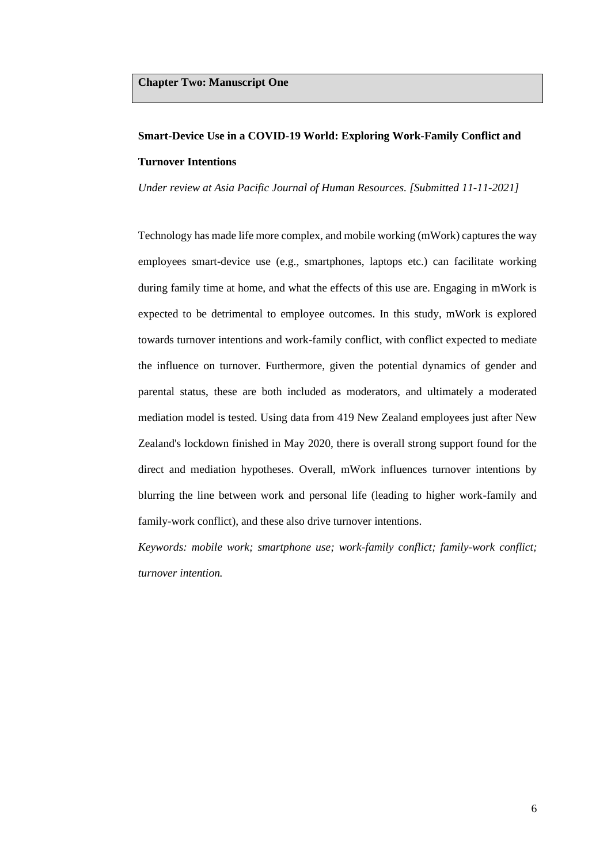# <span id="page-13-0"></span>**Smart-Device Use in a COVID-19 World: Exploring Work-Family Conflict and Turnover Intentions**

*Under review at Asia Pacific Journal of Human Resources. [Submitted 11-11-2021]*

Technology has made life more complex, and mobile working (mWork) captures the way employees smart-device use (e.g., smartphones, laptops etc.) can facilitate working during family time at home, and what the effects of this use are. Engaging in mWork is expected to be detrimental to employee outcomes. In this study, mWork is explored towards turnover intentions and work-family conflict, with conflict expected to mediate the influence on turnover. Furthermore, given the potential dynamics of gender and parental status, these are both included as moderators, and ultimately a moderated mediation model is tested. Using data from 419 New Zealand employees just after New Zealand's lockdown finished in May 2020, there is overall strong support found for the direct and mediation hypotheses. Overall, mWork influences turnover intentions by blurring the line between work and personal life (leading to higher work-family and family-work conflict), and these also drive turnover intentions.

*Keywords: mobile work; smartphone use; work-family conflict; family-work conflict; turnover intention.*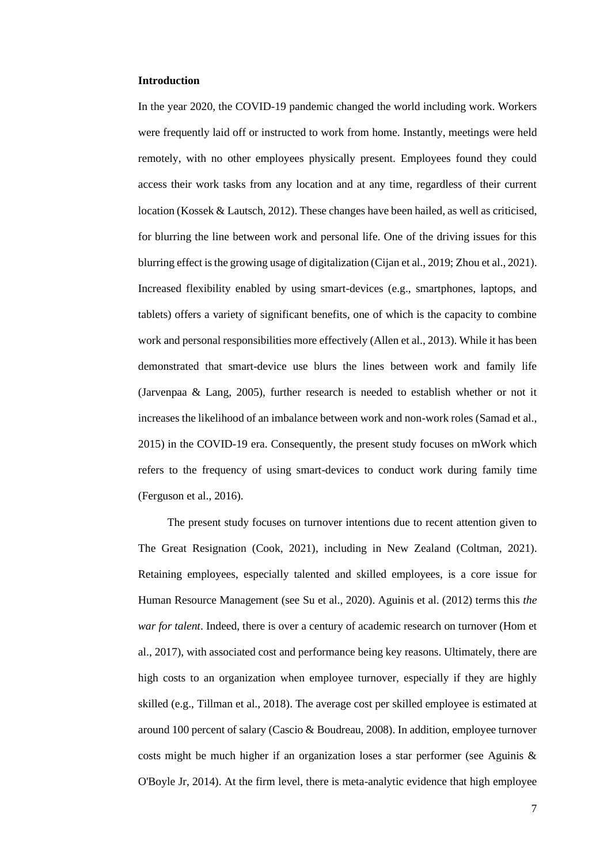#### <span id="page-14-0"></span>**Introduction**

In the year 2020, the COVID-19 pandemic changed the world including work. Workers were frequently laid off or instructed to work from home. Instantly, meetings were held remotely, with no other employees physically present. Employees found they could access their work tasks from any location and at any time, regardless of their current location (Kossek & Lautsch, 2012). These changes have been hailed, as well as criticised, for blurring the line between work and personal life. One of the driving issues for this blurring effect is the growing usage of digitalization (Cijan et al., 2019; Zhou et al., 2021). Increased flexibility enabled by using smart-devices (e.g., smartphones, laptops, and tablets) offers a variety of significant benefits, one of which is the capacity to combine work and personal responsibilities more effectively (Allen et al., 2013). While it has been demonstrated that smart-device use blurs the lines between work and family life (Jarvenpaa & Lang, 2005), further research is needed to establish whether or not it increases the likelihood of an imbalance between work and non-work roles (Samad et al., 2015) in the COVID-19 era. Consequently, the present study focuses on mWork which refers to the frequency of using smart-devices to conduct work during family time (Ferguson et al., 2016).

The present study focuses on turnover intentions due to recent attention given to The Great Resignation (Cook, 2021), including in New Zealand (Coltman, 2021). Retaining employees, especially talented and skilled employees, is a core issue for Human Resource Management (see Su et al., 2020). Aguinis et al. (2012) terms this *the war for talent*. Indeed, there is over a century of academic research on turnover (Hom et al., 2017), with associated cost and performance being key reasons. Ultimately, there are high costs to an organization when employee turnover, especially if they are highly skilled (e.g., Tillman et al., 2018). The average cost per skilled employee is estimated at around 100 percent of salary (Cascio & Boudreau, 2008). In addition, employee turnover costs might be much higher if an organization loses a star performer (see Aguinis  $\&$ O'Boyle Jr, 2014). At the firm level, there is meta-analytic evidence that high employee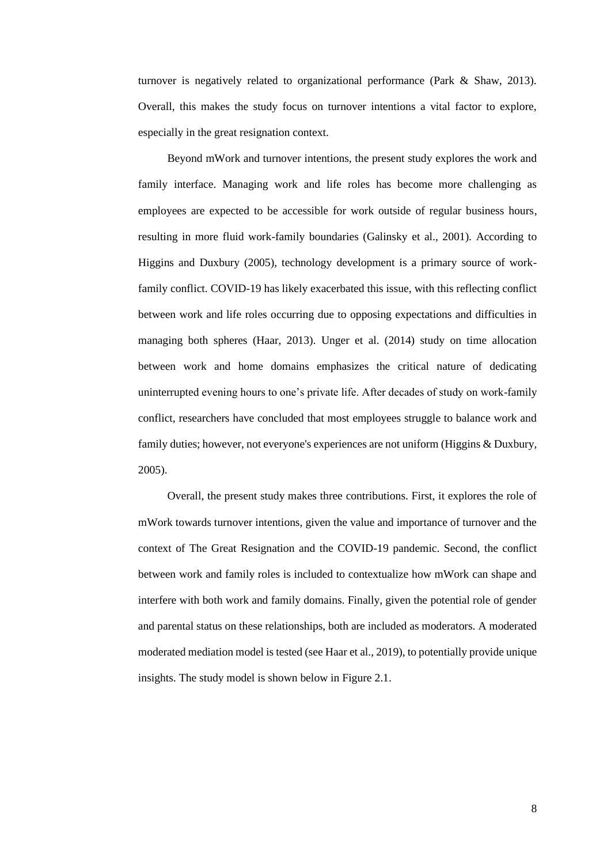turnover is negatively related to organizational performance (Park & Shaw, 2013). Overall, this makes the study focus on turnover intentions a vital factor to explore, especially in the great resignation context.

Beyond mWork and turnover intentions, the present study explores the work and family interface. Managing work and life roles has become more challenging as employees are expected to be accessible for work outside of regular business hours, resulting in more fluid work-family boundaries (Galinsky et al., 2001). According to Higgins and Duxbury (2005), technology development is a primary source of workfamily conflict. COVID-19 has likely exacerbated this issue, with this reflecting conflict between work and life roles occurring due to opposing expectations and difficulties in managing both spheres (Haar, 2013). Unger et al. (2014) study on time allocation between work and home domains emphasizes the critical nature of dedicating uninterrupted evening hours to one's private life. After decades of study on work-family conflict, researchers have concluded that most employees struggle to balance work and family duties; however, not everyone's experiences are not uniform (Higgins & Duxbury, 2005).

Overall, the present study makes three contributions. First, it explores the role of mWork towards turnover intentions, given the value and importance of turnover and the context of The Great Resignation and the COVID-19 pandemic. Second, the conflict between work and family roles is included to contextualize how mWork can shape and interfere with both work and family domains. Finally, given the potential role of gender and parental status on these relationships, both are included as moderators. A moderated moderated mediation model is tested (see Haar et al., 2019), to potentially provide unique insights. The study model is shown below in Figure 2.1.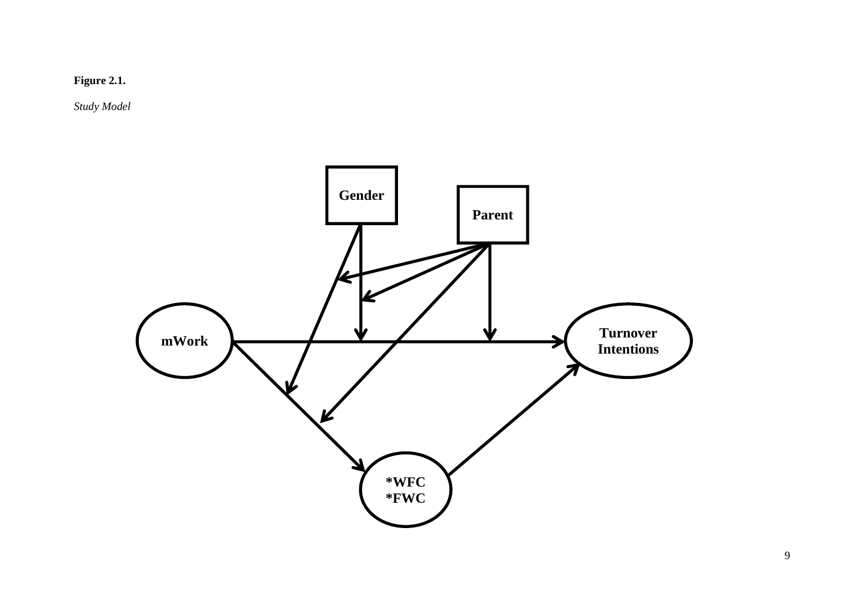

*Study Model*

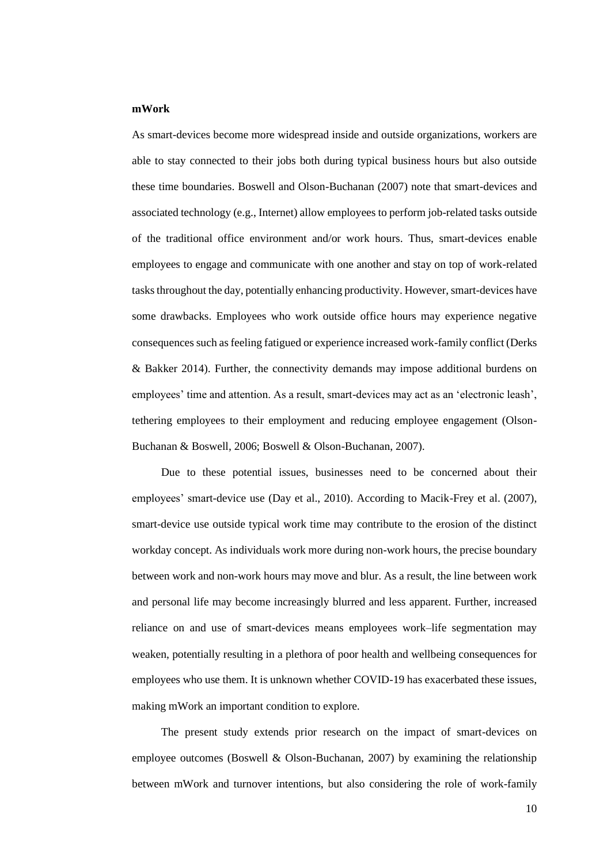## <span id="page-17-0"></span>**mWork**

As smart-devices become more widespread inside and outside organizations, workers are able to stay connected to their jobs both during typical business hours but also outside these time boundaries. Boswell and Olson-Buchanan (2007) note that smart-devices and associated technology (e.g., Internet) allow employees to perform job-related tasks outside of the traditional office environment and/or work hours. Thus, smart-devices enable employees to engage and communicate with one another and stay on top of work-related tasks throughout the day, potentially enhancing productivity. However, smart-devices have some drawbacks. Employees who work outside office hours may experience negative consequences such as feeling fatigued or experience increased work-family conflict (Derks & Bakker 2014). Further, the connectivity demands may impose additional burdens on employees' time and attention. As a result, smart-devices may act as an 'electronic leash', tethering employees to their employment and reducing employee engagement (Olson-Buchanan & Boswell, 2006; Boswell & Olson-Buchanan, 2007).

Due to these potential issues, businesses need to be concerned about their employees' smart-device use (Day et al., 2010). According to Macik-Frey et al. (2007), smart-device use outside typical work time may contribute to the erosion of the distinct workday concept. As individuals work more during non-work hours, the precise boundary between work and non-work hours may move and blur. As a result, the line between work and personal life may become increasingly blurred and less apparent. Further, increased reliance on and use of smart-devices means employees work–life segmentation may weaken, potentially resulting in a plethora of poor health and wellbeing consequences for employees who use them. It is unknown whether COVID-19 has exacerbated these issues, making mWork an important condition to explore.

The present study extends prior research on the impact of smart-devices on employee outcomes (Boswell & Olson-Buchanan, 2007) by examining the relationship between mWork and turnover intentions, but also considering the role of work-family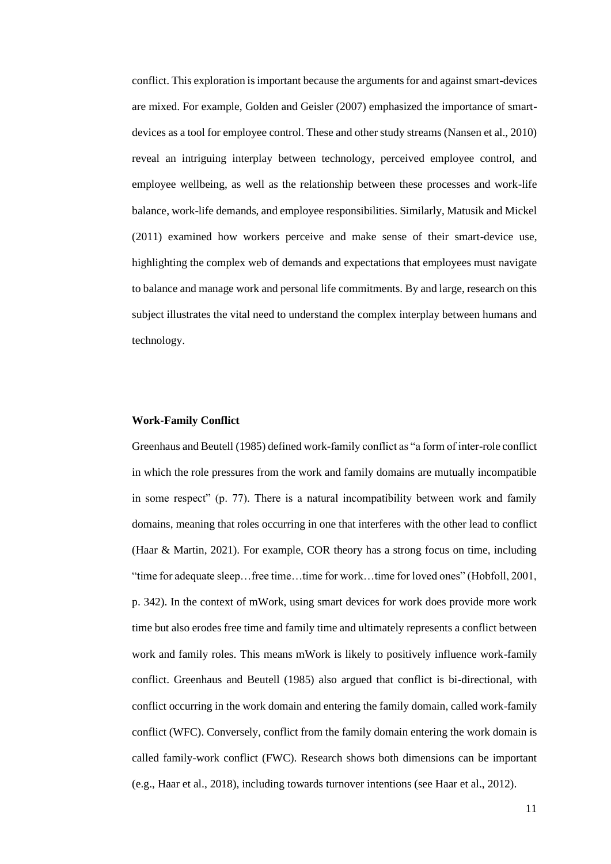conflict. This exploration is important because the arguments for and against smart-devices are mixed. For example, Golden and Geisler (2007) emphasized the importance of smartdevices as a tool for employee control. These and other study streams (Nansen et al., 2010) reveal an intriguing interplay between technology, perceived employee control, and employee wellbeing, as well as the relationship between these processes and work-life balance, work-life demands, and employee responsibilities. Similarly, Matusik and Mickel (2011) examined how workers perceive and make sense of their smart-device use, highlighting the complex web of demands and expectations that employees must navigate to balance and manage work and personal life commitments. By and large, research on this subject illustrates the vital need to understand the complex interplay between humans and technology.

#### <span id="page-18-0"></span>**Work-Family Conflict**

Greenhaus and Beutell (1985) defined work-family conflict as "a form of inter-role conflict in which the role pressures from the work and family domains are mutually incompatible in some respect" (p. 77). There is a natural incompatibility between work and family domains, meaning that roles occurring in one that interferes with the other lead to conflict (Haar & Martin, 2021). For example, COR theory has a strong focus on time, including "time for adequate sleep…free time…time for work…time for loved ones" (Hobfoll, 2001, p. 342). In the context of mWork, using smart devices for work does provide more work time but also erodes free time and family time and ultimately represents a conflict between work and family roles. This means mWork is likely to positively influence work-family conflict. Greenhaus and Beutell (1985) also argued that conflict is bi-directional, with conflict occurring in the work domain and entering the family domain, called work-family conflict (WFC). Conversely, conflict from the family domain entering the work domain is called family-work conflict (FWC). Research shows both dimensions can be important (e.g., Haar et al., 2018), including towards turnover intentions (see Haar et al., 2012).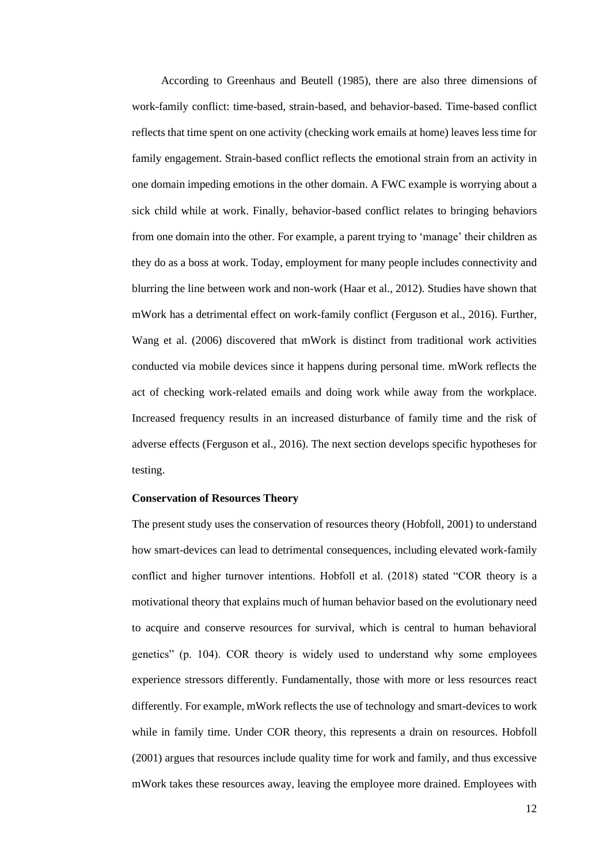According to Greenhaus and Beutell (1985), there are also three dimensions of work-family conflict: time-based, strain-based, and behavior-based. Time-based conflict reflects that time spent on one activity (checking work emails at home) leaves less time for family engagement. Strain-based conflict reflects the emotional strain from an activity in one domain impeding emotions in the other domain. A FWC example is worrying about a sick child while at work. Finally, behavior-based conflict relates to bringing behaviors from one domain into the other. For example, a parent trying to 'manage' their children as they do as a boss at work. Today, employment for many people includes connectivity and blurring the line between work and non-work (Haar et al., 2012). Studies have shown that mWork has a detrimental effect on work-family conflict (Ferguson et al., 2016). Further, Wang et al. (2006) discovered that mWork is distinct from traditional work activities conducted via mobile devices since it happens during personal time. mWork reflects the act of checking work-related emails and doing work while away from the workplace. Increased frequency results in an increased disturbance of family time and the risk of adverse effects (Ferguson et al., 2016). The next section develops specific hypotheses for testing.

# <span id="page-19-0"></span>**Conservation of Resources Theory**

The present study uses the conservation of resources theory (Hobfoll, 2001) to understand how smart-devices can lead to detrimental consequences, including elevated work-family conflict and higher turnover intentions. Hobfoll et al. (2018) stated "COR theory is a motivational theory that explains much of human behavior based on the evolutionary need to acquire and conserve resources for survival, which is central to human behavioral genetics" (p. 104). COR theory is widely used to understand why some employees experience stressors differently. Fundamentally, those with more or less resources react differently. For example, mWork reflects the use of technology and smart-devices to work while in family time. Under COR theory, this represents a drain on resources. Hobfoll (2001) argues that resources include quality time for work and family, and thus excessive mWork takes these resources away, leaving the employee more drained. Employees with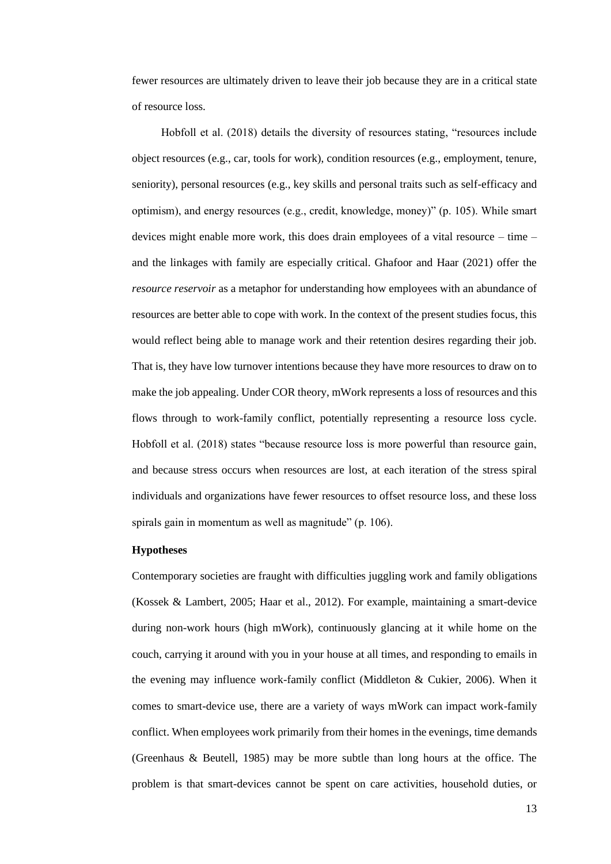fewer resources are ultimately driven to leave their job because they are in a critical state of resource loss.

Hobfoll et al. (2018) details the diversity of resources stating, "resources include object resources (e.g., car, tools for work), condition resources (e.g., employment, tenure, seniority), personal resources (e.g., key skills and personal traits such as self-efficacy and optimism), and energy resources (e.g., credit, knowledge, money)" (p. 105). While smart devices might enable more work, this does drain employees of a vital resource – time – and the linkages with family are especially critical. Ghafoor and Haar (2021) offer the *resource reservoir* as a metaphor for understanding how employees with an abundance of resources are better able to cope with work. In the context of the present studies focus, this would reflect being able to manage work and their retention desires regarding their job. That is, they have low turnover intentions because they have more resources to draw on to make the job appealing. Under COR theory, mWork represents a loss of resources and this flows through to work-family conflict, potentially representing a resource loss cycle. Hobfoll et al. (2018) states "because resource loss is more powerful than resource gain, and because stress occurs when resources are lost, at each iteration of the stress spiral individuals and organizations have fewer resources to offset resource loss, and these loss spirals gain in momentum as well as magnitude" (p. 106).

#### <span id="page-20-0"></span>**Hypotheses**

Contemporary societies are fraught with difficulties juggling work and family obligations (Kossek & Lambert, 2005; Haar et al., 2012). For example, maintaining a smart-device during non-work hours (high mWork), continuously glancing at it while home on the couch, carrying it around with you in your house at all times, and responding to emails in the evening may influence work-family conflict (Middleton & Cukier, 2006). When it comes to smart-device use, there are a variety of ways mWork can impact work-family conflict. When employees work primarily from their homes in the evenings, time demands (Greenhaus & Beutell, 1985) may be more subtle than long hours at the office. The problem is that smart-devices cannot be spent on care activities, household duties, or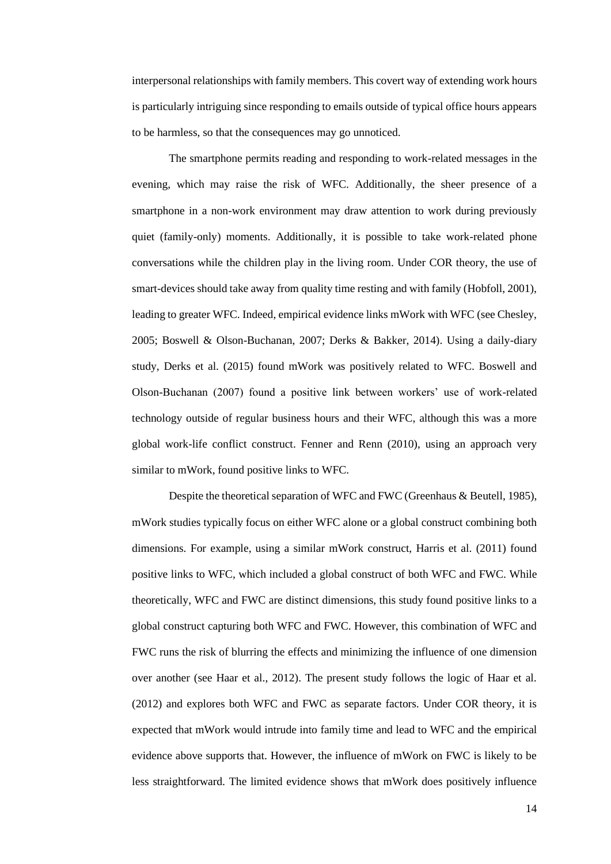interpersonal relationships with family members. This covert way of extending work hours is particularly intriguing since responding to emails outside of typical office hours appears to be harmless, so that the consequences may go unnoticed.

The smartphone permits reading and responding to work-related messages in the evening, which may raise the risk of WFC. Additionally, the sheer presence of a smartphone in a non-work environment may draw attention to work during previously quiet (family-only) moments. Additionally, it is possible to take work-related phone conversations while the children play in the living room. Under COR theory, the use of smart-devices should take away from quality time resting and with family (Hobfoll, 2001), leading to greater WFC. Indeed, empirical evidence links mWork with WFC (see Chesley, 2005; Boswell & Olson-Buchanan, 2007; Derks & Bakker, 2014). Using a daily-diary study, Derks et al. (2015) found mWork was positively related to WFC. Boswell and Olson-Buchanan (2007) found a positive link between workers' use of work-related technology outside of regular business hours and their WFC, although this was a more global work-life conflict construct. Fenner and Renn (2010), using an approach very similar to mWork, found positive links to WFC.

Despite the theoretical separation of WFC and FWC (Greenhaus & Beutell, 1985), mWork studies typically focus on either WFC alone or a global construct combining both dimensions. For example, using a similar mWork construct, Harris et al. (2011) found positive links to WFC, which included a global construct of both WFC and FWC. While theoretically, WFC and FWC are distinct dimensions, this study found positive links to a global construct capturing both WFC and FWC. However, this combination of WFC and FWC runs the risk of blurring the effects and minimizing the influence of one dimension over another (see Haar et al., 2012). The present study follows the logic of Haar et al. (2012) and explores both WFC and FWC as separate factors. Under COR theory, it is expected that mWork would intrude into family time and lead to WFC and the empirical evidence above supports that. However, the influence of mWork on FWC is likely to be less straightforward. The limited evidence shows that mWork does positively influence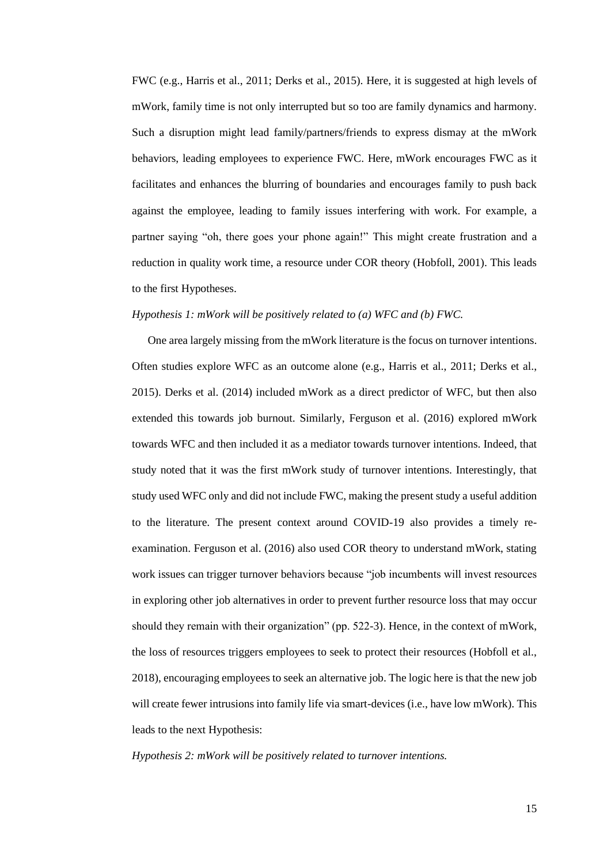FWC (e.g., Harris et al., 2011; Derks et al., 2015). Here, it is suggested at high levels of mWork, family time is not only interrupted but so too are family dynamics and harmony. Such a disruption might lead family/partners/friends to express dismay at the mWork behaviors, leading employees to experience FWC. Here, mWork encourages FWC as it facilitates and enhances the blurring of boundaries and encourages family to push back against the employee, leading to family issues interfering with work. For example, a partner saying "oh, there goes your phone again!" This might create frustration and a reduction in quality work time, a resource under COR theory (Hobfoll, 2001). This leads to the first Hypotheses.

## *Hypothesis 1: mWork will be positively related to (a) WFC and (b) FWC.*

One area largely missing from the mWork literature is the focus on turnover intentions. Often studies explore WFC as an outcome alone (e.g., Harris et al., 2011; Derks et al., 2015). Derks et al. (2014) included mWork as a direct predictor of WFC, but then also extended this towards job burnout. Similarly, Ferguson et al. (2016) explored mWork towards WFC and then included it as a mediator towards turnover intentions. Indeed, that study noted that it was the first mWork study of turnover intentions. Interestingly, that study used WFC only and did not include FWC, making the present study a useful addition to the literature. The present context around COVID-19 also provides a timely reexamination. Ferguson et al. (2016) also used COR theory to understand mWork, stating work issues can trigger turnover behaviors because "job incumbents will invest resources in exploring other job alternatives in order to prevent further resource loss that may occur should they remain with their organization" (pp. 522-3). Hence, in the context of mWork, the loss of resources triggers employees to seek to protect their resources (Hobfoll et al., 2018), encouraging employees to seek an alternative job. The logic here is that the new job will create fewer intrusions into family life via smart-devices (i.e., have low mWork). This leads to the next Hypothesis:

*Hypothesis 2: mWork will be positively related to turnover intentions.*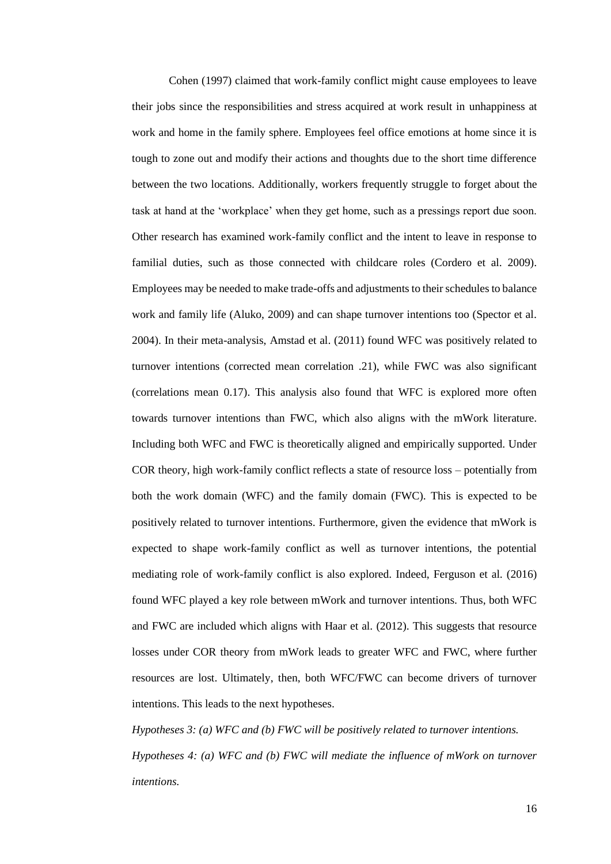Cohen (1997) claimed that work-family conflict might cause employees to leave their jobs since the responsibilities and stress acquired at work result in unhappiness at work and home in the family sphere. Employees feel office emotions at home since it is tough to zone out and modify their actions and thoughts due to the short time difference between the two locations. Additionally, workers frequently struggle to forget about the task at hand at the 'workplace' when they get home, such as a pressings report due soon. Other research has examined work-family conflict and the intent to leave in response to familial duties, such as those connected with childcare roles (Cordero et al. 2009). Employees may be needed to make trade-offs and adjustments to their schedules to balance work and family life (Aluko, 2009) and can shape turnover intentions too (Spector et al. 2004). In their meta-analysis, Amstad et al. (2011) found WFC was positively related to turnover intentions (corrected mean correlation .21), while FWC was also significant (correlations mean 0.17). This analysis also found that WFC is explored more often towards turnover intentions than FWC, which also aligns with the mWork literature. Including both WFC and FWC is theoretically aligned and empirically supported. Under COR theory, high work-family conflict reflects a state of resource loss – potentially from both the work domain (WFC) and the family domain (FWC). This is expected to be positively related to turnover intentions. Furthermore, given the evidence that mWork is expected to shape work-family conflict as well as turnover intentions, the potential mediating role of work-family conflict is also explored. Indeed, Ferguson et al. (2016) found WFC played a key role between mWork and turnover intentions. Thus, both WFC and FWC are included which aligns with Haar et al. (2012). This suggests that resource losses under COR theory from mWork leads to greater WFC and FWC, where further resources are lost. Ultimately, then, both WFC/FWC can become drivers of turnover intentions. This leads to the next hypotheses.

*Hypotheses 3: (a) WFC and (b) FWC will be positively related to turnover intentions. Hypotheses 4: (a) WFC and (b) FWC will mediate the influence of mWork on turnover intentions.*

16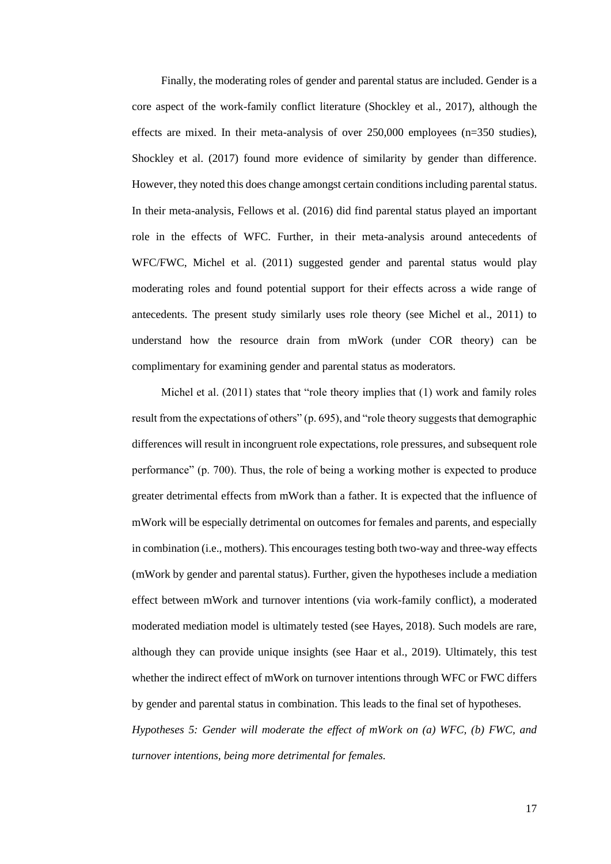Finally, the moderating roles of gender and parental status are included. Gender is a core aspect of the work-family conflict literature (Shockley et al., 2017), although the effects are mixed. In their meta-analysis of over 250,000 employees (n=350 studies), Shockley et al. (2017) found more evidence of similarity by gender than difference. However, they noted this does change amongst certain conditions including parental status. In their meta-analysis, Fellows et al. (2016) did find parental status played an important role in the effects of WFC. Further, in their meta-analysis around antecedents of WFC/FWC, Michel et al. (2011) suggested gender and parental status would play moderating roles and found potential support for their effects across a wide range of antecedents. The present study similarly uses role theory (see Michel et al., 2011) to understand how the resource drain from mWork (under COR theory) can be complimentary for examining gender and parental status as moderators.

Michel et al. (2011) states that "role theory implies that (1) work and family roles result from the expectations of others" (p. 695), and "role theory suggests that demographic differences will result in incongruent role expectations, role pressures, and subsequent role performance" (p. 700). Thus, the role of being a working mother is expected to produce greater detrimental effects from mWork than a father. It is expected that the influence of mWork will be especially detrimental on outcomes for females and parents, and especially in combination (i.e., mothers). This encourages testing both two-way and three-way effects (mWork by gender and parental status). Further, given the hypotheses include a mediation effect between mWork and turnover intentions (via work-family conflict), a moderated moderated mediation model is ultimately tested (see Hayes, 2018). Such models are rare, although they can provide unique insights (see Haar et al., 2019). Ultimately, this test whether the indirect effect of mWork on turnover intentions through WFC or FWC differs by gender and parental status in combination. This leads to the final set of hypotheses. *Hypotheses 5: Gender will moderate the effect of mWork on (a) WFC, (b) FWC, and* 

*turnover intentions, being more detrimental for females.*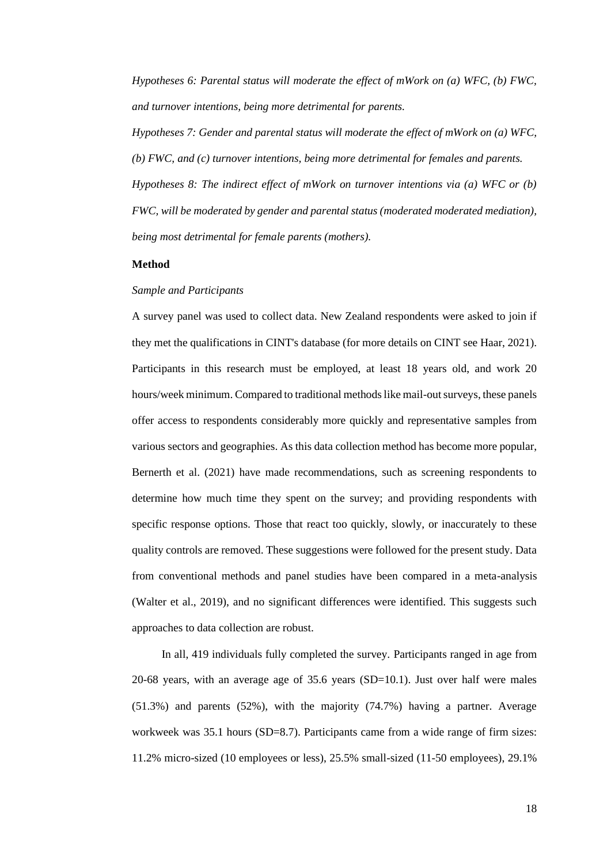*Hypotheses 6: Parental status will moderate the effect of mWork on (a) WFC, (b) FWC, and turnover intentions, being more detrimental for parents.*

*Hypotheses 7: Gender and parental status will moderate the effect of mWork on (a) WFC, (b) FWC, and (c) turnover intentions, being more detrimental for females and parents. Hypotheses 8: The indirect effect of mWork on turnover intentions via (a) WFC or (b) FWC, will be moderated by gender and parental status (moderated moderated mediation), being most detrimental for female parents (mothers).*

# <span id="page-25-0"></span>**Method**

#### *Sample and Participants*

A survey panel was used to collect data. New Zealand respondents were asked to join if they met the qualifications in CINT's database (for more details on CINT see Haar, 2021). Participants in this research must be employed, at least 18 years old, and work 20 hours/week minimum. Compared to traditional methods like mail-out surveys, these panels offer access to respondents considerably more quickly and representative samples from various sectors and geographies. As this data collection method has become more popular, Bernerth et al. (2021) have made recommendations, such as screening respondents to determine how much time they spent on the survey; and providing respondents with specific response options. Those that react too quickly, slowly, or inaccurately to these quality controls are removed. These suggestions were followed for the present study. Data from conventional methods and panel studies have been compared in a meta-analysis (Walter et al., 2019), and no significant differences were identified. This suggests such approaches to data collection are robust.

In all, 419 individuals fully completed the survey. Participants ranged in age from 20-68 years, with an average age of 35.6 years (SD=10.1). Just over half were males (51.3%) and parents (52%), with the majority (74.7%) having a partner. Average workweek was 35.1 hours (SD=8.7). Participants came from a wide range of firm sizes: 11.2% micro-sized (10 employees or less), 25.5% small-sized (11-50 employees), 29.1%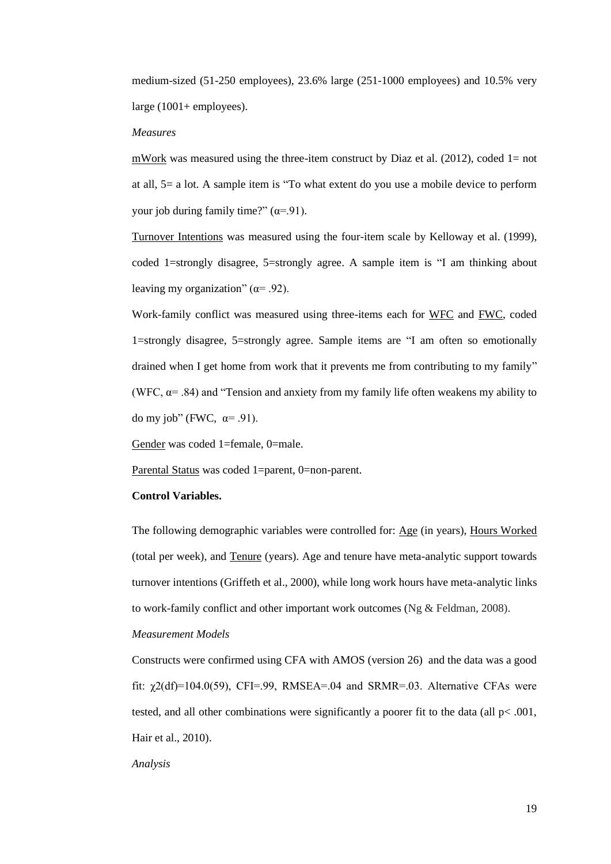medium-sized (51-250 employees), 23.6% large (251-1000 employees) and 10.5% very large  $(1001 + \text{employee})$ .

#### *Measures*

mWork was measured using the three-item construct by Diaz et al.  $(2012)$ , coded 1= not at all, 5= a lot. A sample item is "To what extent do you use a mobile device to perform your job during family time?"  $(\alpha = .91)$ .

Turnover Intentions was measured using the four-item scale by Kelloway et al. (1999), coded 1=strongly disagree, 5=strongly agree. A sample item is "I am thinking about leaving my organization" ( $\alpha$ = .92).

Work-family conflict was measured using three-items each for WFC and FWC, coded 1=strongly disagree, 5=strongly agree. Sample items are "I am often so emotionally drained when I get home from work that it prevents me from contributing to my family" (WFC,  $\alpha$  = .84) and "Tension and anxiety from my family life often weakens my ability to do my job" (FWC,  $\alpha$ = .91).

Gender was coded 1=female, 0=male.

Parental Status was coded 1=parent, 0=non-parent.

#### **Control Variables.**

The following demographic variables were controlled for: Age (in years), Hours Worked (total per week), and Tenure (years). Age and tenure have meta-analytic support towards turnover intentions (Griffeth et al., 2000), while long work hours have meta-analytic links to work-family conflict and other important work outcomes (Ng & Feldman, 2008).

# *Measurement Models*

Constructs were confirmed using CFA with AMOS (version 26) and the data was a good fit:  $\chi$ 2(df)=104.0(59), CFI=.99, RMSEA=.04 and SRMR=.03. Alternative CFAs were tested, and all other combinations were significantly a poorer fit to the data (all  $p<.001$ , Hair et al., 2010).

## *Analysis*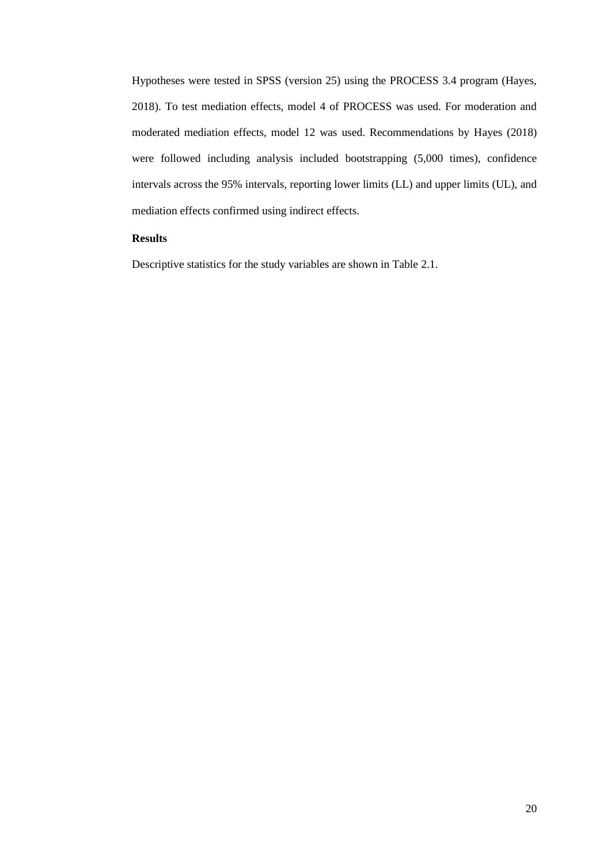Hypotheses were tested in SPSS (version 25) using the PROCESS 3.4 program (Hayes, 2018). To test mediation effects, model 4 of PROCESS was used. For moderation and moderated mediation effects, model 12 was used. Recommendations by Hayes (2018) were followed including analysis included bootstrapping (5,000 times), confidence intervals across the 95% intervals, reporting lower limits (LL) and upper limits (UL), and mediation effects confirmed using indirect effects.

# <span id="page-27-0"></span>**Results**

Descriptive statistics for the study variables are shown in Table 2.1.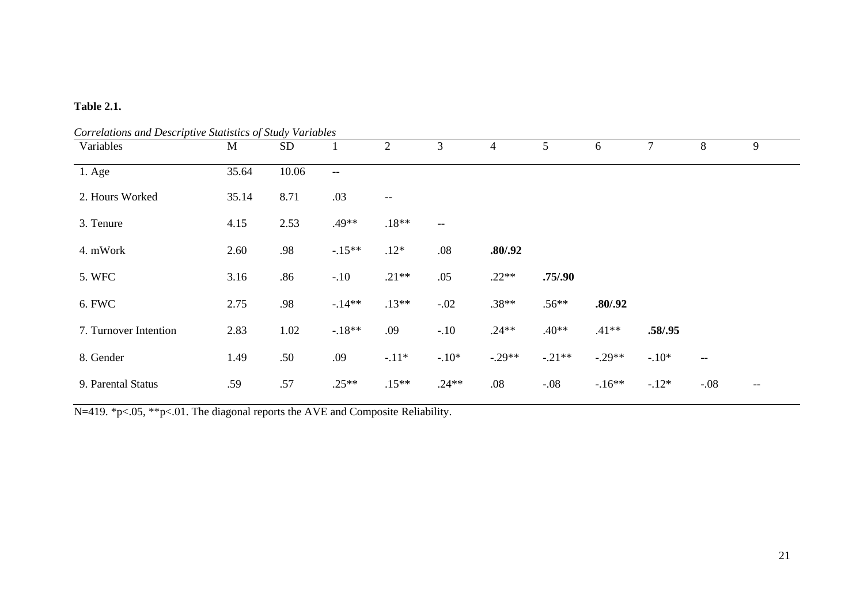# **Table 2.1.**

| Correlations and Descriptive Statistics of Study Variables<br>Variables | M     | <b>SD</b> |         | $\overline{2}$ | 3       | 4        | 5        | 6        | 7       | 8                                                   | 9     |
|-------------------------------------------------------------------------|-------|-----------|---------|----------------|---------|----------|----------|----------|---------|-----------------------------------------------------|-------|
| $1. \text{Age}$                                                         | 35.64 | 10.06     | $--$    |                |         |          |          |          |         |                                                     |       |
| 2. Hours Worked                                                         | 35.14 | 8.71      | .03     | $-\,-$         |         |          |          |          |         |                                                     |       |
| 3. Tenure                                                               | 4.15  | 2.53      | .49**   | $.18**$        | $--$    |          |          |          |         |                                                     |       |
| 4. mWork                                                                | 2.60  | .98       | $-15**$ | $.12*$         | .08     | .80/.92  |          |          |         |                                                     |       |
| 5. WFC                                                                  | 3.16  | .86       | $-.10$  | $.21**$        | .05     | $.22**$  | .75/.90  |          |         |                                                     |       |
| 6. FWC                                                                  | 2.75  | .98       | $-14**$ | $.13**$        | $-.02$  | $.38**$  | $.56**$  | .80/.92  |         |                                                     |       |
| 7. Turnover Intention                                                   | 2.83  | 1.02      | $-18**$ | .09            | $-.10$  | $.24**$  | $.40**$  | $.41**$  | .58/.95 |                                                     |       |
| 8. Gender                                                               | 1.49  | .50       | .09     | $-11*$         | $-.10*$ | $-.29**$ | $-.21**$ | $-.29**$ | $-.10*$ | $\hspace{0.05cm} -\hspace{0.05cm} -\hspace{0.05cm}$ |       |
| 9. Parental Status                                                      | .59   | .57       | $.25**$ | $.15**$        | $.24**$ | .08      | $-.08$   | $-16**$  | $-12*$  | $-.08$                                              | $- -$ |

N=419. \*p<.05, \*\*p<.01. The diagonal reports the AVE and Composite Reliability.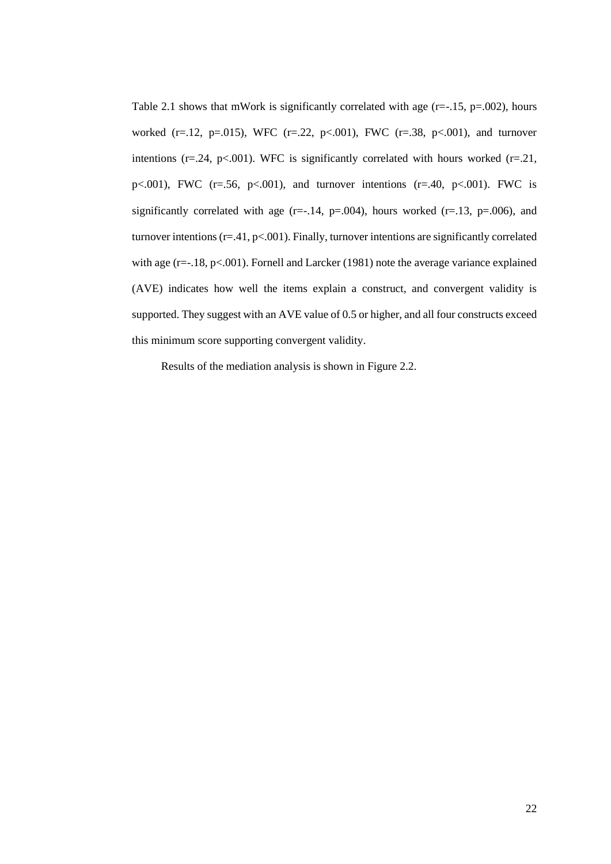Table 2.1 shows that mWork is significantly correlated with age  $(r=.15, p=.002)$ , hours worked (r=.12, p=.015), WFC (r=.22, p<.001), FWC (r=.38, p<.001), and turnover intentions ( $r = 0.24$ ,  $p < 0.001$ ). WFC is significantly correlated with hours worked ( $r = 0.21$ , p $\lt$ .001), FWC (r=.56, p $\lt$ .001), and turnover intentions (r=.40, p $\lt$ .001). FWC is significantly correlated with age (r=-.14, p=.004), hours worked (r=.13, p=.006), and turnover intentions ( $r = 0.41$ ,  $p < 0.001$ ). Finally, turnover intentions are significantly correlated with age (r=-.18, p<.001). Fornell and Larcker (1981) note the average variance explained (AVE) indicates how well the items explain a construct, and convergent validity is supported. They suggest with an AVE value of 0.5 or higher, and all four constructs exceed this minimum score supporting convergent validity.

Results of the mediation analysis is shown in Figure 2.2.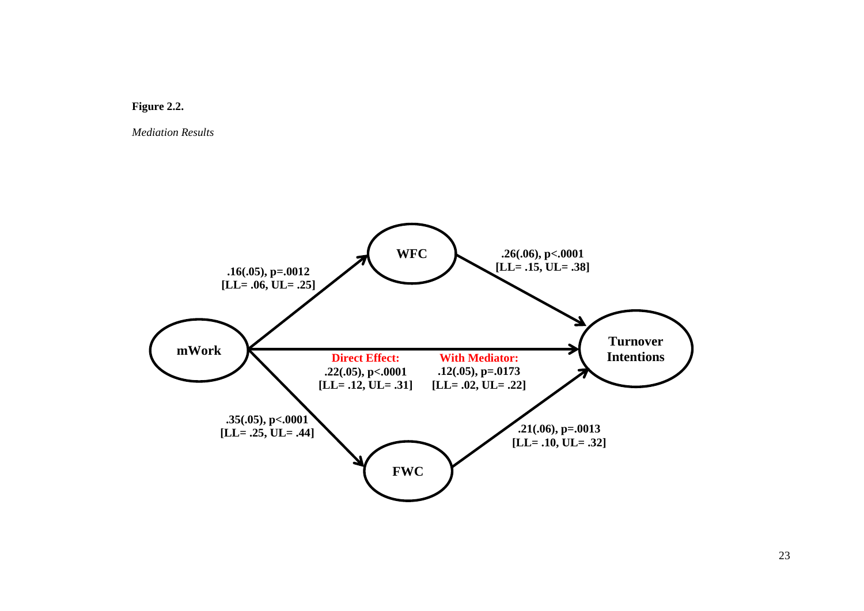

*Mediation Results*

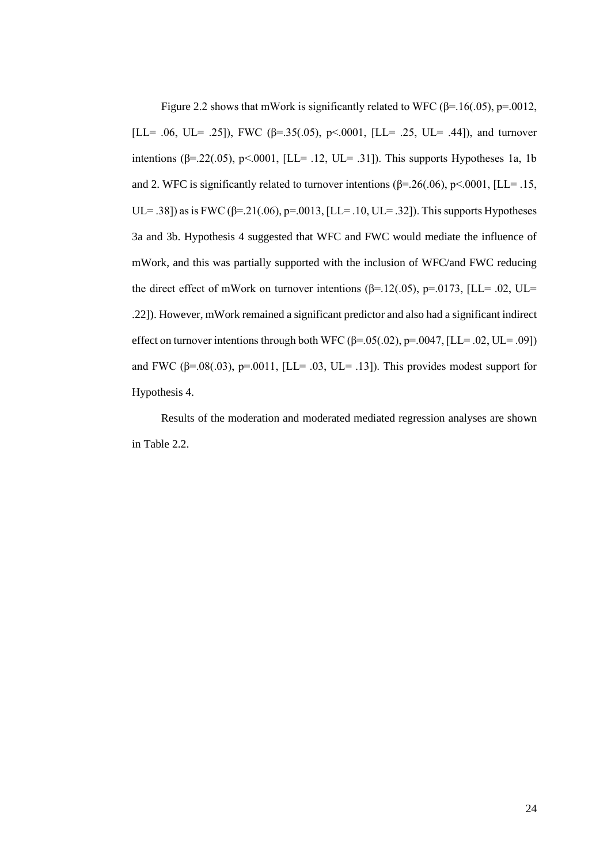Figure 2.2 shows that mWork is significantly related to WFC ( $\beta$ =.16(.05), p=.0012, [LL= .06, UL= .25]), FWC ( $\beta$ =.35(.05), p<.0001, [LL= .25, UL= .44]), and turnover intentions ( $\beta$ =.22(.05), p<.0001, [LL= .12, UL= .31]). This supports Hypotheses 1a, 1b and 2. WFC is significantly related to turnover intentions ( $\beta$ =.26(.06), p<.0001, [LL= .15, UL= .38]) as is FWC (β=.21(.06), p=.0013, [LL= .10, UL= .32]). This supports Hypotheses 3a and 3b. Hypothesis 4 suggested that WFC and FWC would mediate the influence of mWork, and this was partially supported with the inclusion of WFC/and FWC reducing the direct effect of mWork on turnover intentions ( $\beta$ =.12(.05), p=.0173, [LL= .02, UL= .22]). However, mWork remained a significant predictor and also had a significant indirect effect on turnover intentions through both WFC  $(\beta = .05(.02), \beta = .0047, [LL = .02, UL = .09])$ and FWC ( $\beta$ =.08(.03), p=.0011, [LL= .03, UL= .13]). This provides modest support for Hypothesis 4.

Results of the moderation and moderated mediated regression analyses are shown in Table 2.2.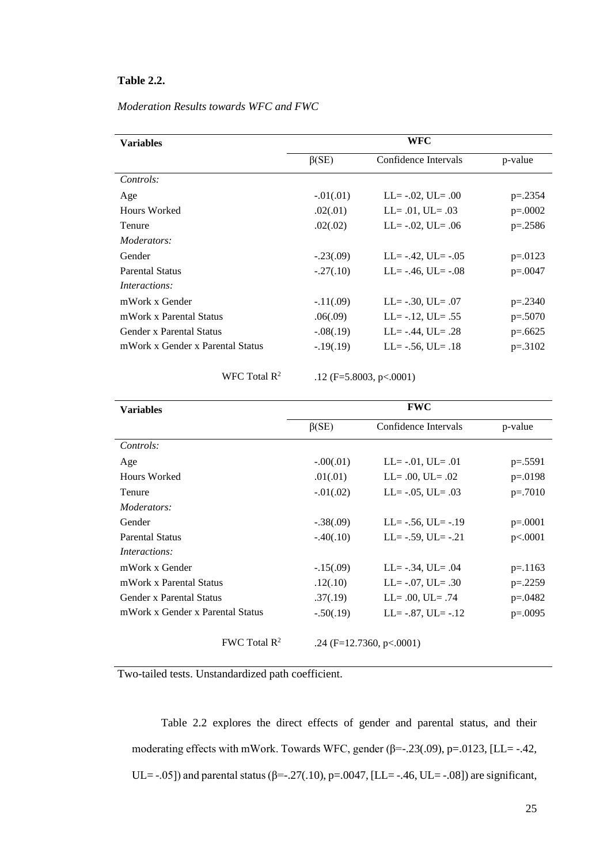# **Table 2.2.**

| Moderation Results towards WFC and FWC |  |  |  |
|----------------------------------------|--|--|--|
|                                        |  |  |  |

| <b>Variables</b>                 | WFC           |                           |           |  |  |
|----------------------------------|---------------|---------------------------|-----------|--|--|
|                                  | $\beta$ (SE)  | Confidence Intervals      | p-value   |  |  |
| Controls:                        |               |                           |           |  |  |
| Age                              | $-0.01(0.01)$ | $LL = -.02, UL = .00$     | $p=.2354$ |  |  |
| Hours Worked                     | .02(.01)      | $LL = .01$ , $UL = .03$   | $p=.0002$ |  |  |
| <b>Tenure</b>                    | .02(.02)      | $LL = -.02$ , $UL = .06$  | $p=.2586$ |  |  |
| Moderators:                      |               |                           |           |  |  |
| Gender                           | $-.23(.09)$   | $LL = -.42$ , $UL = -.05$ | $p=.0123$ |  |  |
| <b>Parental Status</b>           | $-.27(.10)$   | $LL = -.46$ , $UL = -.08$ | $p=.0047$ |  |  |
| <i>Interactions:</i>             |               |                           |           |  |  |
| mWork x Gender                   | $-11(.09)$    | $LL = -.30, UL = .07$     | $p=.2340$ |  |  |
| mWork x Parental Status          | .06(.09)      | $LL = -.12$ , $UL = .55$  | $p=.5070$ |  |  |
| Gender x Parental Status         | $-.08(.19)$   | $LL = -.44$ , $UL = .28$  | $p=.6625$ |  |  |
| mWork x Gender x Parental Status | $-19(0.19)$   | $LL = -.56$ , $UL = .18$  | $p=.3102$ |  |  |
|                                  |               |                           |           |  |  |

WFC Total R<sup>2</sup>

.12 (F=5.8003, p<.0001)

| <b>Variables</b>                 | <b>FWC</b>    |                           |           |  |  |
|----------------------------------|---------------|---------------------------|-----------|--|--|
|                                  | $\beta$ (SE)  | Confidence Intervals      | p-value   |  |  |
| Controls:                        |               |                           |           |  |  |
| Age                              | $-.00(.01)$   | $LL = -.01$ , $UL = .01$  | $p=.5591$ |  |  |
| Hours Worked                     | .01(.01)      | $LL = .00$ , $UL = .02$   | $p=.0198$ |  |  |
| Tenure                           | $-0.01(0.02)$ | $LL = -.05$ , $UL = .03$  | $p=.7010$ |  |  |
| Moderators:                      |               |                           |           |  |  |
| Gender                           | $-.38(.09)$   | $LL = -.56, UL = -.19$    | $p=.0001$ |  |  |
| <b>Parental Status</b>           | $-.40(.10)$   | $LL = -.59, UL = -.21$    | p<.0001   |  |  |
| <i>Interactions:</i>             |               |                           |           |  |  |
| mWork x Gender                   | $-.15(.09)$   | $LL = -.34$ , $UL = .04$  | $p=.1163$ |  |  |
| mWork x Parental Status          | .12(.10)      | $LL = -.07, UL = .30$     | $p=.2259$ |  |  |
| Gender x Parental Status         | .37(.19)      | $LL = .00$ , $UL = .74$   | $p=.0482$ |  |  |
| mWork x Gender x Parental Status | $-.50(.19)$   | $LL = -.87$ , $UL = -.12$ | $p=.0095$ |  |  |
| FWC Total $\mathbb{R}^2$         |               | .24 (F=12.7360, p<.0001)  |           |  |  |

Two-tailed tests. Unstandardized path coefficient.

Table 2.2 explores the direct effects of gender and parental status, and their moderating effects with mWork. Towards WFC, gender (β=-.23(.09), p=.0123, [LL= -.42, UL= -.05]) and parental status ( $\beta$ =-.27(.10), p=.0047, [LL= -.46, UL= -.08]) are significant,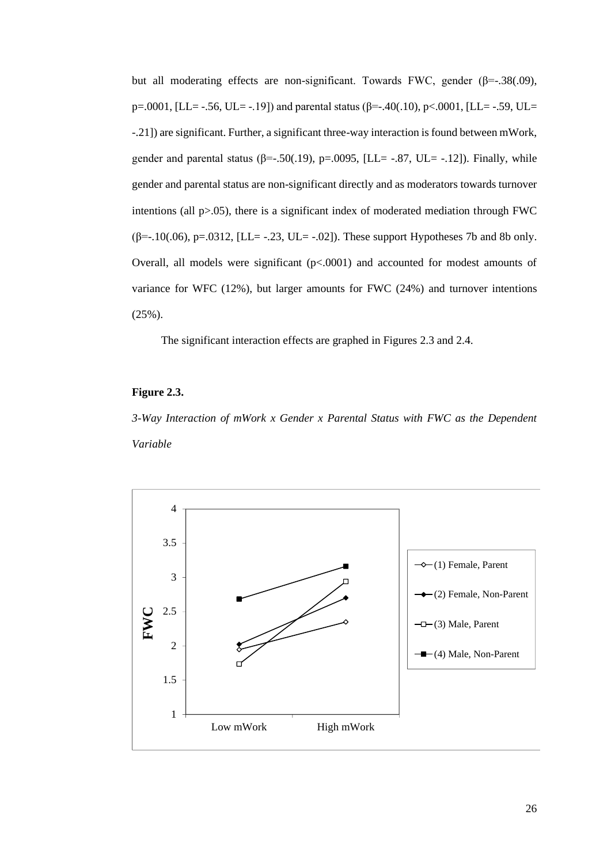but all moderating effects are non-significant. Towards FWC, gender  $(\beta = .38(.09))$ , p=.0001, [LL= -.56, UL= -.19]) and parental status (β=-.40(.10), p<.0001, [LL= -.59, UL= -.21]) are significant. Further, a significant three-way interaction is found between mWork, gender and parental status ( $\beta = .50(.19)$ ,  $p = .0095$ , [LL= -.87, UL= -.12]). Finally, while gender and parental status are non-significant directly and as moderators towards turnover intentions (all p>.05), there is a significant index of moderated mediation through FWC ( $\beta$ =-.10(.06), p=.0312, [LL= -.23, UL= -.02]). These support Hypotheses 7b and 8b only. Overall, all models were significant  $(p<.0001)$  and accounted for modest amounts of variance for WFC (12%), but larger amounts for FWC (24%) and turnover intentions (25%).

The significant interaction effects are graphed in Figures 2.3 and 2.4.

# **Figure 2.3.**

*3-Way Interaction of mWork x Gender x Parental Status with FWC as the Dependent Variable*

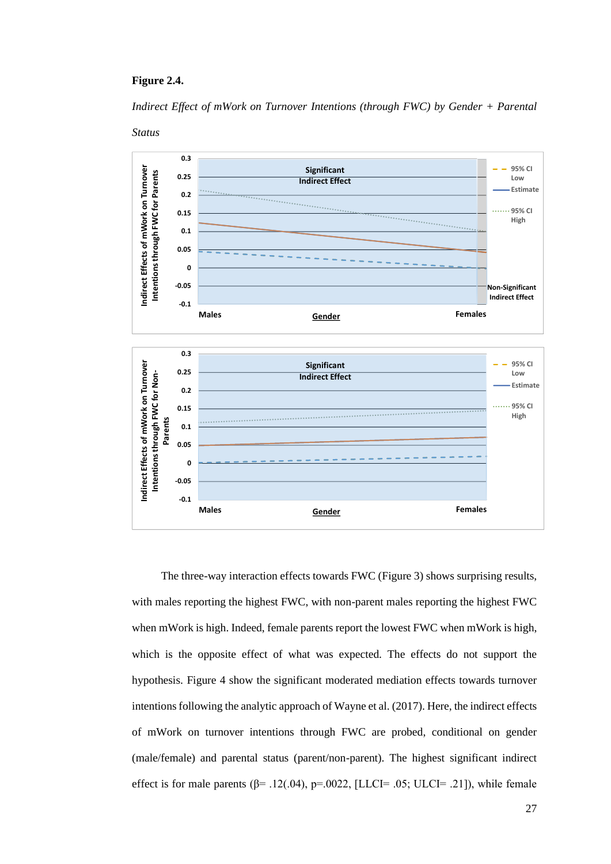#### **Figure 2.4.**

*Indirect Effect of mWork on Turnover Intentions (through FWC) by Gender + Parental* 



The three-way interaction effects towards FWC (Figure 3) shows surprising results, with males reporting the highest FWC, with non-parent males reporting the highest FWC when mWork is high. Indeed, female parents report the lowest FWC when mWork is high, which is the opposite effect of what was expected. The effects do not support the hypothesis. Figure 4 show the significant moderated mediation effects towards turnover

intentions following the analytic approach of Wayne et al. (2017). Here, the indirect effects of mWork on turnover intentions through FWC are probed, conditional on gender (male/female) and parental status (parent/non-parent). The highest significant indirect effect is for male parents ( $\beta$ = .12(.04), p=.0022, [LLCI= .05; ULCI= .21]), while female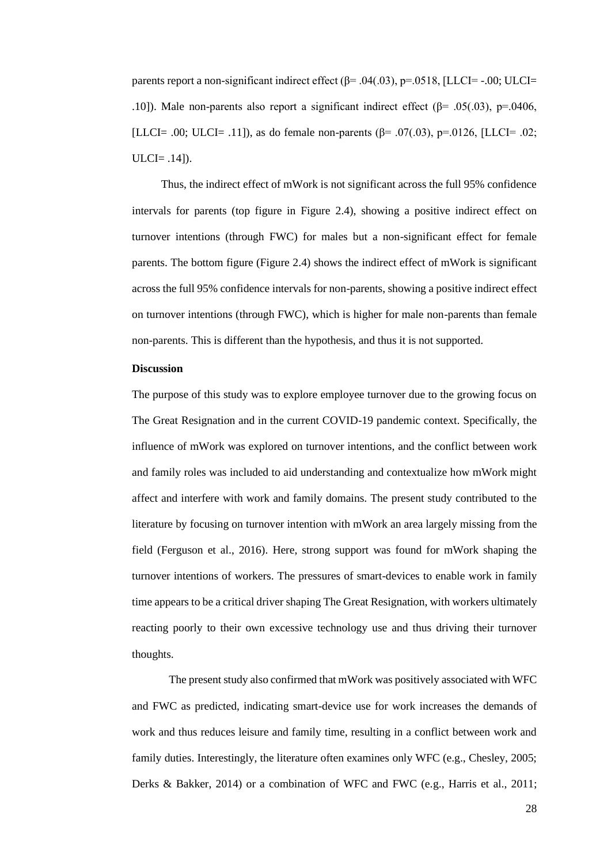parents report a non-significant indirect effect  $(\beta = .04(.03), \beta = .0518, [LLCI = -.00; ULCI = ]$ .10]). Male non-parents also report a significant indirect effect ( $\beta$ = .05(.03), p=.0406, [LLCI= .00; ULCI= .11]), as do female non-parents  $(\beta = .07(.03), p = .0126,$  [LLCI= .02; ULCI= .14]).

Thus, the indirect effect of mWork is not significant across the full 95% confidence intervals for parents (top figure in Figure 2.4), showing a positive indirect effect on turnover intentions (through FWC) for males but a non-significant effect for female parents. The bottom figure (Figure 2.4) shows the indirect effect of mWork is significant across the full 95% confidence intervals for non-parents, showing a positive indirect effect on turnover intentions (through FWC), which is higher for male non-parents than female non-parents. This is different than the hypothesis, and thus it is not supported.

## <span id="page-35-0"></span>**Discussion**

The purpose of this study was to explore employee turnover due to the growing focus on The Great Resignation and in the current COVID-19 pandemic context. Specifically, the influence of mWork was explored on turnover intentions, and the conflict between work and family roles was included to aid understanding and contextualize how mWork might affect and interfere with work and family domains. The present study contributed to the literature by focusing on turnover intention with mWork an area largely missing from the field (Ferguson et al., 2016). Here, strong support was found for mWork shaping the turnover intentions of workers. The pressures of smart-devices to enable work in family time appears to be a critical driver shaping The Great Resignation, with workers ultimately reacting poorly to their own excessive technology use and thus driving their turnover thoughts.

The present study also confirmed that mWork was positively associated with WFC and FWC as predicted, indicating smart-device use for work increases the demands of work and thus reduces leisure and family time, resulting in a conflict between work and family duties. Interestingly, the literature often examines only WFC (e.g., Chesley, 2005; Derks & Bakker, 2014) or a combination of WFC and FWC (e.g., Harris et al., 2011;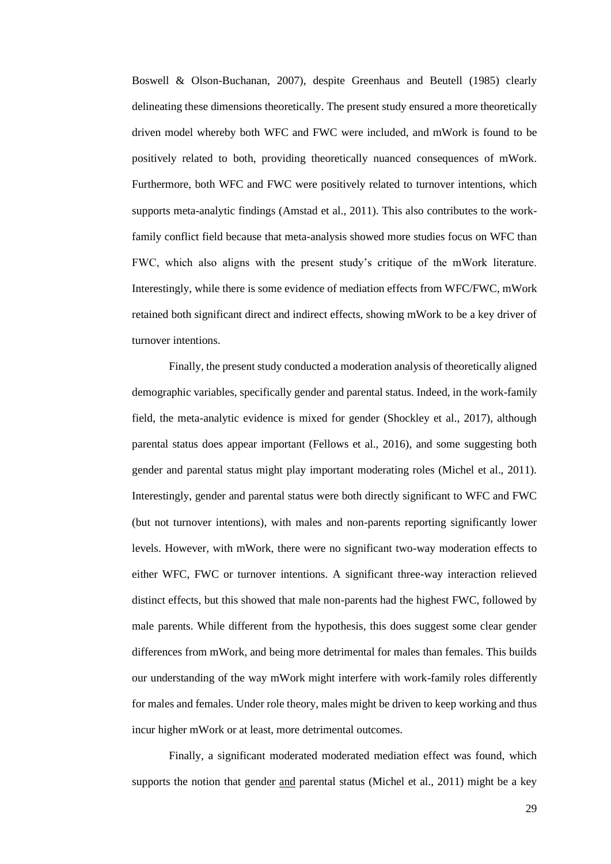Boswell & Olson-Buchanan, 2007), despite Greenhaus and Beutell (1985) clearly delineating these dimensions theoretically. The present study ensured a more theoretically driven model whereby both WFC and FWC were included, and mWork is found to be positively related to both, providing theoretically nuanced consequences of mWork. Furthermore, both WFC and FWC were positively related to turnover intentions, which supports meta-analytic findings (Amstad et al., 2011). This also contributes to the workfamily conflict field because that meta-analysis showed more studies focus on WFC than FWC, which also aligns with the present study's critique of the mWork literature. Interestingly, while there is some evidence of mediation effects from WFC/FWC, mWork retained both significant direct and indirect effects, showing mWork to be a key driver of turnover intentions.

Finally, the present study conducted a moderation analysis of theoretically aligned demographic variables, specifically gender and parental status. Indeed, in the work-family field, the meta-analytic evidence is mixed for gender (Shockley et al., 2017), although parental status does appear important (Fellows et al., 2016), and some suggesting both gender and parental status might play important moderating roles (Michel et al., 2011). Interestingly, gender and parental status were both directly significant to WFC and FWC (but not turnover intentions), with males and non-parents reporting significantly lower levels. However, with mWork, there were no significant two-way moderation effects to either WFC, FWC or turnover intentions. A significant three-way interaction relieved distinct effects, but this showed that male non-parents had the highest FWC, followed by male parents. While different from the hypothesis, this does suggest some clear gender differences from mWork, and being more detrimental for males than females. This builds our understanding of the way mWork might interfere with work-family roles differently for males and females. Under role theory, males might be driven to keep working and thus incur higher mWork or at least, more detrimental outcomes.

Finally, a significant moderated moderated mediation effect was found, which supports the notion that gender and parental status (Michel et al., 2011) might be a key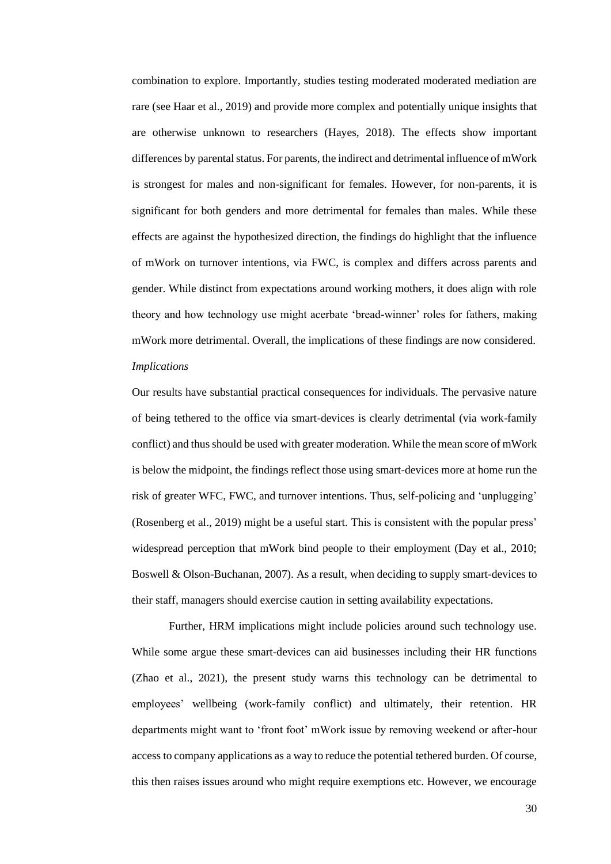combination to explore. Importantly, studies testing moderated moderated mediation are rare (see Haar et al., 2019) and provide more complex and potentially unique insights that are otherwise unknown to researchers (Hayes, 2018). The effects show important differences by parental status. For parents, the indirect and detrimental influence of mWork is strongest for males and non-significant for females. However, for non-parents, it is significant for both genders and more detrimental for females than males. While these effects are against the hypothesized direction, the findings do highlight that the influence of mWork on turnover intentions, via FWC, is complex and differs across parents and gender. While distinct from expectations around working mothers, it does align with role theory and how technology use might acerbate 'bread-winner' roles for fathers, making mWork more detrimental. Overall, the implications of these findings are now considered. *Implications* 

Our results have substantial practical consequences for individuals. The pervasive nature of being tethered to the office via smart-devices is clearly detrimental (via work-family conflict) and thus should be used with greater moderation. While the mean score of mWork is below the midpoint, the findings reflect those using smart-devices more at home run the risk of greater WFC, FWC, and turnover intentions. Thus, self-policing and 'unplugging' (Rosenberg et al., 2019) might be a useful start. This is consistent with the popular press' widespread perception that mWork bind people to their employment (Day et al., 2010; Boswell & Olson-Buchanan, 2007). As a result, when deciding to supply smart-devices to their staff, managers should exercise caution in setting availability expectations.

Further, HRM implications might include policies around such technology use. While some argue these smart-devices can aid businesses including their HR functions (Zhao et al., 2021), the present study warns this technology can be detrimental to employees' wellbeing (work-family conflict) and ultimately, their retention. HR departments might want to 'front foot' mWork issue by removing weekend or after-hour access to company applications as a way to reduce the potential tethered burden. Of course, this then raises issues around who might require exemptions etc. However, we encourage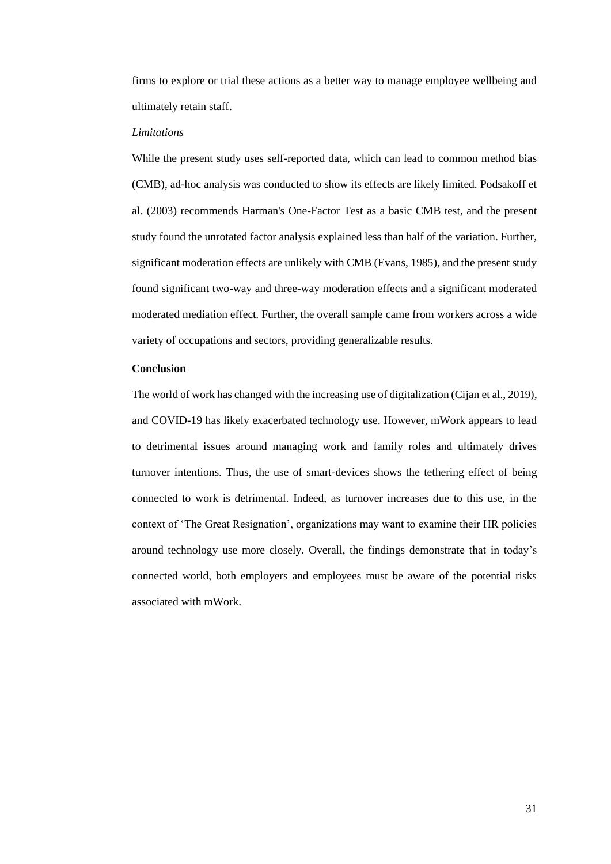firms to explore or trial these actions as a better way to manage employee wellbeing and ultimately retain staff.

#### *Limitations*

While the present study uses self-reported data, which can lead to common method bias (CMB), ad-hoc analysis was conducted to show its effects are likely limited. Podsakoff et al. (2003) recommends Harman's One-Factor Test as a basic CMB test, and the present study found the unrotated factor analysis explained less than half of the variation. Further, significant moderation effects are unlikely with CMB (Evans, 1985), and the present study found significant two-way and three-way moderation effects and a significant moderated moderated mediation effect. Further, the overall sample came from workers across a wide variety of occupations and sectors, providing generalizable results.

#### **Conclusion**

The world of work has changed with the increasing use of digitalization (Cijan et al., 2019), and COVID-19 has likely exacerbated technology use. However, mWork appears to lead to detrimental issues around managing work and family roles and ultimately drives turnover intentions. Thus, the use of smart-devices shows the tethering effect of being connected to work is detrimental. Indeed, as turnover increases due to this use, in the context of 'The Great Resignation', organizations may want to examine their HR policies around technology use more closely. Overall, the findings demonstrate that in today's connected world, both employers and employees must be aware of the potential risks associated with mWork.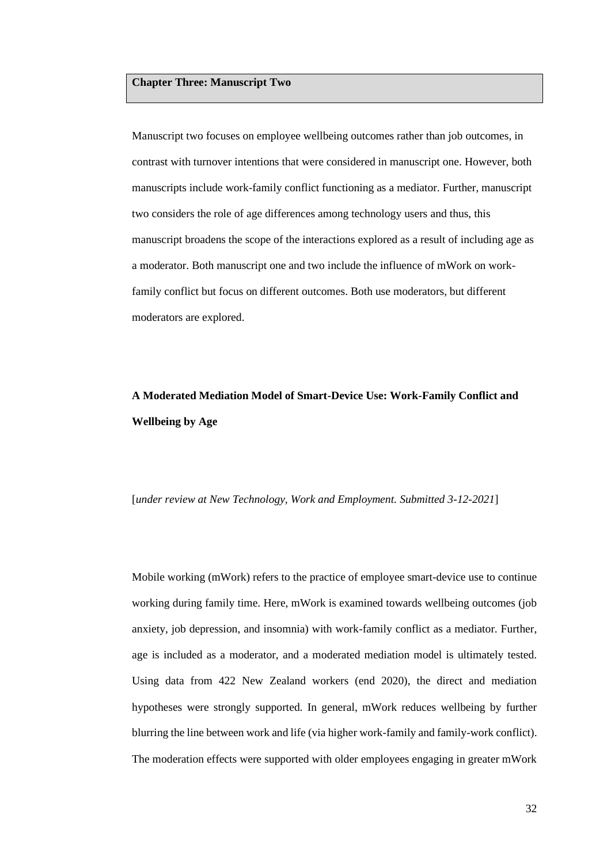## **Chapter Three: Manuscript Two**

Manuscript two focuses on employee wellbeing outcomes rather than job outcomes, in contrast with turnover intentions that were considered in manuscript one. However, both manuscripts include work-family conflict functioning as a mediator. Further, manuscript two considers the role of age differences among technology users and thus, this manuscript broadens the scope of the interactions explored as a result of including age as a moderator. Both manuscript one and two include the influence of mWork on workfamily conflict but focus on different outcomes. Both use moderators, but different moderators are explored.

# **A Moderated Mediation Model of Smart-Device Use: Work-Family Conflict and Wellbeing by Age**

[*under review at New Technology, Work and Employment. Submitted 3-12-2021*]

Mobile working (mWork) refers to the practice of employee smart-device use to continue working during family time. Here, mWork is examined towards wellbeing outcomes (job anxiety, job depression, and insomnia) with work-family conflict as a mediator. Further, age is included as a moderator, and a moderated mediation model is ultimately tested. Using data from 422 New Zealand workers (end 2020), the direct and mediation hypotheses were strongly supported. In general, mWork reduces wellbeing by further blurring the line between work and life (via higher work-family and family-work conflict). The moderation effects were supported with older employees engaging in greater mWork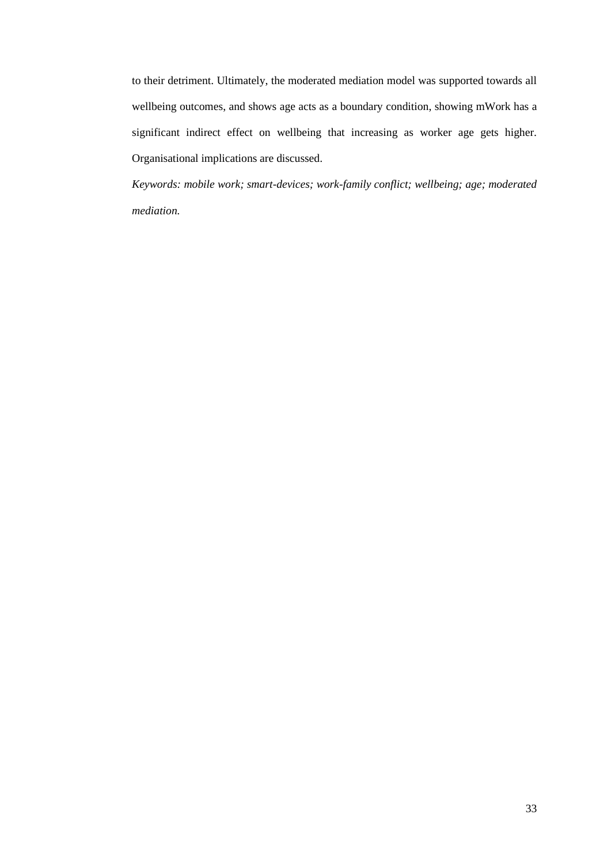to their detriment. Ultimately, the moderated mediation model was supported towards all wellbeing outcomes, and shows age acts as a boundary condition, showing mWork has a significant indirect effect on wellbeing that increasing as worker age gets higher. Organisational implications are discussed.

*Keywords: mobile work; smart-devices; work-family conflict; wellbeing; age; moderated mediation.*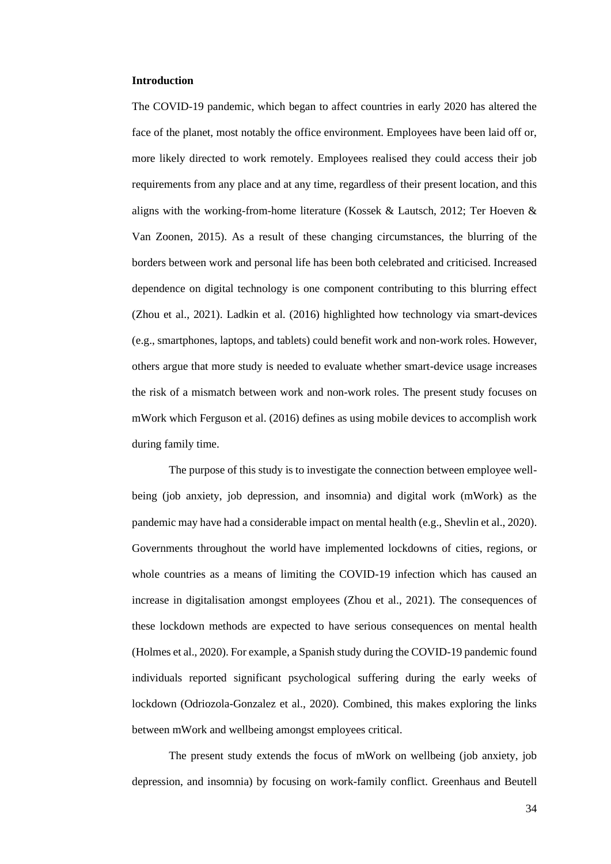#### **Introduction**

The COVID-19 pandemic, which began to affect countries in early 2020 has altered the face of the planet, most notably the office environment. Employees have been laid off or, more likely directed to work remotely. Employees realised they could access their job requirements from any place and at any time, regardless of their present location, and this aligns with the working-from-home literature (Kossek & Lautsch, 2012; Ter Hoeven & Van Zoonen, 2015). As a result of these changing circumstances, the blurring of the borders between work and personal life has been both celebrated and criticised. Increased dependence on digital technology is one component contributing to this blurring effect (Zhou et al., 2021). Ladkin et al. (2016) highlighted how technology via smart-devices (e.g., smartphones, laptops, and tablets) could benefit work and non-work roles. However, others argue that more study is needed to evaluate whether smart-device usage increases the risk of a mismatch between work and non-work roles. The present study focuses on mWork which Ferguson et al. (2016) defines as using mobile devices to accomplish work during family time.

The purpose of this study is to investigate the connection between employee wellbeing (job anxiety, job depression, and insomnia) and digital work (mWork) as the pandemic may have had a considerable impact on mental health (e.g., Shevlin et al., 2020). Governments throughout the world have implemented lockdowns of cities, regions, or whole countries as a means of limiting the COVID-19 infection which has caused an increase in digitalisation amongst employees (Zhou et al., 2021). The consequences of these lockdown methods are expected to have serious consequences on mental health (Holmes et al., 2020). For example, a Spanish study during the COVID-19 pandemic found individuals reported significant psychological suffering during the early weeks of lockdown (Odriozola-Gonzalez et al., 2020). Combined, this makes exploring the links between mWork and wellbeing amongst employees critical.

The present study extends the focus of mWork on wellbeing (job anxiety, job depression, and insomnia) by focusing on work-family conflict. Greenhaus and Beutell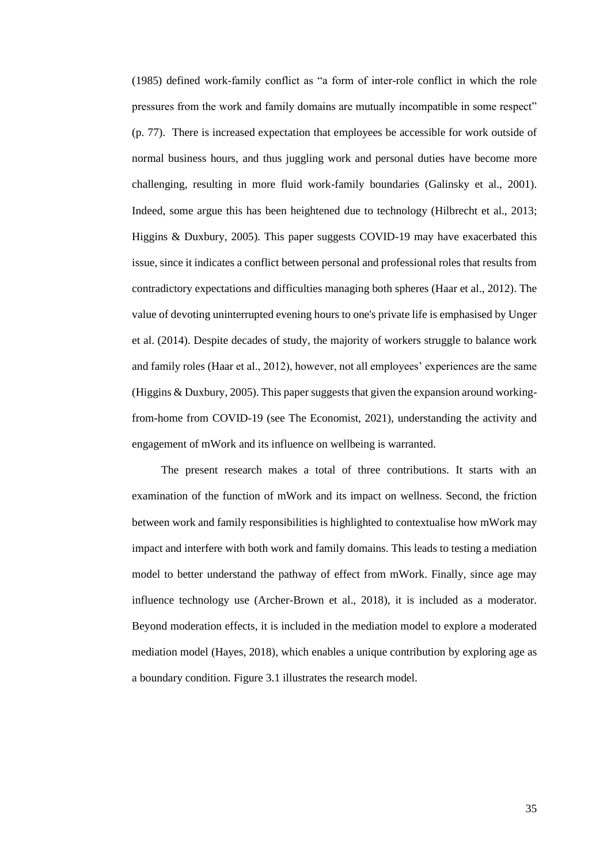(1985) defined work-family conflict as "a form of inter-role conflict in which the role pressures from the work and family domains are mutually incompatible in some respect" (p. 77). There is increased expectation that employees be accessible for work outside of normal business hours, and thus juggling work and personal duties have become more challenging, resulting in more fluid work-family boundaries (Galinsky et al., 2001). Indeed, some argue this has been heightened due to technology (Hilbrecht et al., 2013; Higgins & Duxbury, 2005). This paper suggests COVID-19 may have exacerbated this issue, since it indicates a conflict between personal and professional roles that results from contradictory expectations and difficulties managing both spheres (Haar et al., 2012). The value of devoting uninterrupted evening hours to one's private life is emphasised by Unger et al. (2014). Despite decades of study, the majority of workers struggle to balance work and family roles (Haar et al., 2012), however, not all employees' experiences are the same (Higgins & Duxbury, 2005). This paper suggests that given the expansion around workingfrom-home from COVID-19 (see The Economist, 2021), understanding the activity and engagement of mWork and its influence on wellbeing is warranted.

The present research makes a total of three contributions. It starts with an examination of the function of mWork and its impact on wellness. Second, the friction between work and family responsibilities is highlighted to contextualise how mWork may impact and interfere with both work and family domains. This leads to testing a mediation model to better understand the pathway of effect from mWork. Finally, since age may influence technology use (Archer-Brown et al., 2018), it is included as a moderator. Beyond moderation effects, it is included in the mediation model to explore a moderated mediation model (Hayes, 2018), which enables a unique contribution by exploring age as a boundary condition. Figure 3.1 illustrates the research model.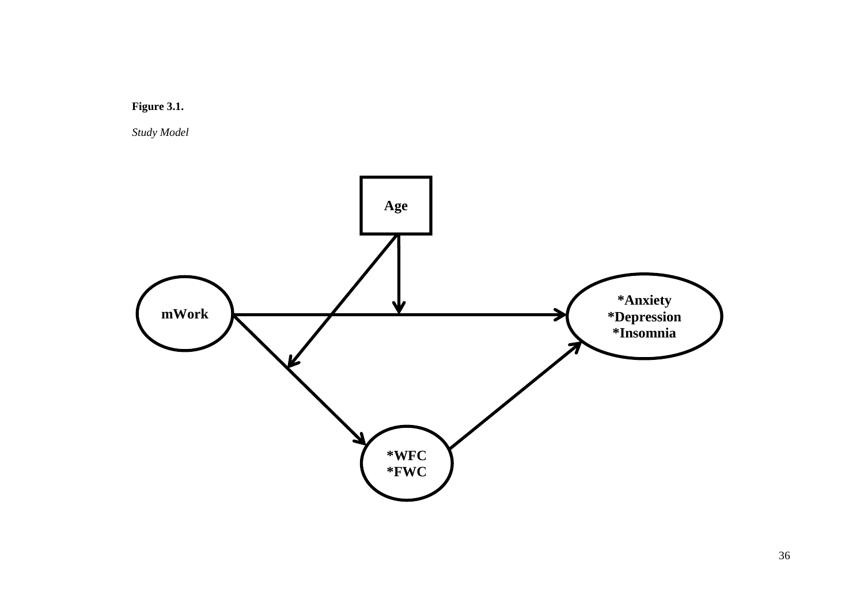

*Study Model*

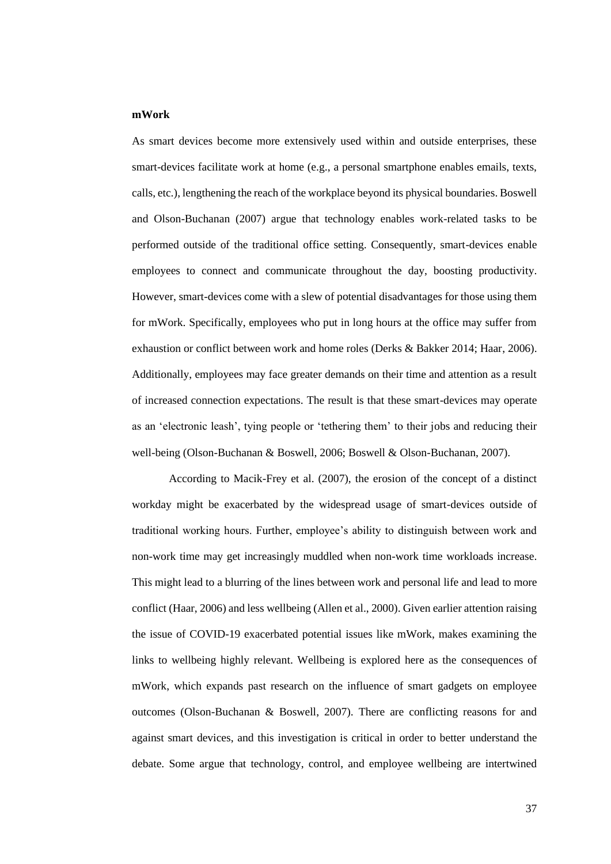#### **mWork**

As smart devices become more extensively used within and outside enterprises, these smart-devices facilitate work at home (e.g., a personal smartphone enables emails, texts, calls, etc.), lengthening the reach of the workplace beyond its physical boundaries. Boswell and Olson-Buchanan (2007) argue that technology enables work-related tasks to be performed outside of the traditional office setting. Consequently, smart-devices enable employees to connect and communicate throughout the day, boosting productivity. However, smart-devices come with a slew of potential disadvantages for those using them for mWork. Specifically, employees who put in long hours at the office may suffer from exhaustion or conflict between work and home roles (Derks & Bakker 2014; Haar, 2006). Additionally, employees may face greater demands on their time and attention as a result of increased connection expectations. The result is that these smart-devices may operate as an 'electronic leash', tying people or 'tethering them' to their jobs and reducing their well-being (Olson-Buchanan & Boswell, 2006; Boswell & Olson-Buchanan, 2007).

According to Macik-Frey et al. (2007), the erosion of the concept of a distinct workday might be exacerbated by the widespread usage of smart-devices outside of traditional working hours. Further, employee's ability to distinguish between work and non-work time may get increasingly muddled when non-work time workloads increase. This might lead to a blurring of the lines between work and personal life and lead to more conflict (Haar, 2006) and less wellbeing (Allen et al., 2000). Given earlier attention raising the issue of COVID-19 exacerbated potential issues like mWork, makes examining the links to wellbeing highly relevant. Wellbeing is explored here as the consequences of mWork, which expands past research on the influence of smart gadgets on employee outcomes (Olson-Buchanan & Boswell, 2007). There are conflicting reasons for and against smart devices, and this investigation is critical in order to better understand the debate. Some argue that technology, control, and employee wellbeing are intertwined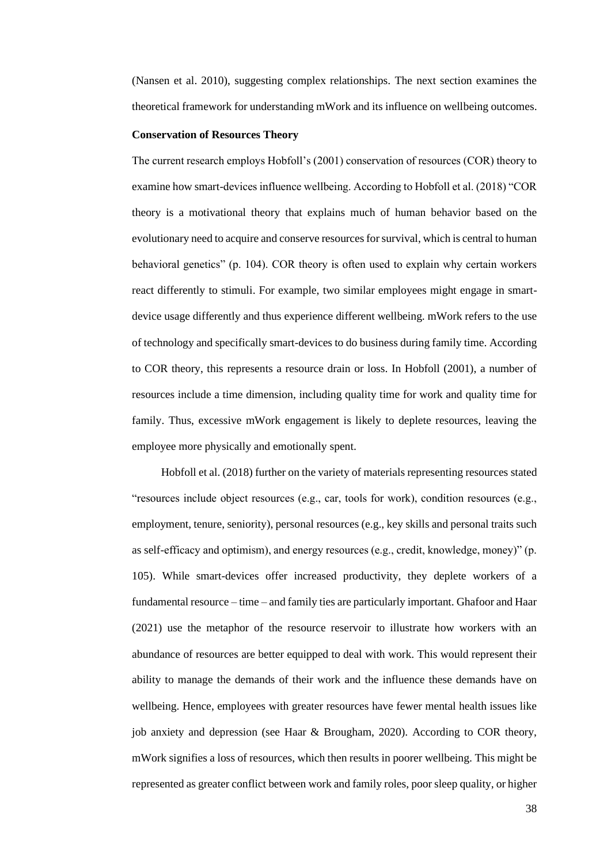(Nansen et al. 2010), suggesting complex relationships. The next section examines the theoretical framework for understanding mWork and its influence on wellbeing outcomes.

#### **Conservation of Resources Theory**

The current research employs Hobfoll's (2001) conservation of resources (COR) theory to examine how smart-devices influence wellbeing. According to Hobfoll et al. (2018) "COR theory is a motivational theory that explains much of human behavior based on the evolutionary need to acquire and conserve resources for survival, which is central to human behavioral genetics" (p. 104). COR theory is often used to explain why certain workers react differently to stimuli. For example, two similar employees might engage in smartdevice usage differently and thus experience different wellbeing. mWork refers to the use of technology and specifically smart-devices to do business during family time. According to COR theory, this represents a resource drain or loss. In Hobfoll (2001), a number of resources include a time dimension, including quality time for work and quality time for family. Thus, excessive mWork engagement is likely to deplete resources, leaving the employee more physically and emotionally spent.

Hobfoll et al. (2018) further on the variety of materials representing resources stated "resources include object resources (e.g., car, tools for work), condition resources (e.g., employment, tenure, seniority), personal resources (e.g., key skills and personal traits such as self-efficacy and optimism), and energy resources (e.g., credit, knowledge, money)" (p. 105). While smart-devices offer increased productivity, they deplete workers of a fundamental resource – time – and family ties are particularly important. Ghafoor and Haar (2021) use the metaphor of the resource reservoir to illustrate how workers with an abundance of resources are better equipped to deal with work. This would represent their ability to manage the demands of their work and the influence these demands have on wellbeing. Hence, employees with greater resources have fewer mental health issues like job anxiety and depression (see Haar & Brougham, 2020). According to COR theory, mWork signifies a loss of resources, which then results in poorer wellbeing. This might be represented as greater conflict between work and family roles, poor sleep quality, or higher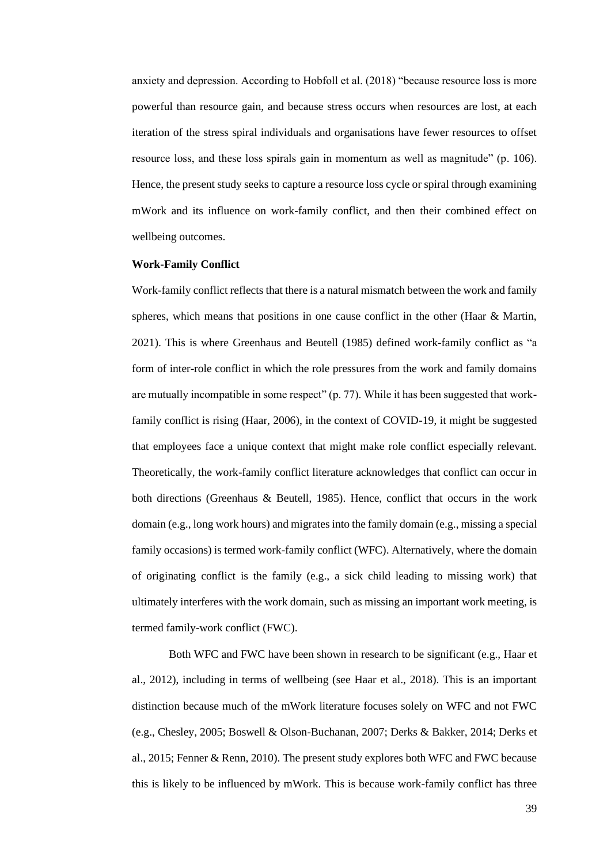anxiety and depression. According to Hobfoll et al. (2018) "because resource loss is more powerful than resource gain, and because stress occurs when resources are lost, at each iteration of the stress spiral individuals and organisations have fewer resources to offset resource loss, and these loss spirals gain in momentum as well as magnitude" (p. 106). Hence, the present study seeks to capture a resource loss cycle or spiral through examining mWork and its influence on work-family conflict, and then their combined effect on wellbeing outcomes.

# **Work-Family Conflict**

Work-family conflict reflects that there is a natural mismatch between the work and family spheres, which means that positions in one cause conflict in the other (Haar & Martin, 2021). This is where Greenhaus and Beutell (1985) defined work-family conflict as "a form of inter-role conflict in which the role pressures from the work and family domains are mutually incompatible in some respect" (p. 77). While it has been suggested that workfamily conflict is rising (Haar, 2006), in the context of COVID-19, it might be suggested that employees face a unique context that might make role conflict especially relevant. Theoretically, the work-family conflict literature acknowledges that conflict can occur in both directions (Greenhaus & Beutell, 1985). Hence, conflict that occurs in the work domain (e.g., long work hours) and migrates into the family domain (e.g., missing a special family occasions) is termed work-family conflict (WFC). Alternatively, where the domain of originating conflict is the family (e.g., a sick child leading to missing work) that ultimately interferes with the work domain, such as missing an important work meeting, is termed family-work conflict (FWC).

Both WFC and FWC have been shown in research to be significant (e.g., Haar et al., 2012), including in terms of wellbeing (see Haar et al., 2018). This is an important distinction because much of the mWork literature focuses solely on WFC and not FWC (e.g., Chesley, 2005; Boswell & Olson-Buchanan, 2007; Derks & Bakker, 2014; Derks et al., 2015; Fenner & Renn, 2010). The present study explores both WFC and FWC because this is likely to be influenced by mWork. This is because work-family conflict has three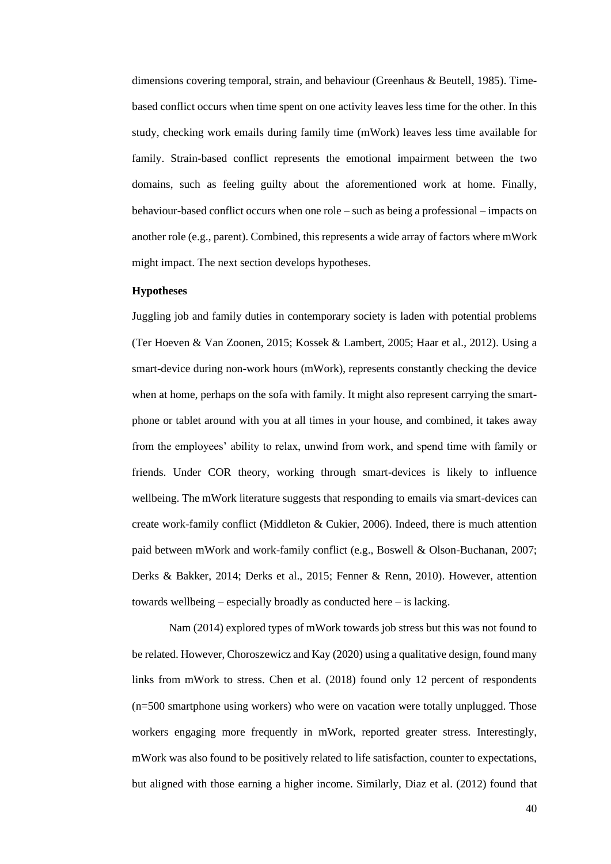dimensions covering temporal, strain, and behaviour (Greenhaus & Beutell, 1985). Timebased conflict occurs when time spent on one activity leaves less time for the other. In this study, checking work emails during family time (mWork) leaves less time available for family. Strain-based conflict represents the emotional impairment between the two domains, such as feeling guilty about the aforementioned work at home. Finally, behaviour-based conflict occurs when one role – such as being a professional – impacts on another role (e.g., parent). Combined, this represents a wide array of factors where mWork might impact. The next section develops hypotheses.

#### **Hypotheses**

Juggling job and family duties in contemporary society is laden with potential problems (Ter Hoeven & Van Zoonen, 2015; Kossek & Lambert, 2005; Haar et al., 2012). Using a smart-device during non-work hours (mWork), represents constantly checking the device when at home, perhaps on the sofa with family. It might also represent carrying the smartphone or tablet around with you at all times in your house, and combined, it takes away from the employees' ability to relax, unwind from work, and spend time with family or friends. Under COR theory, working through smart-devices is likely to influence wellbeing. The mWork literature suggests that responding to emails via smart-devices can create work-family conflict (Middleton & Cukier, 2006). Indeed, there is much attention paid between mWork and work-family conflict (e.g., Boswell & Olson-Buchanan, 2007; Derks & Bakker, 2014; Derks et al., 2015; Fenner & Renn, 2010). However, attention towards wellbeing – especially broadly as conducted here – is lacking.

Nam (2014) explored types of mWork towards job stress but this was not found to be related. However, Choroszewicz and Kay (2020) using a qualitative design, found many links from mWork to stress. Chen et al. (2018) found only 12 percent of respondents (n=500 smartphone using workers) who were on vacation were totally unplugged. Those workers engaging more frequently in mWork, reported greater stress. Interestingly, mWork was also found to be positively related to life satisfaction, counter to expectations, but aligned with those earning a higher income. Similarly, Diaz et al. (2012) found that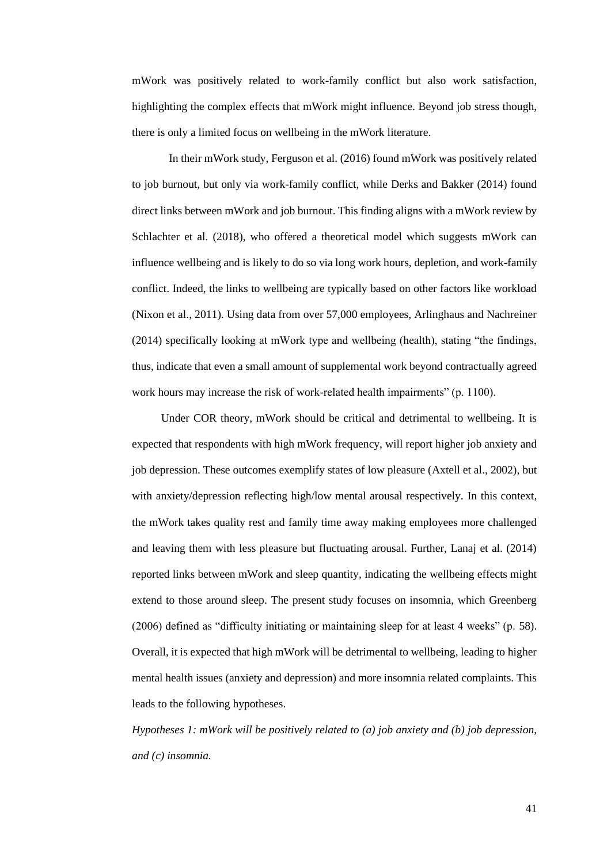mWork was positively related to work-family conflict but also work satisfaction, highlighting the complex effects that mWork might influence. Beyond job stress though, there is only a limited focus on wellbeing in the mWork literature.

In their mWork study, Ferguson et al. (2016) found mWork was positively related to job burnout, but only via work-family conflict, while Derks and Bakker (2014) found direct links between mWork and job burnout. This finding aligns with a mWork review by Schlachter et al. (2018), who offered a theoretical model which suggests mWork can influence wellbeing and is likely to do so via long work hours, depletion, and work-family conflict. Indeed, the links to wellbeing are typically based on other factors like workload (Nixon et al., 2011). Using data from over 57,000 employees, Arlinghaus and Nachreiner (2014) specifically looking at mWork type and wellbeing (health), stating "the findings, thus, indicate that even a small amount of supplemental work beyond contractually agreed work hours may increase the risk of work-related health impairments" (p. 1100).

Under COR theory, mWork should be critical and detrimental to wellbeing. It is expected that respondents with high mWork frequency, will report higher job anxiety and job depression. These outcomes exemplify states of low pleasure (Axtell et al., 2002), but with anxiety/depression reflecting high/low mental arousal respectively. In this context, the mWork takes quality rest and family time away making employees more challenged and leaving them with less pleasure but fluctuating arousal. Further, Lanaj et al. (2014) reported links between mWork and sleep quantity, indicating the wellbeing effects might extend to those around sleep. The present study focuses on insomnia, which Greenberg (2006) defined as "difficulty initiating or maintaining sleep for at least 4 weeks" (p. 58). Overall, it is expected that high mWork will be detrimental to wellbeing, leading to higher mental health issues (anxiety and depression) and more insomnia related complaints. This leads to the following hypotheses.

*Hypotheses 1: mWork will be positively related to (a) job anxiety and (b) job depression, and (c) insomnia.*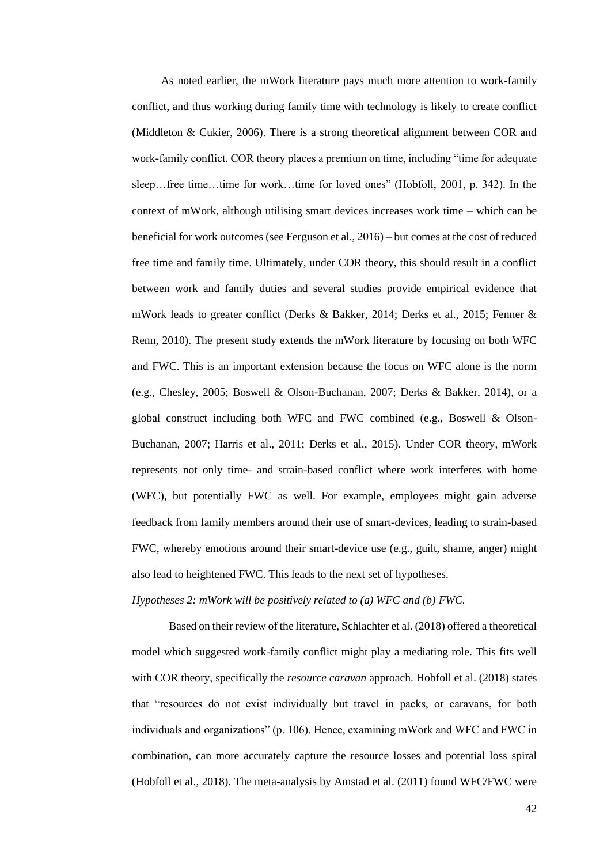As noted earlier, the mWork literature pays much more attention to work-family conflict, and thus working during family time with technology is likely to create conflict (Middleton & Cukier, 2006). There is a strong theoretical alignment between COR and work-family conflict. COR theory places a premium on time, including "time for adequate sleep…free time…time for work…time for loved ones" (Hobfoll, 2001, p. 342). In the context of mWork, although utilising smart devices increases work time – which can be beneficial for work outcomes (see Ferguson et al., 2016) – but comes at the cost of reduced free time and family time. Ultimately, under COR theory, this should result in a conflict between work and family duties and several studies provide empirical evidence that mWork leads to greater conflict (Derks & Bakker, 2014; Derks et al., 2015; Fenner & Renn, 2010). The present study extends the mWork literature by focusing on both WFC and FWC. This is an important extension because the focus on WFC alone is the norm (e.g., Chesley, 2005; Boswell & Olson-Buchanan, 2007; Derks & Bakker, 2014), or a global construct including both WFC and FWC combined (e.g., Boswell & Olson-Buchanan, 2007; Harris et al., 2011; Derks et al., 2015). Under COR theory, mWork represents not only time- and strain-based conflict where work interferes with home (WFC), but potentially FWC as well. For example, employees might gain adverse feedback from family members around their use of smart-devices, leading to strain-based FWC, whereby emotions around their smart-device use (e.g., guilt, shame, anger) might also lead to heightened FWC. This leads to the next set of hypotheses.

*Hypotheses 2: mWork will be positively related to (a) WFC and (b) FWC.*

Based on their review of the literature, Schlachter et al. (2018) offered a theoretical model which suggested work-family conflict might play a mediating role. This fits well with COR theory, specifically the *resource caravan* approach. Hobfoll et al. (2018) states that "resources do not exist individually but travel in packs, or caravans, for both individuals and organizations" (p. 106). Hence, examining mWork and WFC and FWC in combination, can more accurately capture the resource losses and potential loss spiral (Hobfoll et al., 2018). The meta-analysis by Amstad et al. (2011) found WFC/FWC were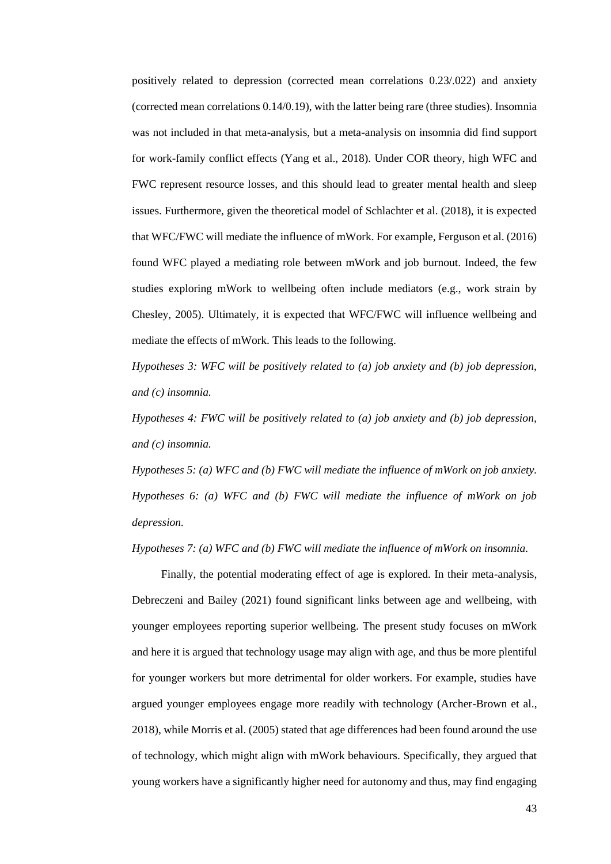positively related to depression (corrected mean correlations 0.23/.022) and anxiety (corrected mean correlations 0.14/0.19), with the latter being rare (three studies). Insomnia was not included in that meta-analysis, but a meta-analysis on insomnia did find support for work-family conflict effects (Yang et al., 2018). Under COR theory, high WFC and FWC represent resource losses, and this should lead to greater mental health and sleep issues. Furthermore, given the theoretical model of Schlachter et al. (2018), it is expected that WFC/FWC will mediate the influence of mWork. For example, Ferguson et al. (2016) found WFC played a mediating role between mWork and job burnout. Indeed, the few studies exploring mWork to wellbeing often include mediators (e.g., work strain by Chesley, 2005). Ultimately, it is expected that WFC/FWC will influence wellbeing and mediate the effects of mWork. This leads to the following.

*Hypotheses 3: WFC will be positively related to (a) job anxiety and (b) job depression, and (c) insomnia.*

*Hypotheses 4: FWC will be positively related to (a) job anxiety and (b) job depression, and (c) insomnia.*

*Hypotheses 5: (a) WFC and (b) FWC will mediate the influence of mWork on job anxiety. Hypotheses 6: (a) WFC and (b) FWC will mediate the influence of mWork on job depression.*

*Hypotheses 7: (a) WFC and (b) FWC will mediate the influence of mWork on insomnia.*

Finally, the potential moderating effect of age is explored. In their meta-analysis, Debreczeni and Bailey (2021) found significant links between age and wellbeing, with younger employees reporting superior wellbeing. The present study focuses on mWork and here it is argued that technology usage may align with age, and thus be more plentiful for younger workers but more detrimental for older workers. For example, studies have argued younger employees engage more readily with technology (Archer-Brown et al., 2018), while Morris et al. (2005) stated that age differences had been found around the use of technology, which might align with mWork behaviours. Specifically, they argued that young workers have a significantly higher need for autonomy and thus, may find engaging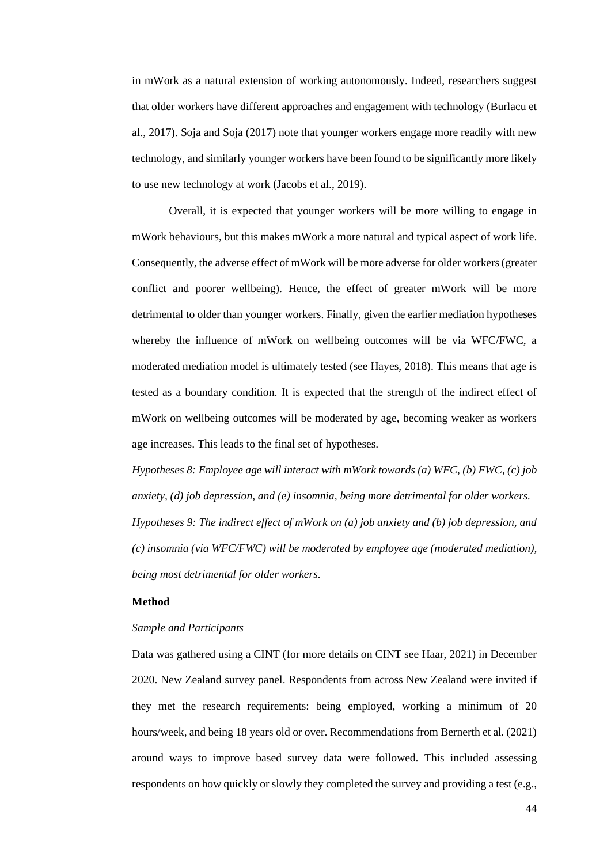in mWork as a natural extension of working autonomously. Indeed, researchers suggest that older workers have different approaches and engagement with technology (Burlacu et al., 2017). Soja and Soja (2017) note that younger workers engage more readily with new technology, and similarly younger workers have been found to be significantly more likely to use new technology at work (Jacobs et al., 2019).

Overall, it is expected that younger workers will be more willing to engage in mWork behaviours, but this makes mWork a more natural and typical aspect of work life. Consequently, the adverse effect of mWork will be more adverse for older workers (greater conflict and poorer wellbeing). Hence, the effect of greater mWork will be more detrimental to older than younger workers. Finally, given the earlier mediation hypotheses whereby the influence of mWork on wellbeing outcomes will be via WFC/FWC, a moderated mediation model is ultimately tested (see Hayes, 2018). This means that age is tested as a boundary condition. It is expected that the strength of the indirect effect of mWork on wellbeing outcomes will be moderated by age, becoming weaker as workers age increases. This leads to the final set of hypotheses.

*Hypotheses 8: Employee age will interact with mWork towards (a) WFC, (b) FWC, (c) job anxiety, (d) job depression, and (e) insomnia, being more detrimental for older workers. Hypotheses 9: The indirect effect of mWork on (a) job anxiety and (b) job depression, and (c) insomnia (via WFC/FWC) will be moderated by employee age (moderated mediation), being most detrimental for older workers.*

# **Method**

### *Sample and Participants*

Data was gathered using a CINT (for more details on CINT see Haar, 2021) in December 2020. New Zealand survey panel. Respondents from across New Zealand were invited if they met the research requirements: being employed, working a minimum of 20 hours/week, and being 18 years old or over. Recommendations from Bernerth et al. (2021) around ways to improve based survey data were followed. This included assessing respondents on how quickly or slowly they completed the survey and providing a test (e.g.,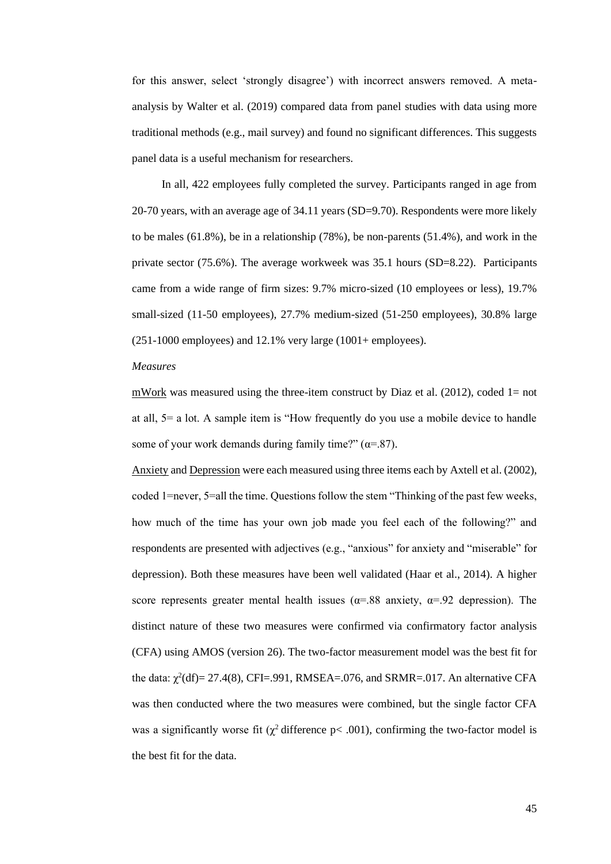for this answer, select 'strongly disagree') with incorrect answers removed. A metaanalysis by Walter et al. (2019) compared data from panel studies with data using more traditional methods (e.g., mail survey) and found no significant differences. This suggests panel data is a useful mechanism for researchers.

In all, 422 employees fully completed the survey. Participants ranged in age from 20-70 years, with an average age of 34.11 years (SD=9.70). Respondents were more likely to be males (61.8%), be in a relationship (78%), be non-parents (51.4%), and work in the private sector (75.6%). The average workweek was 35.1 hours (SD=8.22). Participants came from a wide range of firm sizes: 9.7% micro-sized (10 employees or less), 19.7% small-sized (11-50 employees), 27.7% medium-sized (51-250 employees), 30.8% large  $(251-1000$  employees) and  $12.1\%$  very large  $(1001+$  employees).

#### *Measures*

mWork was measured using the three-item construct by Diaz et al.  $(2012)$ , coded 1= not at all, 5= a lot. A sample item is "How frequently do you use a mobile device to handle some of your work demands during family time?"  $(\alpha = .87)$ .

Anxiety and Depression were each measured using three items each by Axtell et al. (2002), coded 1=never, 5=all the time. Questions follow the stem "Thinking of the past few weeks, how much of the time has your own job made you feel each of the following?" and respondents are presented with adjectives (e.g., "anxious" for anxiety and "miserable" for depression). Both these measures have been well validated (Haar et al., 2014). A higher score represents greater mental health issues ( $\alpha$ =.88 anxiety,  $\alpha$ =.92 depression). The distinct nature of these two measures were confirmed via confirmatory factor analysis (CFA) using AMOS (version 26). The two-factor measurement model was the best fit for the data:  $\chi^2$ (df)= 27.4(8), CFI=.991, RMSEA=.076, and SRMR=.017. An alternative CFA was then conducted where the two measures were combined, but the single factor CFA was a significantly worse fit ( $\chi^2$  difference p< .001), confirming the two-factor model is the best fit for the data.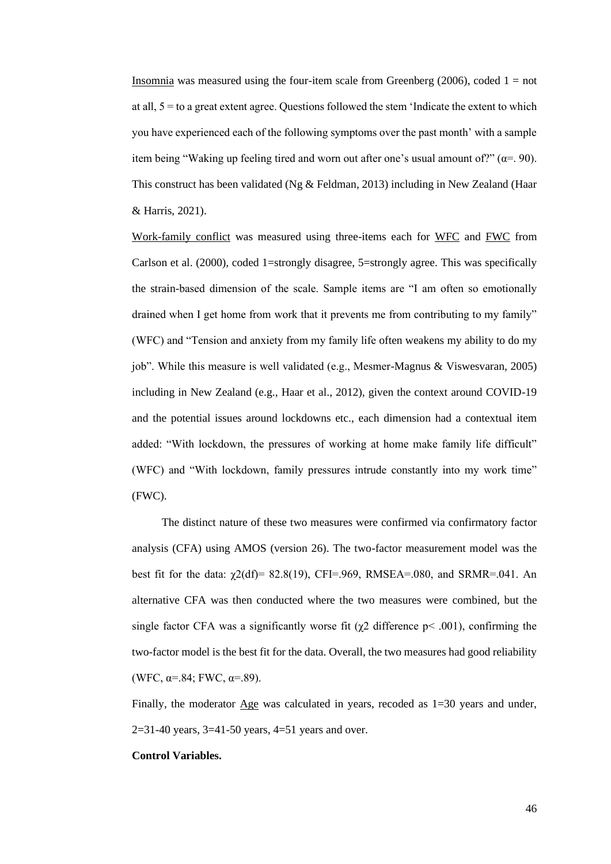Insomnia was measured using the four-item scale from Greenberg (2006), coded  $1 = not$ at all, 5 = to a great extent agree. Questions followed the stem 'Indicate the extent to which you have experienced each of the following symptoms over the past month' with a sample item being "Waking up feeling tired and worn out after one's usual amount of?" ( $\alpha$ =. 90). This construct has been validated (Ng & Feldman, 2013) including in New Zealand (Haar & Harris, 2021).

Work-family conflict was measured using three-items each for WFC and FWC from Carlson et al. (2000), coded 1=strongly disagree, 5=strongly agree. This was specifically the strain-based dimension of the scale. Sample items are "I am often so emotionally drained when I get home from work that it prevents me from contributing to my family" (WFC) and "Tension and anxiety from my family life often weakens my ability to do my job". While this measure is well validated (e.g., Mesmer-Magnus & Viswesvaran, 2005) including in New Zealand (e.g., Haar et al., 2012), given the context around COVID-19 and the potential issues around lockdowns etc., each dimension had a contextual item added: "With lockdown, the pressures of working at home make family life difficult" (WFC) and "With lockdown, family pressures intrude constantly into my work time" (FWC).

The distinct nature of these two measures were confirmed via confirmatory factor analysis (CFA) using AMOS (version 26). The two-factor measurement model was the best fit for the data:  $\chi$ 2(df)= 82.8(19), CFI=.969, RMSEA=.080, and SRMR=.041. An alternative CFA was then conducted where the two measures were combined, but the single factor CFA was a significantly worse fit ( $\chi$ 2 difference p< .001), confirming the two-factor model is the best fit for the data. Overall, the two measures had good reliability (WFC,  $\alpha = .84$ ; FWC,  $\alpha = .89$ ).

Finally, the moderator Age was calculated in years, recoded as 1=30 years and under, 2=31-40 years,  $3=41-50$  years,  $4=51$  years and over.

#### **Control Variables.**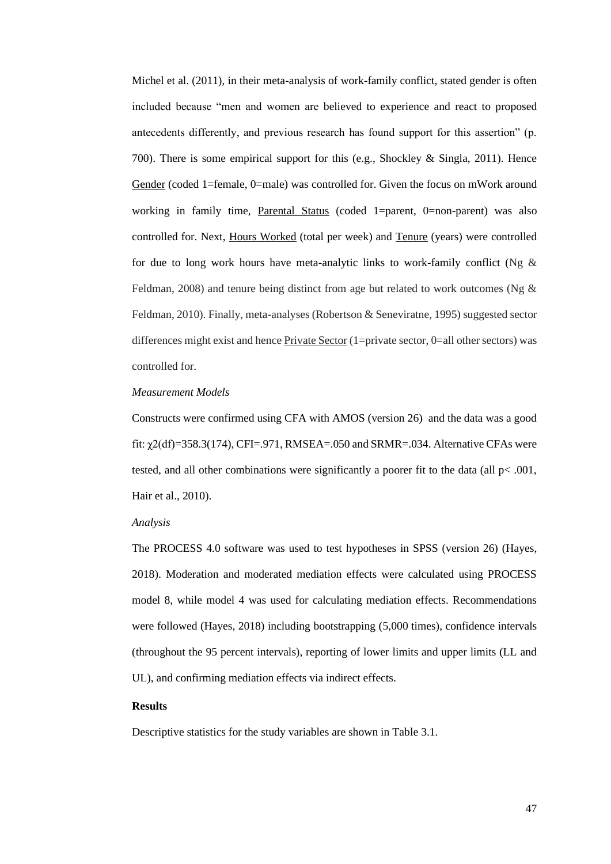Michel et al. (2011), in their meta-analysis of work-family conflict, stated gender is often included because "men and women are believed to experience and react to proposed antecedents differently, and previous research has found support for this assertion" (p. 700). There is some empirical support for this (e.g., Shockley & Singla, 2011). Hence Gender (coded 1=female, 0=male) was controlled for. Given the focus on mWork around working in family time, Parental Status (coded 1=parent, 0=non-parent) was also controlled for. Next, Hours Worked (total per week) and Tenure (years) were controlled for due to long work hours have meta-analytic links to work-family conflict (Ng  $\&$ Feldman, 2008) and tenure being distinct from age but related to work outcomes (Ng  $\&$ Feldman, 2010). Finally, meta-analyses (Robertson & Seneviratne, 1995) suggested sector differences might exist and hence Private Sector (1=private sector, 0=all other sectors) was controlled for.

# *Measurement Models*

Constructs were confirmed using CFA with AMOS (version 26) and the data was a good fit:  $\chi$ 2(df)=358.3(174), CFI=.971, RMSEA=.050 and SRMR=.034. Alternative CFAs were tested, and all other combinations were significantly a poorer fit to the data (all  $p<.001$ , Hair et al., 2010).

### *Analysis*

The PROCESS 4.0 software was used to test hypotheses in SPSS (version 26) (Hayes, 2018). Moderation and moderated mediation effects were calculated using PROCESS model 8, while model 4 was used for calculating mediation effects. Recommendations were followed (Hayes, 2018) including bootstrapping (5,000 times), confidence intervals (throughout the 95 percent intervals), reporting of lower limits and upper limits (LL and UL), and confirming mediation effects via indirect effects.

# **Results**

Descriptive statistics for the study variables are shown in Table 3.1.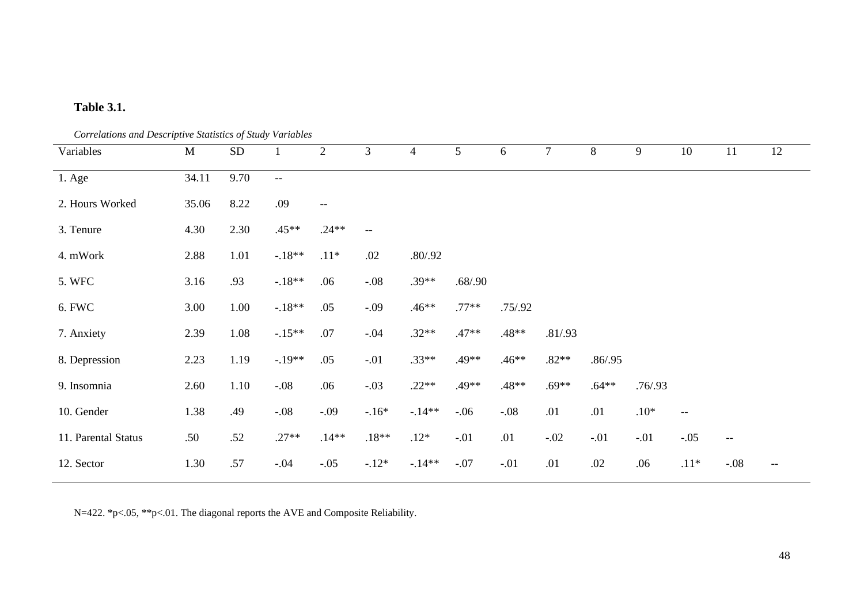# **Table 3.1.**

*Correlations and Descriptive Statistics of Study Variables*

| Variables           | M     | SD   | $\mathbf{1}$ | 2                        | 3       | $\overline{4}$ | 5       | $6\,$   | $\overline{7}$ | 8        | 9        | 10                                                  | 11                       | 12  |
|---------------------|-------|------|--------------|--------------------------|---------|----------------|---------|---------|----------------|----------|----------|-----------------------------------------------------|--------------------------|-----|
| 1. Age              | 34.11 | 9.70 | $\mathbf{u}$ |                          |         |                |         |         |                |          |          |                                                     |                          |     |
| 2. Hours Worked     | 35.06 | 8.22 | .09          | $\overline{\phantom{a}}$ |         |                |         |         |                |          |          |                                                     |                          |     |
| 3. Tenure           | 4.30  | 2.30 | $.45**$      | $.24**$                  | $-$     |                |         |         |                |          |          |                                                     |                          |     |
| 4. mWork            | 2.88  | 1.01 | $-.18**$     | $.11*$                   | .02     | .80/0.92       |         |         |                |          |          |                                                     |                          |     |
| 5. WFC              | 3.16  | .93  | $-.18**$     | .06                      | $-.08$  | $.39**$        | .68/.90 |         |                |          |          |                                                     |                          |     |
| 6. FWC              | 3.00  | 1.00 | $-.18**$     | .05                      | $-.09$  | $.46**$        | $.77**$ | .75/.92 |                |          |          |                                                     |                          |     |
| 7. Anxiety          | 2.39  | 1.08 | $-15**$      | .07                      | $-.04$  | $.32**$        | $.47**$ | $.48**$ | .81/.93        |          |          |                                                     |                          |     |
| 8. Depression       | 2.23  | 1.19 | $-.19**$     | .05                      | $-.01$  | $.33**$        | $.49**$ | $.46**$ | $.82**$        | .86/0.95 |          |                                                     |                          |     |
| 9. Insomnia         | 2.60  | 1.10 | $-.08$       | .06                      | $-.03$  | $.22**$        | $.49**$ | $.48**$ | $.69**$        | $.64**$  | .76/0.93 |                                                     |                          |     |
| 10. Gender          | 1.38  | .49  | $-.08$       | $-.09$                   | $-16*$  | $-.14**$       | $-06$   | $-.08$  | .01            | .01      | $.10*$   | $\hspace{0.05cm} -\hspace{0.05cm} -\hspace{0.05cm}$ |                          |     |
| 11. Parental Status | .50   | .52  | $.27**$      | $.14**$                  | $.18**$ | $.12*$         | $-.01$  | .01     | $-.02$         | $-.01$   | $-.01$   | $-.05$                                              | $\overline{\phantom{m}}$ |     |
| 12. Sector          | 1.30  | .57  | $-.04$       | $-.05$                   | $-12*$  | $-14**$        | $-.07$  | $-.01$  | .01            | .02      | .06      | $.11*$                                              | $-.08$                   | $-$ |

N=422. \*p<.05, \*\*p<.01. The diagonal reports the AVE and Composite Reliability.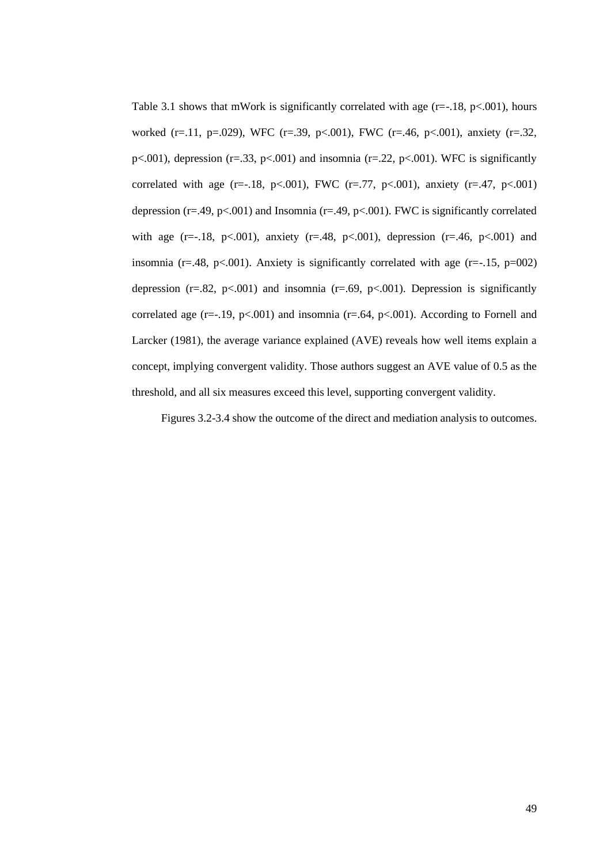Table 3.1 shows that mWork is significantly correlated with age  $(r=-.18, p<.001)$ , hours worked (r=.11, p=.029), WFC (r=.39, p<.001), FWC (r=.46, p<.001), anxiety (r=.32, p $\lt$ .001), depression (r=.33, p $\lt$ .001) and insomnia (r=.22, p $\lt$ .001). WFC is significantly correlated with age (r=-.18, p<.001), FWC (r=.77, p<.001), anxiety (r=.47, p<.001) depression ( $r=49$ ,  $p<.001$ ) and Insomnia ( $r=49$ ,  $p<.001$ ). FWC is significantly correlated with age (r=-.18, p<.001), anxiety (r=.48, p<.001), depression (r=.46, p<.001) and insomnia ( $r = .48$ ,  $p < .001$ ). Anxiety is significantly correlated with age ( $r = .15$ ,  $p = 002$ ) depression ( $r=.82$ ,  $p<.001$ ) and insomnia ( $r=.69$ ,  $p<.001$ ). Depression is significantly correlated age ( $r=-19$ ,  $p<-001$ ) and insomnia ( $r=-64$ ,  $p<-001$ ). According to Fornell and Larcker (1981), the average variance explained (AVE) reveals how well items explain a concept, implying convergent validity. Those authors suggest an AVE value of 0.5 as the threshold, and all six measures exceed this level, supporting convergent validity.

Figures 3.2-3.4 show the outcome of the direct and mediation analysis to outcomes.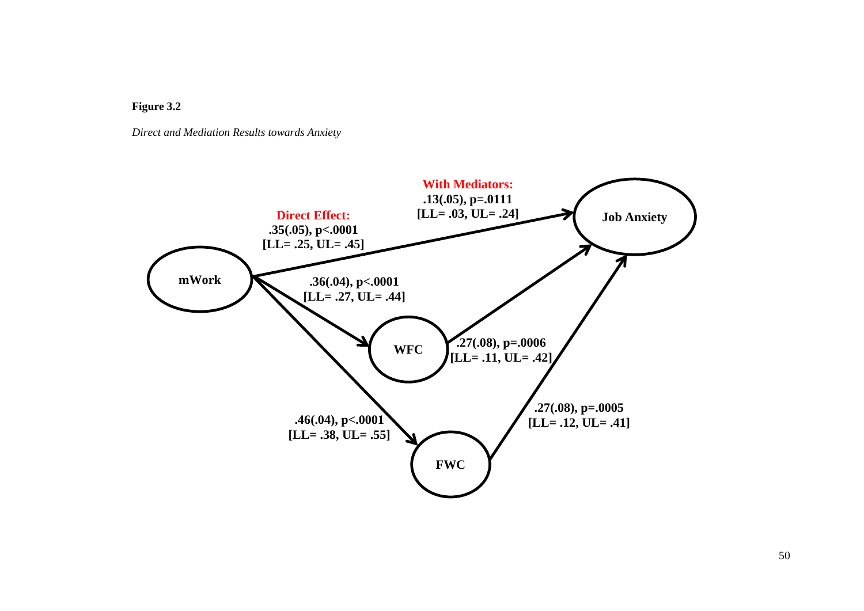

*Direct and Mediation Results towards Anxiety*

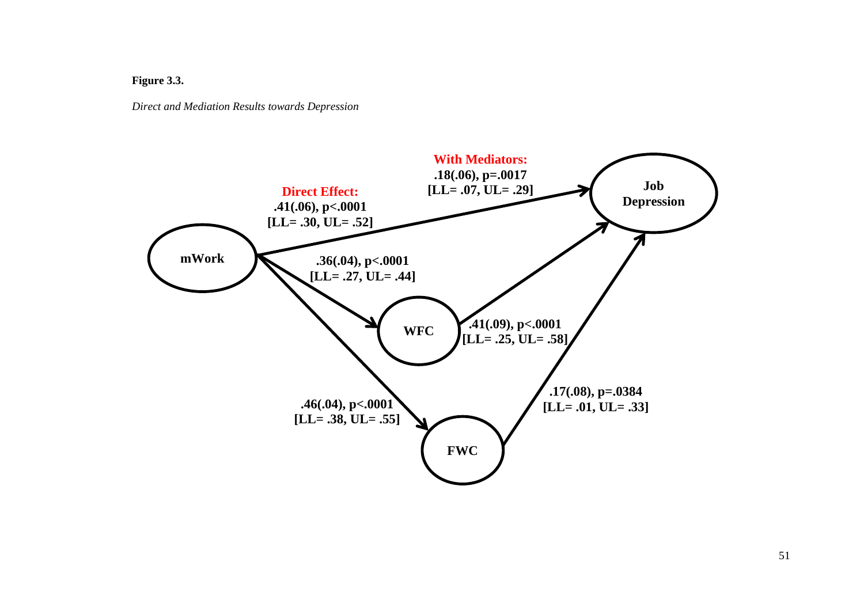# **Figure 3.3.**

*Direct and Mediation Results towards Depression*

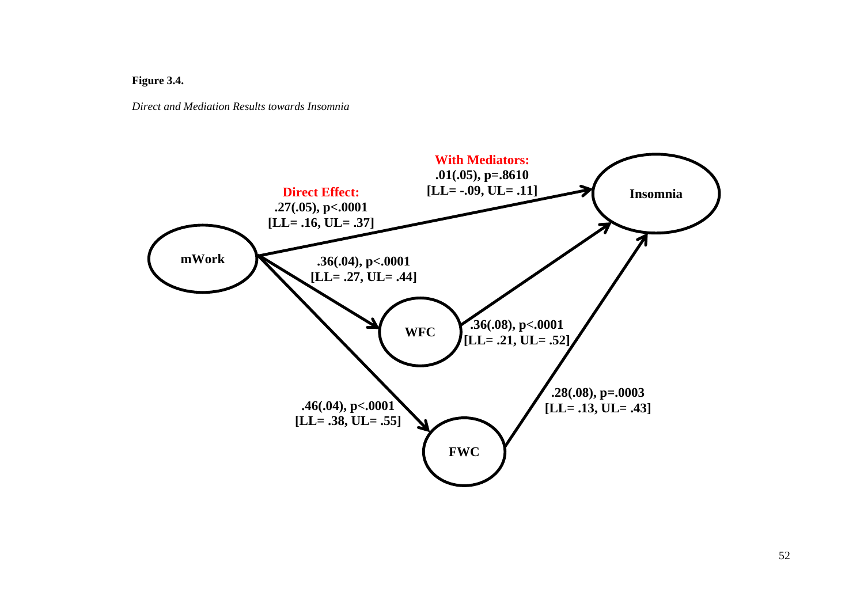**Figure 3.4.**

*Direct and Mediation Results towards Insomnia*

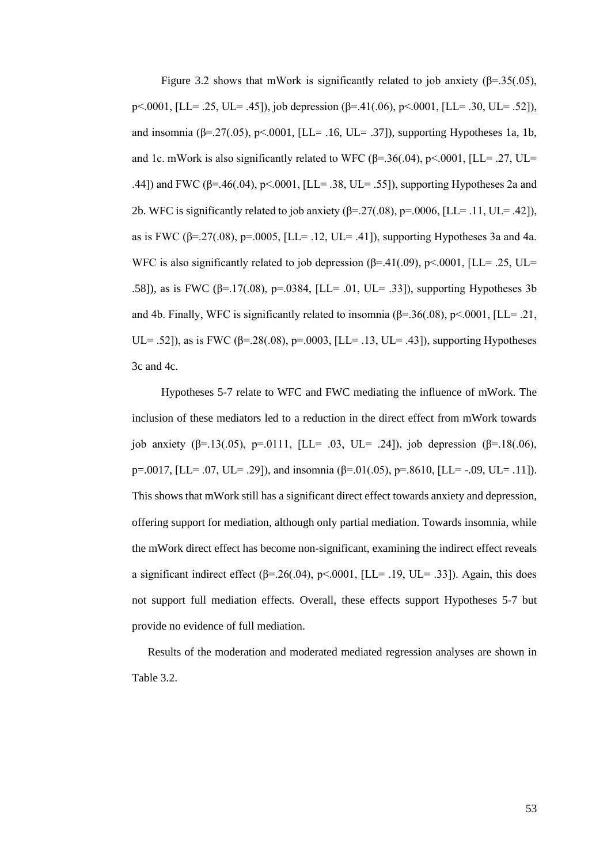Figure 3.2 shows that mWork is significantly related to job anxiety ( $\beta$ =.35(.05), p<.0001, [LL= .25, UL= .45]), job depression (β=.41(.06), p<.0001, [LL= .30, UL= .52]), and insomnia ( $\beta$ =.27(.05), p<.0001, [LL= .16, UL= .37]), supporting Hypotheses 1a, 1b, and 1c. mWork is also significantly related to WFC  $(\beta = .36(.04), \beta < .0001, \text{[LL]} = .27, \text{UL} = .0001)$ .44]) and FWC (β=.46(.04), p<.0001, [LL= .38, UL= .55]), supporting Hypotheses 2a and 2b. WFC is significantly related to job anxiety  $(\beta = 27(.08), \beta = .0006, \text{[LL]} = .11, \text{UL} = .42)$ ), as is FWC (β=.27(.08), p=.0005, [LL= .12, UL= .41]), supporting Hypotheses 3a and 4a. WFC is also significantly related to job depression  $(\beta = .41(.09), \beta < .0001, \text{[LL]} = .25, \text{UL} =$ .58]), as is FWC ( $\beta$ =.17(.08), p=.0384, [LL= .01, UL= .33]), supporting Hypotheses 3b and 4b. Finally, WFC is significantly related to insomnia  $(\beta = 36(.08), \beta < .0001, [LL = .21,$ UL= .52]), as is FWC ( $\beta$ =.28(.08),  $p$ =.0003, [LL= .13, UL= .43]), supporting Hypotheses 3c and 4c.

Hypotheses 5-7 relate to WFC and FWC mediating the influence of mWork. The inclusion of these mediators led to a reduction in the direct effect from mWork towards job anxiety (β=.13(.05), p=.0111, [LL= .03, UL= .24]), job depression (β=.18(.06), p=.0017, [LL= .07, UL= .29]), and insomnia ( $\beta$ =.01(.05), p=.8610, [LL= -.09, UL= .11]). This shows that mWork still has a significant direct effect towards anxiety and depression, offering support for mediation, although only partial mediation. Towards insomnia, while the mWork direct effect has become non-significant, examining the indirect effect reveals a significant indirect effect ( $β=0.26(0.04)$ ,  $p<0.001$ , [LL= .19, UL= .33]). Again, this does not support full mediation effects. Overall, these effects support Hypotheses 5-7 but provide no evidence of full mediation.

Results of the moderation and moderated mediated regression analyses are shown in Table 3.2.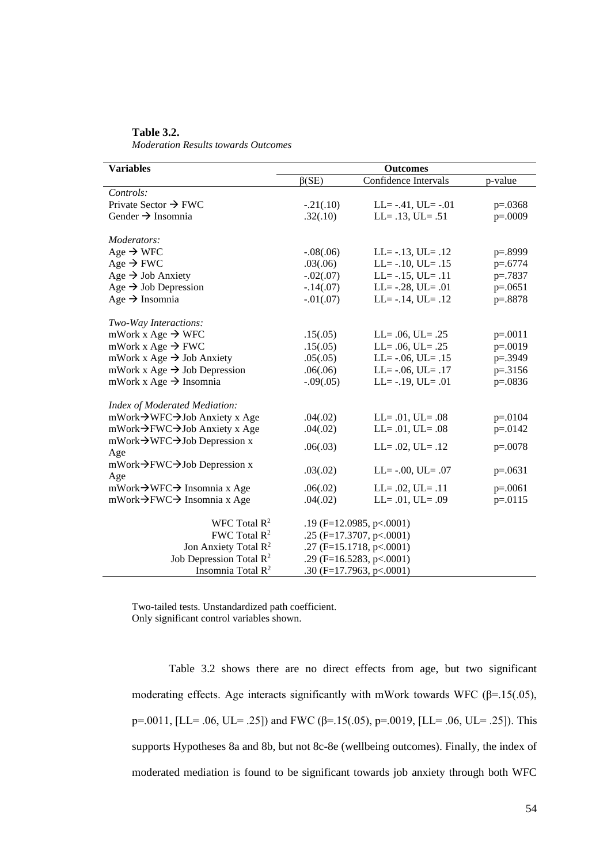| <b>Variables</b>                                       | <b>Outcomes</b>                 |                           |           |  |  |  |  |
|--------------------------------------------------------|---------------------------------|---------------------------|-----------|--|--|--|--|
|                                                        | $\beta$ (SE)                    | Confidence Intervals      | p-value   |  |  |  |  |
| Controls:                                              |                                 |                           |           |  |  |  |  |
| Private Sector $\rightarrow$ FWC                       | $-.21(.10)$                     | $LL = -.41, UL = -.01$    | $p=.0368$ |  |  |  |  |
| Gender $\rightarrow$ Insomnia                          | .32(.10)                        | $LL = .13$ , $UL = .51$   | $p=.0009$ |  |  |  |  |
|                                                        |                                 |                           |           |  |  |  |  |
| Moderators:                                            |                                 |                           |           |  |  |  |  |
| Age $\rightarrow$ WFC                                  | $-.08(.06)$                     | $LL = -.13$ , $UL = .12$  | p=.8999   |  |  |  |  |
| Age $\rightarrow$ FWC                                  | .03(.06)                        | $LL = -.10, UL = .15$     | $p=.6774$ |  |  |  |  |
| Age $\rightarrow$ Job Anxiety                          | $-.02(.07)$                     | $LL = -.15, UL = .11$     | $p=.7837$ |  |  |  |  |
| Age $\rightarrow$ Job Depression                       | $-.14(.07)$                     | $LL = -.28$ , $UL = .01$  | $p=.0651$ |  |  |  |  |
| Age $\rightarrow$ Insomnia                             | $-.01(.07)$                     | $LL = -.14$ , $UL = .12$  | p=.8878   |  |  |  |  |
|                                                        |                                 |                           |           |  |  |  |  |
| Two-Way Interactions:                                  |                                 |                           |           |  |  |  |  |
| mWork x Age $\rightarrow$ WFC                          | .15(.05)                        | $LL = .06$ , $UL = .25$   | $p=.0011$ |  |  |  |  |
| mWork x Age $\rightarrow$ FWC                          | .15(.05)                        | $LL = .06$ , $UL = .25$   | $p=.0019$ |  |  |  |  |
| mWork x Age $\rightarrow$ Job Anxiety                  | .05(.05)                        | $LL = -.06, UL = .15$     | p=.3949   |  |  |  |  |
| mWork x Age $\rightarrow$ Job Depression               | .06(.06)                        | $LL = -.06, UL = .17$     | $p=.3156$ |  |  |  |  |
| mWork x Age $\rightarrow$ Insomnia                     | $-.09(.05)$                     | $LL = -.19, UL = .01$     | $p=.0836$ |  |  |  |  |
|                                                        |                                 |                           |           |  |  |  |  |
| <b>Index of Moderated Mediation:</b>                   |                                 |                           |           |  |  |  |  |
| mWork→WFC→Job Anxiety x Age                            | .04(.02)                        | $LL = .01, UL = .08$      | $p=.0104$ |  |  |  |  |
| mWork→FWC→Job Anxiety x Age                            | .04(.02)                        | $LL = .01, UL = .08$      | $p=.0142$ |  |  |  |  |
| mWork $\rightarrow$ WFC $\rightarrow$ Job Depression x | .06(.03)                        | $LL = .02$ , $UL = .12$   | $p=.0078$ |  |  |  |  |
| Age                                                    |                                 |                           |           |  |  |  |  |
| mWork $\rightarrow$ FWC $\rightarrow$ Job Depression x | .03(.02)                        | $LL = -.00, UL = .07$     | $p=.0631$ |  |  |  |  |
| Age<br>mWork→WFC→ Insomnia x Age                       | .06(.02)                        | $LL = .02, UL = .11$      | $p=.0061$ |  |  |  |  |
| mWork→FWC→ Insomnia x Age                              | .04(.02)                        | $LL = .01$ , $UL = .09$   | $p=.0115$ |  |  |  |  |
|                                                        |                                 |                           |           |  |  |  |  |
| WFC Total $R^2$                                        |                                 | .19 (F=12.0985, p <.0001) |           |  |  |  |  |
| FWC Total $R^2$                                        | .25 ( $F=17.3707$ , $p<.0001$ ) |                           |           |  |  |  |  |
| Jon Anxiety Total R <sup>2</sup>                       | .27 ( $F=15.1718$ , $p<.0001$ ) |                           |           |  |  |  |  |
| Job Depression Total $\mathbb{R}^2$                    | .29 (F=16.5283, p <. 0001)      |                           |           |  |  |  |  |
| Insomnia Total $\mathbb{R}^2$                          | .30 (F=17.7963, p <.0001)       |                           |           |  |  |  |  |

**Table 3.2.**  *Moderation Results towards Outcomes*

Two-tailed tests. Unstandardized path coefficient. Only significant control variables shown.

Table 3.2 shows there are no direct effects from age, but two significant moderating effects. Age interacts significantly with mWork towards WFC ( $\beta$ =.15(.05), p=.0011, [LL= .06, UL= .25]) and FWC ( $\beta$ =.15(.05), p=.0019, [LL= .06, UL= .25]). This supports Hypotheses 8a and 8b, but not 8c-8e (wellbeing outcomes). Finally, the index of moderated mediation is found to be significant towards job anxiety through both WFC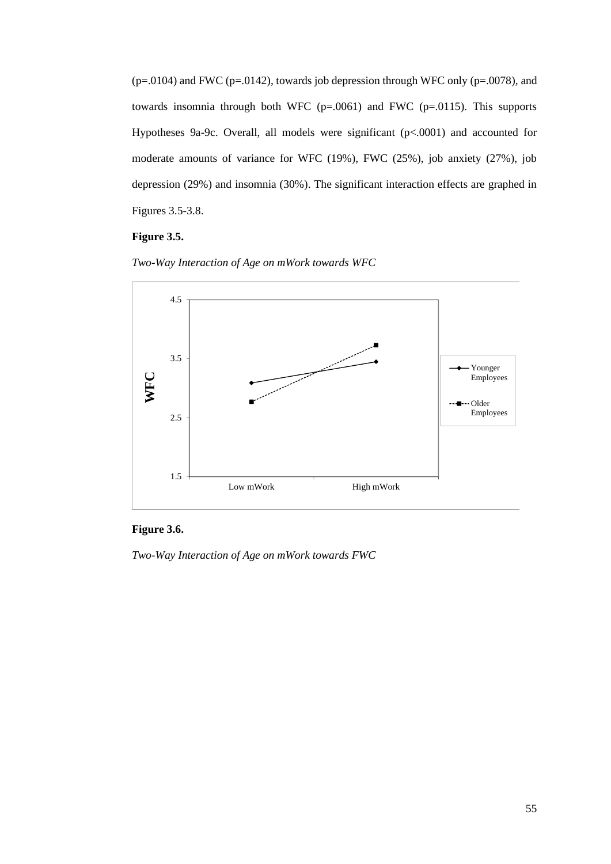$(p=.0104)$  and FWC (p=.0142), towards job depression through WFC only (p=.0078), and towards insomnia through both WFC  $(p=.0061)$  and FWC  $(p=.0115)$ . This supports Hypotheses 9a-9c. Overall, all models were significant (p<.0001) and accounted for moderate amounts of variance for WFC (19%), FWC (25%), job anxiety (27%), job depression (29%) and insomnia (30%). The significant interaction effects are graphed in Figures 3.5-3.8.

# **Figure 3.5.**





# **Figure 3.6.**

*Two-Way Interaction of Age on mWork towards FWC*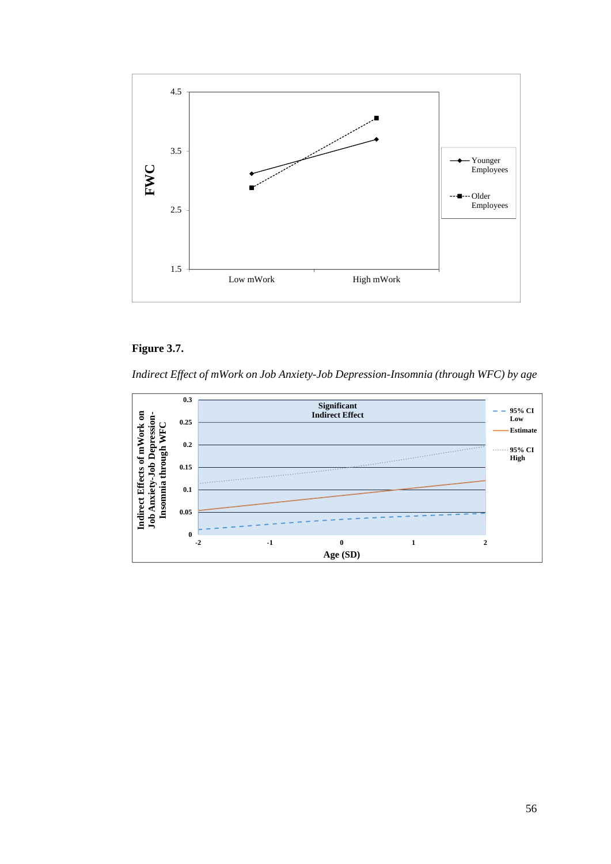

# **Figure 3.7.**

*Indirect Effect of mWork on Job Anxiety-Job Depression-Insomnia (through WFC) by age*

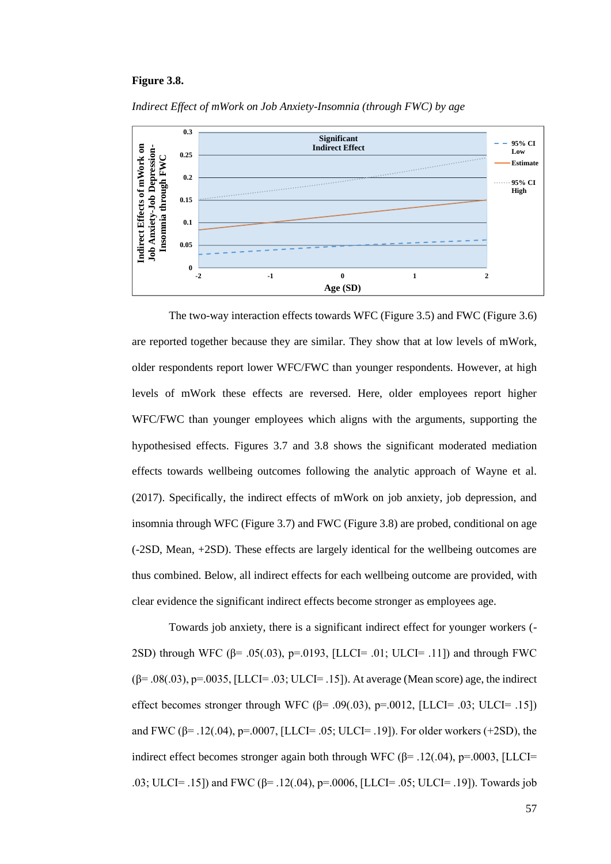#### **Figure 3.8.**



*Indirect Effect of mWork on Job Anxiety-Insomnia (through FWC) by age*

The two-way interaction effects towards WFC (Figure 3.5) and FWC (Figure 3.6) are reported together because they are similar. They show that at low levels of mWork, older respondents report lower WFC/FWC than younger respondents. However, at high levels of mWork these effects are reversed. Here, older employees report higher WFC/FWC than younger employees which aligns with the arguments, supporting the hypothesised effects. Figures 3.7 and 3.8 shows the significant moderated mediation effects towards wellbeing outcomes following the analytic approach of Wayne et al. (2017). Specifically, the indirect effects of mWork on job anxiety, job depression, and insomnia through WFC (Figure 3.7) and FWC (Figure 3.8) are probed, conditional on age (-2SD, Mean, +2SD). These effects are largely identical for the wellbeing outcomes are thus combined. Below, all indirect effects for each wellbeing outcome are provided, with clear evidence the significant indirect effects become stronger as employees age.

Towards job anxiety, there is a significant indirect effect for younger workers (- 2SD) through WFC (β= .05(.03), p=.0193, [LLCI= .01; ULCI= .11]) and through FWC  $(\beta = .08(.03), p = .0035, [LLCI = .03; ULCI = .15])$ . At average (Mean score) age, the indirect effect becomes stronger through WFC ( $\beta$ = .09(.03), p=.0012, [LLCI= .03; ULCI= .15]) and FWC ( $\beta$ = .12(.04), p=.0007, [LLCI= .05; ULCI= .19]). For older workers (+2SD), the indirect effect becomes stronger again both through WFC ( $\beta$ = .12(.04), p=.0003, [LLCI= .03; ULCI= .15) and FWC (β= .12(.04), p=.0006, [LLCI= .05; ULCI= .19]). Towards job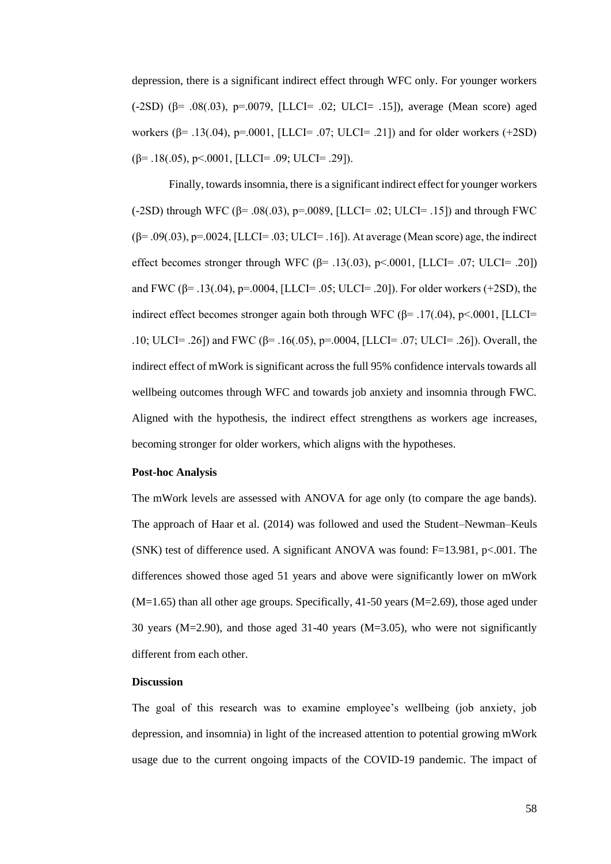depression, there is a significant indirect effect through WFC only. For younger workers (-2SD) (β= .08(.03), p=.0079, [LLCI= .02; ULCI= .15]), average (Mean score) aged workers (β= .13(.04), p=.0001, [LLCI= .07; ULCI= .21]) and for older workers (+2SD)  $(\beta = .18(.05), \beta < .0001,$  [LLCI= .09; ULCI= .29]).

Finally, towards insomnia, there is a significant indirect effect for younger workers (-2SD) through WFC (β= .08(.03), p=.0089, [LLCI= .02; ULCI= .15]) and through FWC  $(\beta = .09(.03), p = .0024, [LLCI = .03; ULCI = .16])$ . At average (Mean score) age, the indirect effect becomes stronger through WFC  $(\beta = .13(.03), \beta < .0001, [LLCI = .07; ULCI = .20])$ and FWC  $(\beta = .13(.04), p = .0004, [LLCI = .05; ULCI = .20])$ . For older workers (+2SD), the indirect effect becomes stronger again both through WFC ( $\beta$ = .17(.04), p<.0001, [LLCI= .10; ULCI= .26]) and FWC (β= .16(.05), p=.0004, [LLCI= .07; ULCI= .26]). Overall, the indirect effect of mWork is significant across the full 95% confidence intervals towards all wellbeing outcomes through WFC and towards job anxiety and insomnia through FWC. Aligned with the hypothesis, the indirect effect strengthens as workers age increases, becoming stronger for older workers, which aligns with the hypotheses.

# **Post-hoc Analysis**

The mWork levels are assessed with ANOVA for age only (to compare the age bands). The approach of Haar et al*.* (2014) was followed and used the Student–Newman–Keuls (SNK) test of difference used. A significant ANOVA was found: F=13.981, p<.001. The differences showed those aged 51 years and above were significantly lower on mWork  $(M=1.65)$  than all other age groups. Specifically, 41-50 years  $(M=2.69)$ , those aged under 30 years (M=2.90), and those aged 31-40 years (M=3.05), who were not significantly different from each other.

# **Discussion**

The goal of this research was to examine employee's wellbeing (job anxiety, job depression, and insomnia) in light of the increased attention to potential growing mWork usage due to the current ongoing impacts of the COVID-19 pandemic. The impact of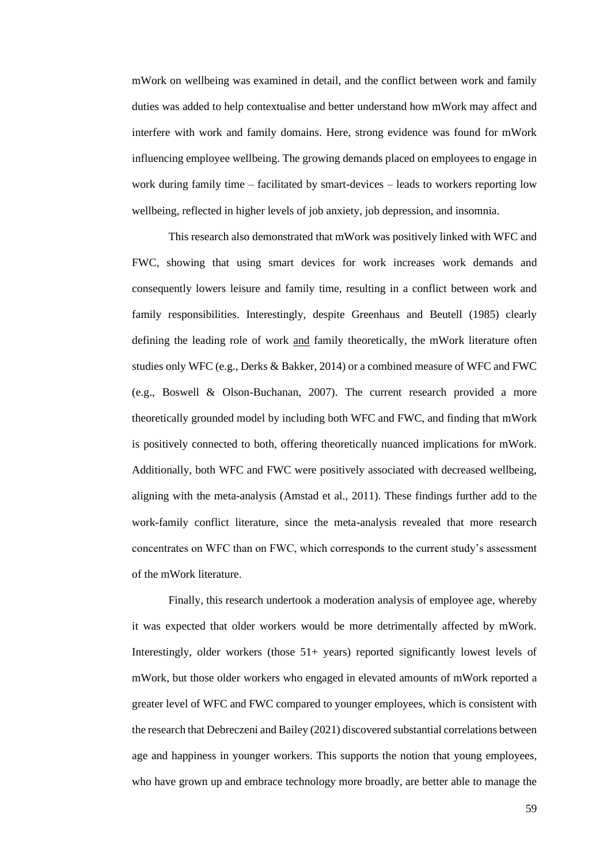mWork on wellbeing was examined in detail, and the conflict between work and family duties was added to help contextualise and better understand how mWork may affect and interfere with work and family domains. Here, strong evidence was found for mWork influencing employee wellbeing. The growing demands placed on employees to engage in work during family time – facilitated by smart-devices – leads to workers reporting low wellbeing, reflected in higher levels of job anxiety, job depression, and insomnia.

This research also demonstrated that mWork was positively linked with WFC and FWC, showing that using smart devices for work increases work demands and consequently lowers leisure and family time, resulting in a conflict between work and family responsibilities. Interestingly, despite Greenhaus and Beutell (1985) clearly defining the leading role of work and family theoretically, the mWork literature often studies only WFC (e.g., Derks & Bakker, 2014) or a combined measure of WFC and FWC (e.g., Boswell & Olson-Buchanan, 2007). The current research provided a more theoretically grounded model by including both WFC and FWC, and finding that mWork is positively connected to both, offering theoretically nuanced implications for mWork. Additionally, both WFC and FWC were positively associated with decreased wellbeing, aligning with the meta-analysis (Amstad et al., 2011). These findings further add to the work-family conflict literature, since the meta-analysis revealed that more research concentrates on WFC than on FWC, which corresponds to the current study's assessment of the mWork literature.

Finally, this research undertook a moderation analysis of employee age, whereby it was expected that older workers would be more detrimentally affected by mWork. Interestingly, older workers (those  $51+$  years) reported significantly lowest levels of mWork, but those older workers who engaged in elevated amounts of mWork reported a greater level of WFC and FWC compared to younger employees, which is consistent with the research that Debreczeni and Bailey (2021) discovered substantial correlations between age and happiness in younger workers. This supports the notion that young employees, who have grown up and embrace technology more broadly, are better able to manage the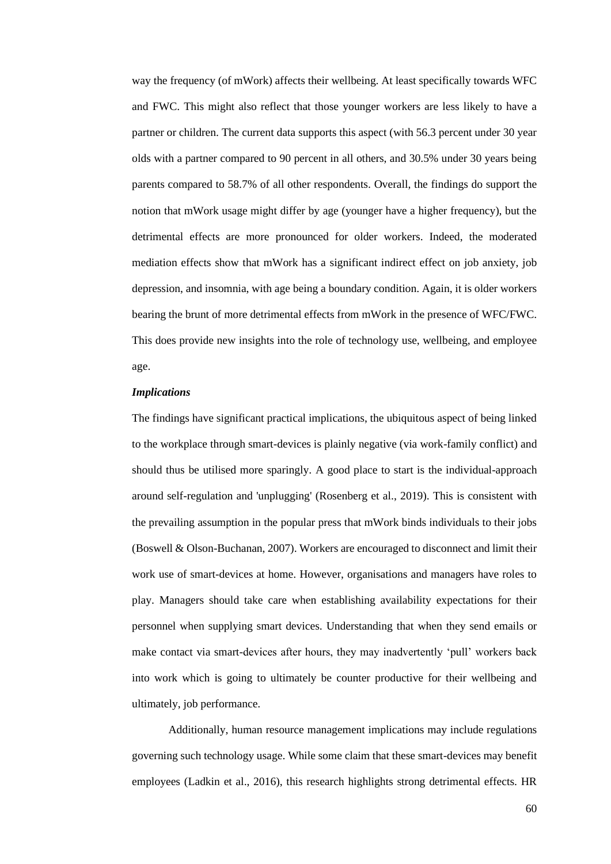way the frequency (of mWork) affects their wellbeing. At least specifically towards WFC and FWC. This might also reflect that those younger workers are less likely to have a partner or children. The current data supports this aspect (with 56.3 percent under 30 year olds with a partner compared to 90 percent in all others, and 30.5% under 30 years being parents compared to 58.7% of all other respondents. Overall, the findings do support the notion that mWork usage might differ by age (younger have a higher frequency), but the detrimental effects are more pronounced for older workers. Indeed, the moderated mediation effects show that mWork has a significant indirect effect on job anxiety, job depression, and insomnia, with age being a boundary condition. Again, it is older workers bearing the brunt of more detrimental effects from mWork in the presence of WFC/FWC. This does provide new insights into the role of technology use, wellbeing, and employee age.

#### *Implications*

The findings have significant practical implications, the ubiquitous aspect of being linked to the workplace through smart-devices is plainly negative (via work-family conflict) and should thus be utilised more sparingly. A good place to start is the individual-approach around self-regulation and 'unplugging' (Rosenberg et al., 2019). This is consistent with the prevailing assumption in the popular press that mWork binds individuals to their jobs (Boswell & Olson-Buchanan, 2007). Workers are encouraged to disconnect and limit their work use of smart-devices at home. However, organisations and managers have roles to play. Managers should take care when establishing availability expectations for their personnel when supplying smart devices. Understanding that when they send emails or make contact via smart-devices after hours, they may inadvertently 'pull' workers back into work which is going to ultimately be counter productive for their wellbeing and ultimately, job performance.

Additionally, human resource management implications may include regulations governing such technology usage. While some claim that these smart-devices may benefit employees (Ladkin et al., 2016), this research highlights strong detrimental effects. HR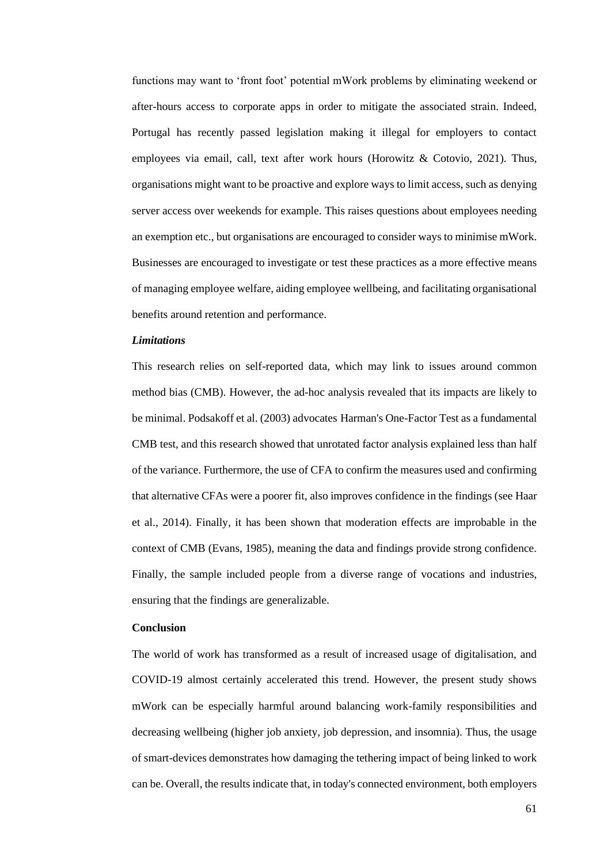functions may want to 'front foot' potential mWork problems by eliminating weekend or after-hours access to corporate apps in order to mitigate the associated strain. Indeed, Portugal has recently passed legislation making it illegal for employers to contact employees via email, call, text after work hours (Horowitz & Cotovio, 2021). Thus, organisations might want to be proactive and explore ways to limit access, such as denying server access over weekends for example. This raises questions about employees needing an exemption etc., but organisations are encouraged to consider ways to minimise mWork. Businesses are encouraged to investigate or test these practices as a more effective means of managing employee welfare, aiding employee wellbeing, and facilitating organisational benefits around retention and performance.

### *Limitations*

This research relies on self-reported data, which may link to issues around common method bias (CMB). However, the ad-hoc analysis revealed that its impacts are likely to be minimal. Podsakoff et al. (2003) advocates Harman's One-Factor Test as a fundamental CMB test, and this research showed that unrotated factor analysis explained less than half of the variance. Furthermore, the use of CFA to confirm the measures used and confirming that alternative CFAs were a poorer fit, also improves confidence in the findings (see Haar et al., 2014). Finally, it has been shown that moderation effects are improbable in the context of CMB (Evans, 1985), meaning the data and findings provide strong confidence. Finally, the sample included people from a diverse range of vocations and industries, ensuring that the findings are generalizable.

# **Conclusion**

The world of work has transformed as a result of increased usage of digitalisation, and COVID-19 almost certainly accelerated this trend. However, the present study shows mWork can be especially harmful around balancing work-family responsibilities and decreasing wellbeing (higher job anxiety, job depression, and insomnia). Thus, the usage of smart-devices demonstrates how damaging the tethering impact of being linked to work can be. Overall, the results indicate that, in today's connected environment, both employers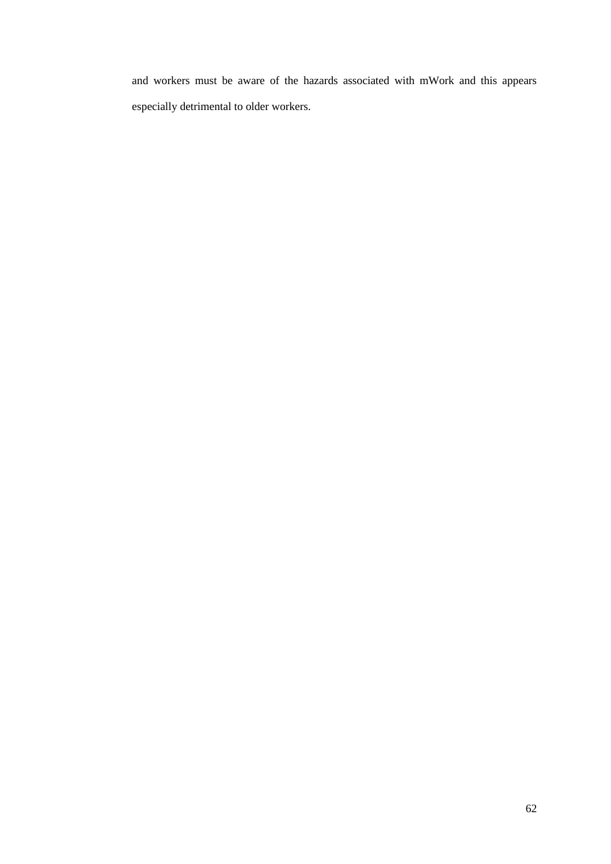and workers must be aware of the hazards associated with mWork and this appears especially detrimental to older workers.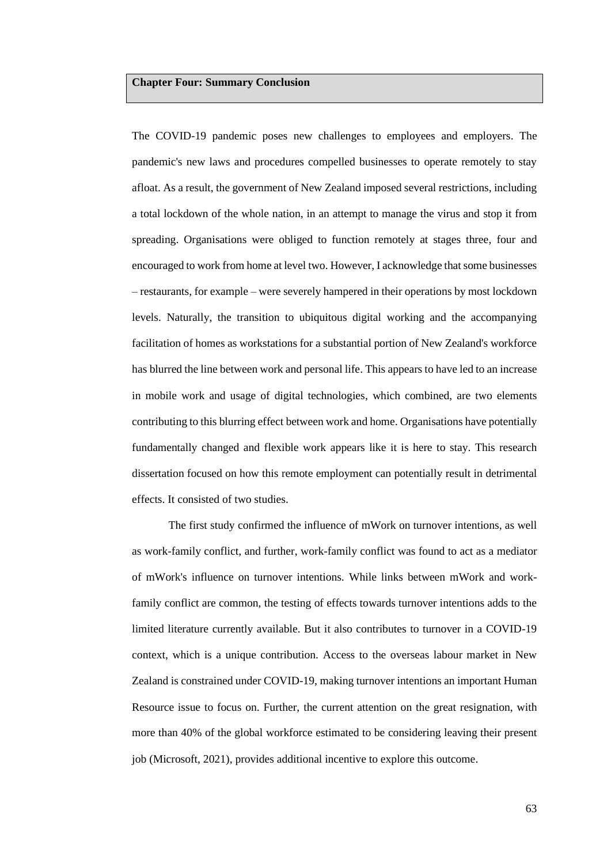#### **Chapter Four: Summary Conclusion**

The COVID-19 pandemic poses new challenges to employees and employers. The pandemic's new laws and procedures compelled businesses to operate remotely to stay afloat. As a result, the government of New Zealand imposed several restrictions, including a total lockdown of the whole nation, in an attempt to manage the virus and stop it from spreading. Organisations were obliged to function remotely at stages three, four and encouraged to work from home at level two. However, I acknowledge that some businesses – restaurants, for example – were severely hampered in their operations by most lockdown levels. Naturally, the transition to ubiquitous digital working and the accompanying facilitation of homes as workstations for a substantial portion of New Zealand's workforce has blurred the line between work and personal life. This appears to have led to an increase in mobile work and usage of digital technologies, which combined, are two elements contributing to this blurring effect between work and home. Organisations have potentially fundamentally changed and flexible work appears like it is here to stay. This research dissertation focused on how this remote employment can potentially result in detrimental effects. It consisted of two studies.

The first study confirmed the influence of mWork on turnover intentions, as well as work-family conflict, and further, work-family conflict was found to act as a mediator of mWork's influence on turnover intentions. While links between mWork and workfamily conflict are common, the testing of effects towards turnover intentions adds to the limited literature currently available. But it also contributes to turnover in a COVID-19 context, which is a unique contribution. Access to the overseas labour market in New Zealand is constrained under COVID-19, making turnover intentions an important Human Resource issue to focus on. Further, the current attention on the great resignation, with more than 40% of the global workforce estimated to be considering leaving their present job (Microsoft, 2021), provides additional incentive to explore this outcome.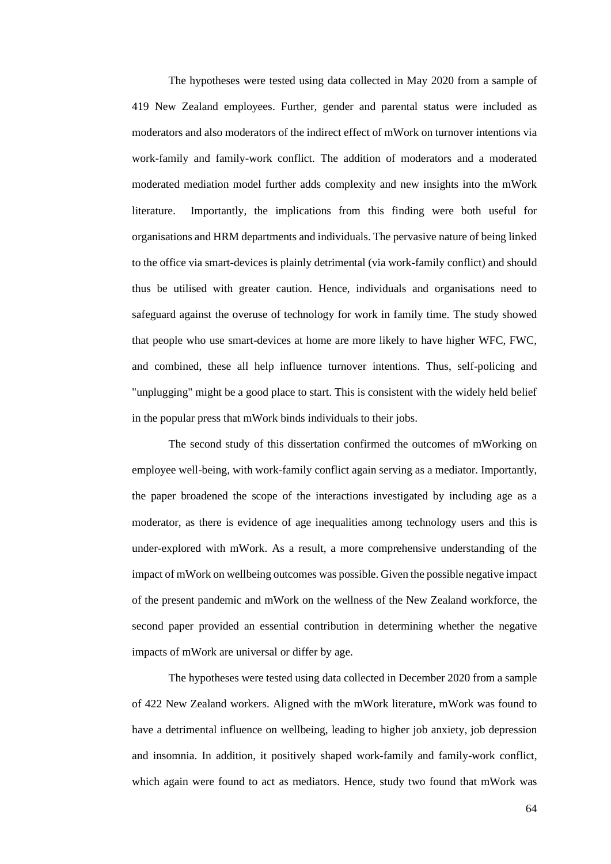The hypotheses were tested using data collected in May 2020 from a sample of 419 New Zealand employees. Further, gender and parental status were included as moderators and also moderators of the indirect effect of mWork on turnover intentions via work-family and family-work conflict. The addition of moderators and a moderated moderated mediation model further adds complexity and new insights into the mWork literature. Importantly, the implications from this finding were both useful for organisations and HRM departments and individuals. The pervasive nature of being linked to the office via smart-devices is plainly detrimental (via work-family conflict) and should thus be utilised with greater caution. Hence, individuals and organisations need to safeguard against the overuse of technology for work in family time. The study showed that people who use smart-devices at home are more likely to have higher WFC, FWC, and combined, these all help influence turnover intentions. Thus, self-policing and "unplugging" might be a good place to start. This is consistent with the widely held belief in the popular press that mWork binds individuals to their jobs.

The second study of this dissertation confirmed the outcomes of mWorking on employee well-being, with work-family conflict again serving as a mediator. Importantly, the paper broadened the scope of the interactions investigated by including age as a moderator, as there is evidence of age inequalities among technology users and this is under-explored with mWork. As a result, a more comprehensive understanding of the impact of mWork on wellbeing outcomes was possible. Given the possible negative impact of the present pandemic and mWork on the wellness of the New Zealand workforce, the second paper provided an essential contribution in determining whether the negative impacts of mWork are universal or differ by age.

The hypotheses were tested using data collected in December 2020 from a sample of 422 New Zealand workers. Aligned with the mWork literature, mWork was found to have a detrimental influence on wellbeing, leading to higher job anxiety, job depression and insomnia. In addition, it positively shaped work-family and family-work conflict, which again were found to act as mediators. Hence, study two found that mWork was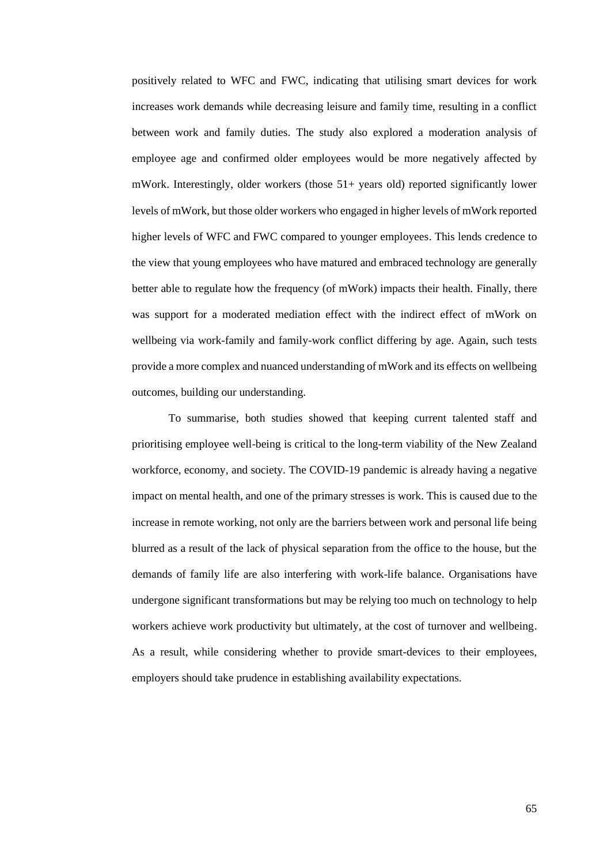positively related to WFC and FWC, indicating that utilising smart devices for work increases work demands while decreasing leisure and family time, resulting in a conflict between work and family duties. The study also explored a moderation analysis of employee age and confirmed older employees would be more negatively affected by mWork. Interestingly, older workers (those 51+ years old) reported significantly lower levels of mWork, but those older workers who engaged in higher levels of mWork reported higher levels of WFC and FWC compared to younger employees. This lends credence to the view that young employees who have matured and embraced technology are generally better able to regulate how the frequency (of mWork) impacts their health. Finally, there was support for a moderated mediation effect with the indirect effect of mWork on wellbeing via work-family and family-work conflict differing by age. Again, such tests provide a more complex and nuanced understanding of mWork and its effects on wellbeing outcomes, building our understanding.

To summarise, both studies showed that keeping current talented staff and prioritising employee well-being is critical to the long-term viability of the New Zealand workforce, economy, and society. The COVID-19 pandemic is already having a negative impact on mental health, and one of the primary stresses is work. This is caused due to the increase in remote working, not only are the barriers between work and personal life being blurred as a result of the lack of physical separation from the office to the house, but the demands of family life are also interfering with work-life balance. Organisations have undergone significant transformations but may be relying too much on technology to help workers achieve work productivity but ultimately, at the cost of turnover and wellbeing. As a result, while considering whether to provide smart-devices to their employees, employers should take prudence in establishing availability expectations.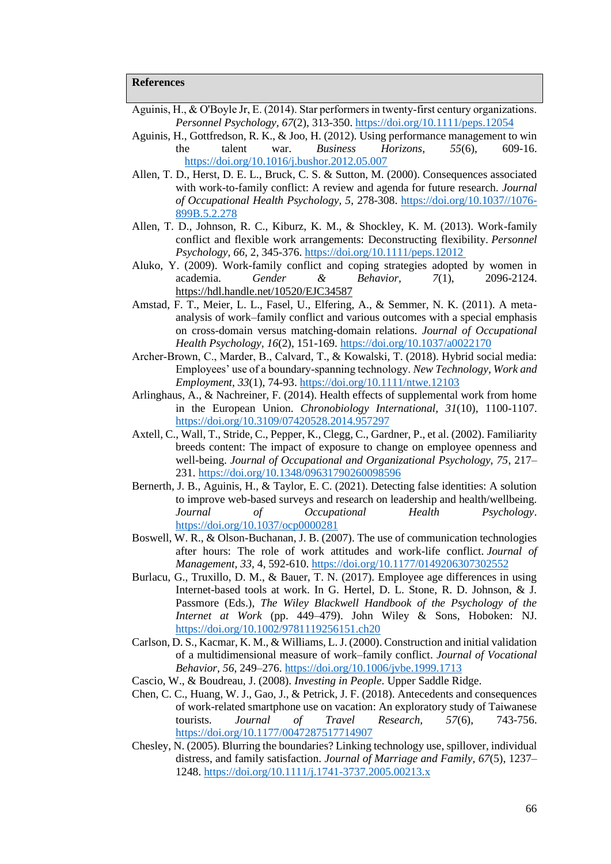- Aguinis, H., & O'Boyle Jr, E. (2014). Star performers in twenty‐first century organizations. *Personnel Psychology, 67*(2), 313-350.<https://doi.org/10.1111/peps.12054>
- Aguinis, H., Gottfredson, R. K., & Joo, H. (2012). Using performance management to win the talent war. *Business Horizons, 55*(6), 609-16. <https://doi.org/10.1016/j.bushor.2012.05.007>
- Allen, T. D., Herst, D. E. L., Bruck, C. S. & Sutton, M. (2000). Consequences associated with work-to-family conflict: A review and agenda for future research. *Journal of Occupational Health Psychology, 5*, 278-308. [https://doi.org/10.1037//1076-](https://doi.org/10.1037/1076-899B.5.2.278) [899B.5.2.278](https://doi.org/10.1037/1076-899B.5.2.278)
- Allen, T. D., Johnson, R. C., Kiburz, K. M., & Shockley, K. M. (2013). Work-family conflict and flexible work arrangements: Deconstructing flexibility. *Personnel Psychology, 66,* 2, 345-376.<https://doi.org/10.1111/peps.12012>
- Aluko, Y. (2009). Work-family conflict and coping strategies adopted by women in academia. *Gender & Behavior, 7*(1), 2096-2124. <https://hdl.handle.net/10520/EJC34587>
- Amstad, F. T., Meier, L. L., Fasel, U., Elfering, A., & Semmer, N. K. (2011). A metaanalysis of work–family conflict and various outcomes with a special emphasis on cross-domain versus matching-domain relations. *Journal of Occupational Health Psychology, 16*(2), 151-169.<https://doi.org/10.1037/a0022170>
- Archer‐Brown, C., Marder, B., Calvard, T., & Kowalski, T. (2018). Hybrid social media: Employees' use of a boundary‐spanning technology. *New Technology, Work and Employment, 33*(1), 74-93.<https://doi.org/10.1111/ntwe.12103>
- Arlinghaus, A., & Nachreiner, F. (2014). Health effects of supplemental work from home in the European Union. *Chronobiology International, 31*(10), 1100-1107. <https://doi.org/10.3109/07420528.2014.957297>
- Axtell, C., Wall, T., Stride, C., Pepper, K., Clegg, C., Gardner, P., et al. (2002). Familiarity breeds content: The impact of exposure to change on employee openness and well-being. *Journal of Occupational and Organizational Psychology, 75*, 217– 231.<https://doi.org/10.1348/09631790260098596>
- Bernerth, J. B., Aguinis, H., & Taylor, E. C. (2021). Detecting false identities: A solution to improve web-based surveys and research on leadership and health/wellbeing. *Journal of Occupational Health Psychology*. <https://doi.org/10.1037/ocp0000281>
- Boswell, W. R., & Olson-Buchanan, J. B. (2007). The use of communication technologies after hours: The role of work attitudes and work-life conflict. *Journal of Management, 33,* 4, 592-610.<https://doi.org/10.1177/0149206307302552>
- Burlacu, G., Truxillo, D. M., & Bauer, T. N. (2017). Employee age differences in using Internet-based tools at work. In G. Hertel, D. L. Stone, R. D. Johnson, & J. Passmore (Eds.), *The Wiley Blackwell Handbook of the Psychology of the Internet at Work* (pp. 449–479). John Wiley & Sons, Hoboken: NJ. <https://doi.org/10.1002/9781119256151.ch20>
- Carlson, D. S., Kacmar, K. M., & Williams, L. J. (2000). Construction and initial validation of a multidimensional measure of work–family conflict. *Journal of Vocational Behavior, 56*, 249–276.<https://doi.org/10.1006/jvbe.1999.1713>
- Cascio, W., & Boudreau, J. (2008). *Investing in People*. Upper Saddle Ridge.
- Chen, C. C., Huang, W. J., Gao, J., & Petrick, J. F. (2018). Antecedents and consequences of work-related smartphone use on vacation: An exploratory study of Taiwanese tourists. *Journal of Travel Research, 57*(6), 743-756. <https://doi.org/10.1177/0047287517714907>
- Chesley, N. (2005). Blurring the boundaries? Linking technology use, spillover, individual distress, and family satisfaction. *Journal of Marriage and Family, 67*(5), 1237– 1248[. https://doi.org/10.1111/j.1741-3737.2005.00213.x](https://doi.org/10.1111/j.1741-3737.2005.00213.x)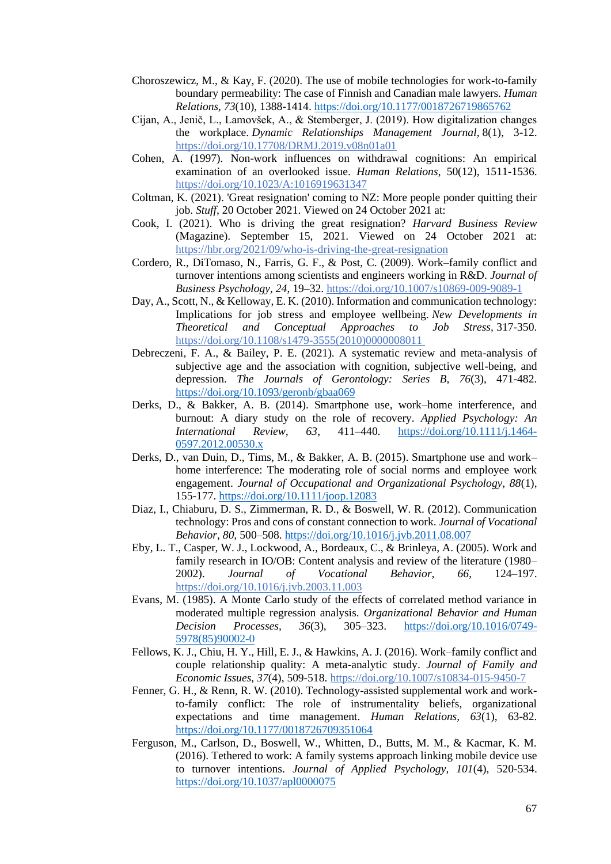- Choroszewicz, M., & Kay, F. (2020). The use of mobile technologies for work-to-family boundary permeability: The case of Finnish and Canadian male lawyers. *Human Relations, 73*(10), 1388-1414.<https://doi.org/10.1177/0018726719865762>
- Cijan, A., Jenič, L., Lamovšek, A., & Stemberger, J. (2019). How digitalization changes the workplace. *Dynamic Relationships Management Journal,* 8(1), 3-12. <https://doi.org/10.17708/DRMJ.2019.v08n01a01>
- Cohen, A. (1997). Non-work influences on withdrawal cognitions: An empirical examination of an overlooked issue. *Human Relations*, 50(12), 1511-1536. <https://doi.org/10.1023/A:1016919631347>
- Coltman, K. (2021). 'Great resignation' coming to NZ: More people ponder quitting their job. *Stuff*, 20 October 2021. Viewed on 24 October 2021 at:
- Cook, I. (2021). Who is driving the great resignation? *Harvard Business Review* (Magazine). September 15, 2021. Viewed on 24 October 2021 at: <https://hbr.org/2021/09/who-is-driving-the-great-resignation>
- Cordero, R., DiTomaso, N., Farris, G. F., & Post, C. (2009). Work–family conflict and turnover intentions among scientists and engineers working in R&D. *Journal of Business Psychology, 24*, 19–32.<https://doi.org/10.1007/s10869-009-9089-1>
- Day, A., Scott, N., & Kelloway, E. K. (2010). Information and communication technology: Implications for job stress and employee wellbeing. *New Developments in Theoretical and Conceptual Approaches to Job Stress,* 317-350. [https://doi.org/10.1108/s1479-3555\(2010\)0000008011](https://doi.org/10.1108/s1479-3555(2010)0000008011)
- Debreczeni, F. A., & Bailey, P. E. (2021). A systematic review and meta-analysis of subjective age and the association with cognition, subjective well-being, and depression. *The Journals of Gerontology: Series B, 76*(3), 471-482. <https://doi.org/10.1093/geronb/gbaa069>
- Derks, D., & Bakker, A. B. (2014). Smartphone use, work–home interference, and burnout: A diary study on the role of recovery. *Applied Psychology: An International Review, 63*, 411–440. [https://doi.org/10.1111/j.1464-](https://doi.org/10.1111/j.1464-0597.2012.00530.x) [0597.2012.00530.x](https://doi.org/10.1111/j.1464-0597.2012.00530.x)
- Derks, D., van Duin, D., Tims, M., & Bakker, A. B. (2015). Smartphone use and work– home interference: The moderating role of social norms and employee work engagement. *Journal of Occupational and Organizational Psychology, 88*(1), 155-177.<https://doi.org/10.1111/joop.12083>
- Diaz, I., Chiaburu, D. S., Zimmerman, R. D., & Boswell, W. R. (2012). Communication technology: Pros and cons of constant connection to work. *Journal of Vocational Behavior, 80,* 500–508.<https://doi.org/10.1016/j.jvb.2011.08.007>
- Eby, L. T., Casper, W. J., Lockwood, A., Bordeaux, C., & Brinleya, A. (2005). Work and family research in IO/OB: Content analysis and review of the literature (1980– 2002). *Journal of Vocational Behavior, 66*, 124–197. <https://doi.org/10.1016/j.jvb.2003.11.003>
- Evans, M. (1985). A Monte Carlo study of the effects of correlated method variance in moderated multiple regression analysis. *Organizational Behavior and Human Decision Processes, 36*(3), 305–323. [https://doi.org/10.1016/0749-](https://doi.org/10.1016/0749-5978(85)90002-0) [5978\(85\)90002-0](https://doi.org/10.1016/0749-5978(85)90002-0)
- Fellows, K. J., Chiu, H. Y., Hill, E. J., & Hawkins, A. J. (2016). Work–family conflict and couple relationship quality: A meta-analytic study. *Journal of Family and Economic Issues, 37*(4), 509-518. <https://doi.org/10.1007/s10834-015-9450-7>
- Fenner, G. H., & Renn, R. W. (2010). Technology-assisted supplemental work and workto-family conflict: The role of instrumentality beliefs, organizational expectations and time management. *Human Relations, 63*(1), 63-82. <https://doi.org/10.1177/0018726709351064>
- Ferguson, M., Carlson, D., Boswell, W., Whitten, D., Butts, M. M., & Kacmar, K. M. (2016). Tethered to work: A family systems approach linking mobile device use to turnover intentions. *Journal of Applied Psychology, 101*(4), 520-534. <https://doi.org/10.1037/apl0000075>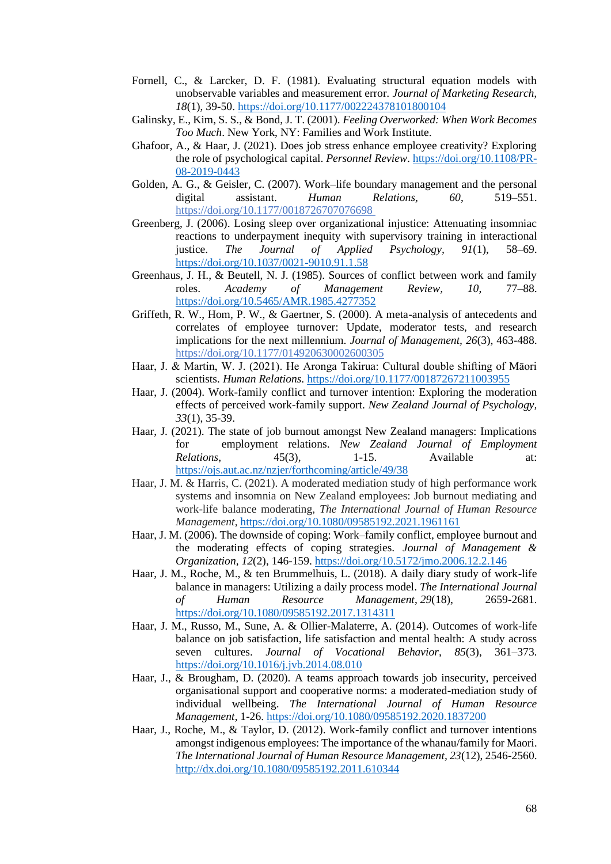- Fornell, C., & Larcker, D. F. (1981). Evaluating structural equation models with unobservable variables and measurement error. *Journal of Marketing Research, 18*(1), 39-50[. https://doi.org/10.1177/002224378101800104](https://doi.org/10.1177/002224378101800104)
- Galinsky, E., Kim, S. S., & Bond, J. T. (2001). *Feeling Overworked: When Work Becomes Too Much*. New York, NY: Families and Work Institute.
- Ghafoor, A., & Haar, J. (2021). Does job stress enhance employee creativity? Exploring the role of psychological capital. *Personnel Review*. [https://doi.org/10.1108/PR-](https://doi.org/10.1108/PR-08-2019-0443)[08-2019-0443](https://doi.org/10.1108/PR-08-2019-0443)
- Golden, A. G., & Geisler, C. (2007). Work–life boundary management and the personal digital assistant. *Human Relations, 60*, 519–551. <https://doi.org/10.1177/0018726707076698>
- Greenberg, J. (2006). Losing sleep over organizational injustice: Attenuating insomniac reactions to underpayment inequity with supervisory training in interactional justice. *The Journal of Applied Psychology, 91*(1), 58–69. <https://doi.org/10.1037/0021-9010.91.1.58>
- Greenhaus, J. H., & Beutell, N. J. (1985). Sources of conflict between work and family roles. *Academy of Management Review, 10*, 77–88. <https://doi.org/10.5465/AMR.1985.4277352>
- Griffeth, R. W., Hom, P. W., & Gaertner, S. (2000). A meta-analysis of antecedents and correlates of employee turnover: Update, moderator tests, and research implications for the next millennium. *Journal of Management, 26*(3), 463-488. <https://doi.org/10.1177/014920630002600305>
- Haar, J. & Martin, W. J. (2021). He Aronga Takirua: Cultural double shifting of Māori scientists. *Human Relations*.<https://doi.org/10.1177/00187267211003955>
- Haar, J. (2004). Work-family conflict and turnover intention: Exploring the moderation effects of perceived work-family support. *New Zealand Journal of Psychology, 33*(1), 35-39.
- Haar, J. (2021). The state of job burnout amongst New Zealand managers: Implications for employment relations. *New Zealand Journal of Employment Relations*, 45(3), 1-15. Available at: <https://ojs.aut.ac.nz/nzjer/forthcoming/article/49/38>
- Haar, J. M. & Harris, C. (2021). A moderated mediation study of high performance work systems and insomnia on New Zealand employees: Job burnout mediating and work-life balance moderating, *The International Journal of Human Resource Management*, [https://doi.org/10.1080/09585192.2021.1961161](about:blank)
- Haar, J. M. (2006). The downside of coping: Work–family conflict, employee burnout and the moderating effects of coping strategies. *Journal of Management & Organization, 12*(2), 146-159.<https://doi.org/10.5172/jmo.2006.12.2.146>
- Haar, J. M., Roche, M., & ten Brummelhuis, L. (2018). A daily diary study of work-life balance in managers: Utilizing a daily process model. *The International Journal of Human Resource Management*, *29*(18), 2659-2681. <https://doi.org/10.1080/09585192.2017.1314311>
- Haar, J. M., Russo, M., Sune, A. & Ollier-Malaterre, A. (2014). Outcomes of work-life balance on job satisfaction, life satisfaction and mental health: A study across seven cultures. *Journal of Vocational Behavior, 85*(3), 361–373. <https://doi.org/10.1016/j.jvb.2014.08.010>
- Haar, J., & Brougham, D. (2020). A teams approach towards job insecurity, perceived organisational support and cooperative norms: a moderated-mediation study of individual wellbeing. *The International Journal of Human Resource Management*, 1-26.<https://doi.org/10.1080/09585192.2020.1837200>
- Haar, J., Roche, M., & Taylor, D. (2012). Work-family conflict and turnover intentions amongst indigenous employees: The importance of the whanau/family for Maori. *The International Journal of Human Resource Management, 23*(12), 2546-2560. <http://dx.doi.org/10.1080/09585192.2011.610344>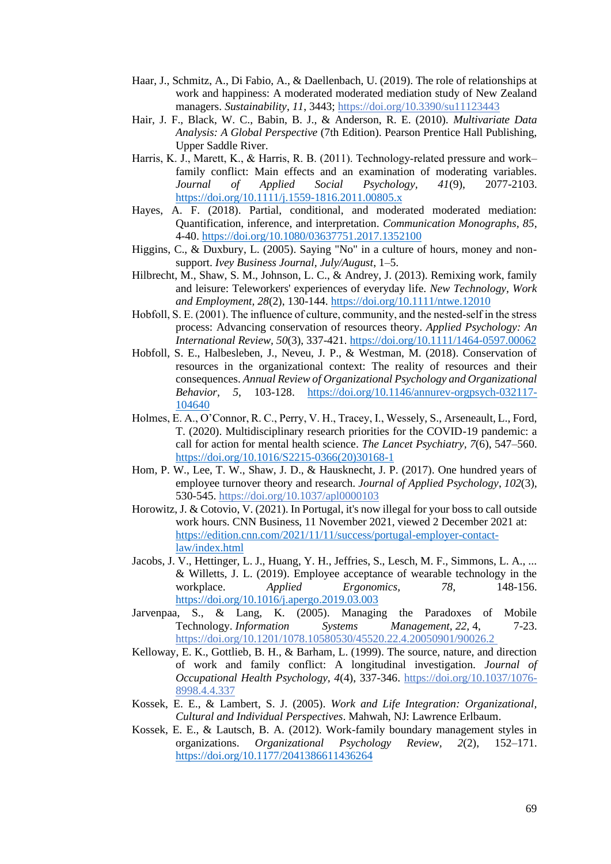- Haar, J., Schmitz, A., Di Fabio, A., & Daellenbach, U. (2019). The role of relationships at work and happiness: A moderated moderated mediation study of New Zealand managers. *Sustainability*, *11*, 3443;<https://doi.org/10.3390/su11123443>
- Hair, J. F., Black, W. C., Babin, B. J., & Anderson, R. E. (2010). *Multivariate Data Analysis: A Global Perspective* (7th Edition). Pearson Prentice Hall Publishing, Upper Saddle River.
- Harris, K. J., Marett, K., & Harris, R. B. (2011). Technology-related pressure and work– family conflict: Main effects and an examination of moderating variables. *Journal of Applied Social Psychology, 41*(9), 2077-2103. <https://doi.org/10.1111/j.1559-1816.2011.00805.x>
- Hayes, A. F. (2018). Partial, conditional, and moderated moderated mediation: Quantification, inference, and interpretation. *Communication Monographs, 85*, 4-40.<https://doi.org/10.1080/03637751.2017.1352100>
- Higgins, C., & Duxbury, L. (2005). Saying "No" in a culture of hours, money and nonsupport. *Ivey Business Journal, July/August*, 1–5.
- Hilbrecht, M., Shaw, S. M., Johnson, L. C., & Andrey, J. (2013). Remixing work, family and leisure: Teleworkers' experiences of everyday life. *New Technology, Work and Employment, 28*(2), 130-144.<https://doi.org/10.1111/ntwe.12010>
- Hobfoll, S. E. (2001). The influence of culture, community, and the nested-self in the stress process: Advancing conservation of resources theory. *Applied Psychology: An International Review, 50*(3), 337-421.<https://doi.org/10.1111/1464-0597.00062>
- Hobfoll, S. E., Halbesleben, J., Neveu, J. P., & Westman, M. (2018). Conservation of resources in the organizational context: The reality of resources and their consequences. *Annual Review of Organizational Psychology and Organizational Behavior, 5*, 103-128. [https://doi.org/10.1146/annurev-orgpsych-032117-](https://doi.org/10.1146/annurev-orgpsych-032117-104640) [104640](https://doi.org/10.1146/annurev-orgpsych-032117-104640)
- Holmes, E. A., O'Connor, R. C., Perry, V. H., Tracey, I., Wessely, S., Arseneault, L., Ford, T. (2020). Multidisciplinary research priorities for the COVID-19 pandemic: a call for action for mental health science. *The Lancet Psychiatry, 7*(6), 547–560. [https://doi.org/10.1016/S2215-0366\(20\)30168-1](https://doi.org/10.1016/S2215-0366(20)30168-1)
- Hom, P. W., Lee, T. W., Shaw, J. D., & Hausknecht, J. P. (2017). One hundred years of employee turnover theory and research. *Journal of Applied Psychology*, *102*(3), 530-545.<https://doi.org/10.1037/apl0000103>
- Horowitz, J. & Cotovio, V. (2021). In Portugal, it's now illegal for your boss to call outside work hours. CNN Business, 11 November 2021, viewed 2 December 2021 at: [https://edition.cnn.com/2021/11/11/success/portugal-employer-contact](https://edition.cnn.com/2021/11/11/success/portugal-employer-contact-law/index.html)[law/index.html](https://edition.cnn.com/2021/11/11/success/portugal-employer-contact-law/index.html)
- Jacobs, J. V., Hettinger, L. J., Huang, Y. H., Jeffries, S., Lesch, M. F., Simmons, L. A., ... & Willetts, J. L. (2019). Employee acceptance of wearable technology in the workplace. *Applied Ergonomics, 78*, 148-156. <https://doi.org/10.1016/j.apergo.2019.03.003>
- Jarvenpaa, S., & Lang, K. (2005). Managing the Paradoxes of Mobile Technology. *Information Systems Management, 22,* 4, 7-23. <https://doi.org/10.1201/1078.10580530/45520.22.4.20050901/90026.2>
- Kelloway, E. K., Gottlieb, B. H., & Barham, L. (1999). The source, nature, and direction of work and family conflict: A longitudinal investigation. *Journal of Occupational Health Psychology, 4*(4), 337-346. [https://doi.org/10.1037/1076-](https://doi.org/10.1037/1076-8998.4.4.337) [8998.4.4.337](https://doi.org/10.1037/1076-8998.4.4.337)
- Kossek, E. E., & Lambert, S. J. (2005). *Work and Life Integration: Organizational, Cultural and Individual Perspectives*. Mahwah, NJ: Lawrence Erlbaum.
- Kossek, E. E., & Lautsch, B. A. (2012). Work-family boundary management styles in organizations. *Organizational Psychology Review, 2*(2), 152–171. <https://doi.org/10.1177/2041386611436264>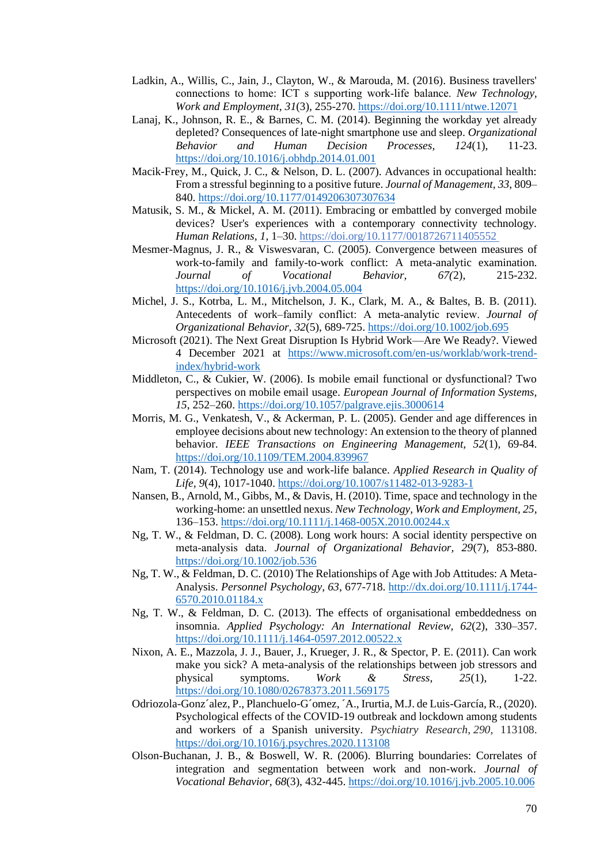- Ladkin, A., Willis, C., Jain, J., Clayton, W., & Marouda, M. (2016). Business travellers' connections to home: ICT s supporting work‐life balance. *New Technology, Work and Employment, 31*(3), 255-270.<https://doi.org/10.1111/ntwe.12071>
- Lanaj, K., Johnson, R. E., & Barnes, C. M. (2014). Beginning the workday yet already depleted? Consequences of late-night smartphone use and sleep. *Organizational Behavior and Human Decision Processes, 124*(1), 11-23. <https://doi.org/10.1016/j.obhdp.2014.01.001>
- Macik-Frey, M., Quick, J. C., & Nelson, D. L. (2007). Advances in occupational health: From a stressful beginning to a positive future. *Journal of Management, 33*, 809– 840.<https://doi.org/10.1177/0149206307307634>
- Matusik, S. M., & Mickel, A. M. (2011). Embracing or embattled by converged mobile devices? User's experiences with a contemporary connectivity technology. *Human Relations, 1*, 1–30.<https://doi.org/10.1177/0018726711405552>
- Mesmer-Magnus, J. R., & Viswesvaran, C. (2005). Convergence between measures of work-to-family and family-to-work conflict: A meta-analytic examination. *Journal of Vocational Behavior, 67(*2), 215-232. <https://doi.org/10.1016/j.jvb.2004.05.004>
- Michel, J. S., Kotrba, L. M., Mitchelson, J. K., Clark, M. A., & Baltes, B. B. (2011). Antecedents of work–family conflict: A meta‐analytic review. *Journal of Organizational Behavior, 32*(5), 689-725.<https://doi.org/10.1002/job.695>
- Microsoft (2021). The Next Great Disruption Is Hybrid Work—Are We Ready?. Viewed 4 December 2021 at [https://www.microsoft.com/en-us/worklab/work-trend](https://www.microsoft.com/en-us/worklab/work-trend-index/hybrid-work)[index/hybrid-work](https://www.microsoft.com/en-us/worklab/work-trend-index/hybrid-work)
- Middleton, C., & Cukier, W. (2006). Is mobile email functional or dysfunctional? Two perspectives on mobile email usage. *European Journal of Information Systems, 15*, 252–260.<https://doi.org/10.1057/palgrave.ejis.3000614>
- Morris, M. G., Venkatesh, V., & Ackerman, P. L. (2005). Gender and age differences in employee decisions about new technology: An extension to the theory of planned behavior. *IEEE Transactions on Engineering Management, 52*(1), 69-84. <https://doi.org/10.1109/TEM.2004.839967>
- Nam, T. (2014). Technology use and work-life balance. *Applied Research in Quality of Life, 9*(4), 1017-1040.<https://doi.org/10.1007/s11482-013-9283-1>
- Nansen, B., Arnold, M., Gibbs, M., & Davis, H. (2010). Time, space and technology in the working-home: an unsettled nexus. *New Technology, Work and Employment, 25*, 136–153.<https://doi.org/10.1111/j.1468-005X.2010.00244.x>
- Ng, T. W., & Feldman, D. C. (2008). Long work hours: A social identity perspective on meta‐analysis data. *Journal of Organizational Behavior, 29*(7), 853-880. <https://doi.org/10.1002/job.536>
- Ng, T. W., & Feldman, D. C. (2010) The Relationships of Age with Job Attitudes: A Meta-Analysis. *Personnel Psychology, 63*, 677-718. [http://dx.doi.org/10.1111/j.1744-](http://dx.doi.org/10.1111/j.1744-6570.2010.01184.x) [6570.2010.01184.x](http://dx.doi.org/10.1111/j.1744-6570.2010.01184.x)
- Ng, T. W., & Feldman, D. C. (2013). The effects of organisational embeddedness on insomnia. *Applied Psychology: An International Review, 62*(2), 330–357. <https://doi.org/10.1111/j.1464-0597.2012.00522.x>
- Nixon, A. E., Mazzola, J. J., Bauer, J., Krueger, J. R., & Spector, P. E. (2011). Can work make you sick? A meta-analysis of the relationships between job stressors and physical symptoms. *Work & Stress, 25*(1), 1-22. <https://doi.org/10.1080/02678373.2011.569175>
- Odriozola-Gonz´alez, P., Planchuelo-G´omez, ´A., Irurtia, M.J. de Luis-García, R., (2020). Psychological effects of the COVID-19 outbreak and lockdown among students and workers of a Spanish university. *Psychiatry Research*, *290*, 113108. <https://doi.org/10.1016/j.psychres.2020.113108>
- Olson-Buchanan, J. B., & Boswell, W. R. (2006). Blurring boundaries: Correlates of integration and segmentation between work and non-work. *Journal of Vocational Behavior, 68*(3), 432-445[. https://doi.org/10.1016/j.jvb.2005.10.006](https://doi.org/10.1016/j.jvb.2005.10.006)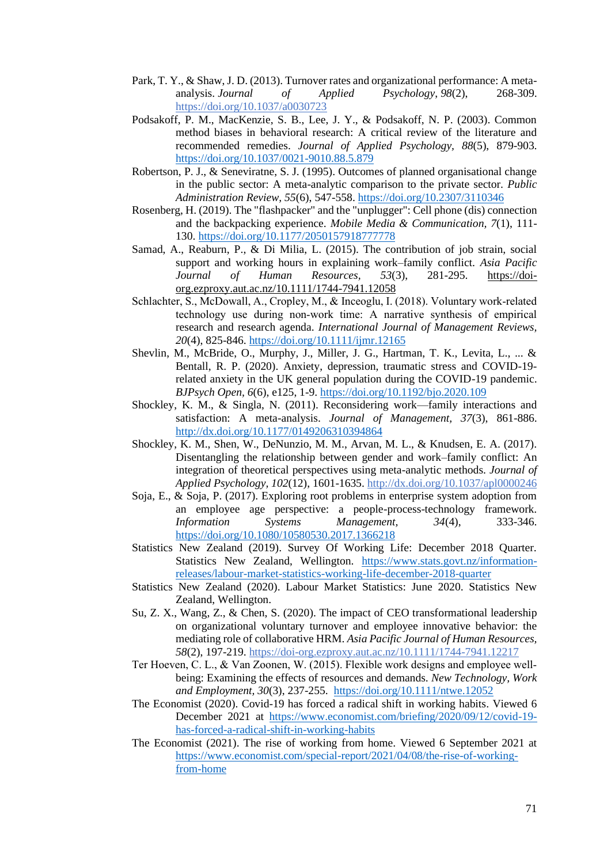- Park, T. Y., & Shaw, J. D. (2013). Turnover rates and organizational performance: A metaanalysis. *Journal of Applied Psychology*, *98*(2), 268-309. <https://doi.org/10.1037/a0030723>
- Podsakoff, P. M., MacKenzie, S. B., Lee, J. Y., & Podsakoff, N. P. (2003). Common method biases in behavioral research: A critical review of the literature and recommended remedies. *Journal of Applied Psychology, 88*(5), 879-903. <https://doi.org/10.1037/0021-9010.88.5.879>
- Robertson, P. J., & Seneviratne, S. J. (1995). Outcomes of planned organisational change in the public sector: A meta-analytic comparison to the private sector. *Public Administration Review, 55*(6), 547-558[. https://doi.org/10.2307/3110346](https://doi.org/10.2307/3110346)
- Rosenberg, H. (2019). The "flashpacker" and the "unplugger": Cell phone (dis) connection and the backpacking experience. *Mobile Media & Communication, 7*(1), 111- 130.<https://doi.org/10.1177/2050157918777778>
- Samad, A., Reaburn, P., & Di Milia, L. (2015). The contribution of job strain, social support and working hours in explaining work–family conflict. *Asia Pacific Journal of Human Resources, 53*(3), 281-295. [https://doi](https://doi-org.ezproxy.aut.ac.nz/10.1111/1744-7941.12058)[org.ezproxy.aut.ac.nz/10.1111/1744-7941.12058](https://doi-org.ezproxy.aut.ac.nz/10.1111/1744-7941.12058)
- Schlachter, S., McDowall, A., Cropley, M., & Inceoglu, I. (2018). Voluntary work‐related technology use during non‐work time: A narrative synthesis of empirical research and research agenda. *International Journal of Management Reviews, 20*(4), 825-846[. https://doi.org/10.1111/ijmr.12165](https://doi.org/10.1111/ijmr.12165)
- Shevlin, M., McBride, O., Murphy, J., Miller, J. G., Hartman, T. K., Levita, L., ... & Bentall, R. P. (2020). Anxiety, depression, traumatic stress and COVID-19 related anxiety in the UK general population during the COVID-19 pandemic. *BJPsych Open, 6*(6), e125, 1-9.<https://doi.org/10.1192/bjo.2020.109>
- Shockley, K. M., & Singla, N. (2011). Reconsidering work—family interactions and satisfaction: A meta-analysis. *Journal of Management, 37*(3), 861-886. <http://dx.doi.org/10.1177/0149206310394864>
- Shockley, K. M., Shen, W., DeNunzio, M. M., Arvan, M. L., & Knudsen, E. A. (2017). Disentangling the relationship between gender and work–family conflict: An integration of theoretical perspectives using meta-analytic methods. *Journal of Applied Psychology, 102*(12), 1601-1635.<http://dx.doi.org/10.1037/apl0000246>
- Soja, E., & Soja, P. (2017). Exploring root problems in enterprise system adoption from an employee age perspective: a people-process-technology framework. *Information Systems Management, 34*(4), 333-346. <https://doi.org/10.1080/10580530.2017.1366218>
- Statistics New Zealand (2019). Survey Of Working Life: December 2018 Quarter. Statistics New Zealand, Wellington. [https://www.stats.govt.nz/information](https://www.stats.govt.nz/information-releases/labour-market-statistics-working-life-december-2018-quarter)[releases/labour-market-statistics-working-life-december-2018-quarter](https://www.stats.govt.nz/information-releases/labour-market-statistics-working-life-december-2018-quarter)
- Statistics New Zealand (2020). Labour Market Statistics: June 2020. Statistics New Zealand, Wellington.
- Su, Z. X., Wang, Z., & Chen, S. (2020). The impact of CEO transformational leadership on organizational voluntary turnover and employee innovative behavior: the mediating role of collaborative HRM. *Asia Pacific Journal of Human Resources, 58*(2), 197-219[. https://doi-org.ezproxy.aut.ac.nz/10.1111/1744-7941.12217](https://doi-org.ezproxy.aut.ac.nz/10.1111/1744-7941.12217)
- Ter Hoeven, C. L., & Van Zoonen, W. (2015). Flexible work designs and employee well‐ being: Examining the effects of resources and demands. *New Technology, Work and Employment, 30*(3), 237-255. [https://doi.org/10.1111/ntwe.12052](https://doi-org.ezproxy.aut.ac.nz/10.1111/ntwe.12052)
- The Economist (2020). Covid-19 has forced a radical shift in working habits. Viewed 6 December 2021 at [https://www.economist.com/briefing/2020/09/12/covid-19](https://www.economist.com/briefing/2020/09/12/covid-19-has-forced-a-radical-shift-in-working-habits) [has-forced-a-radical-shift-in-working-habits](https://www.economist.com/briefing/2020/09/12/covid-19-has-forced-a-radical-shift-in-working-habits)
- The Economist (2021). The rise of working from home. Viewed 6 September 2021 at [https://www.economist.com/special-report/2021/04/08/the-rise-of-working](https://www.economist.com/special-report/2021/04/08/the-rise-of-working-from-home)[from-home](https://www.economist.com/special-report/2021/04/08/the-rise-of-working-from-home)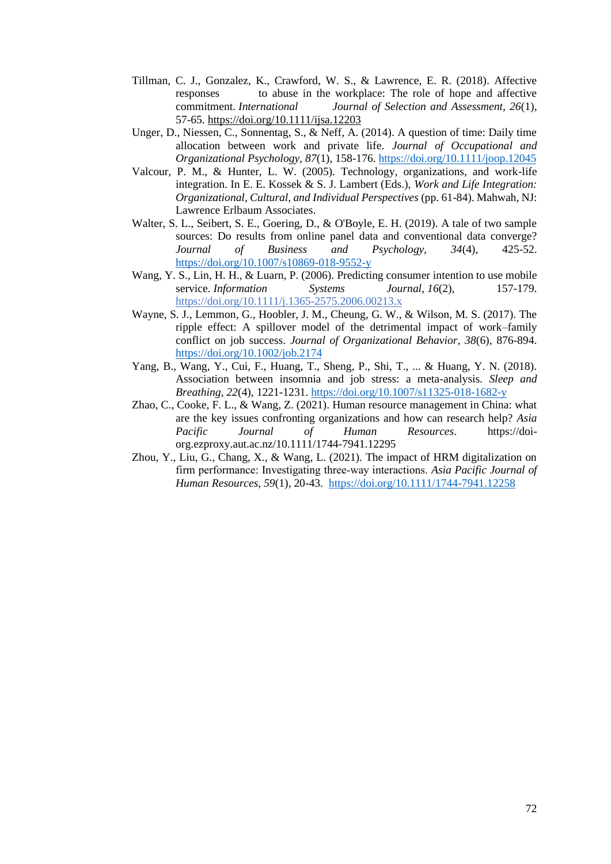- Tillman, C. J., Gonzalez, K., Crawford, W. S., & Lawrence, E. R. (2018). Affective responses to abuse in the workplace: The role of hope and affective commitment. *International Journal of Selection and Assessment, 26*(1), 57-65.<https://doi.org/10.1111/ijsa.12203>
- Unger, D., Niessen, C., Sonnentag, S., & Neff, A. (2014). A question of time: Daily time allocation between work and private life. *Journal of Occupational and Organizational Psychology, 87*(1), 158-176.<https://doi.org/10.1111/joop.12045>
- Valcour, P. M., & Hunter, L. W. (2005). Technology, organizations, and work-life integration. In E. E. Kossek & S. J. Lambert (Eds.), *Work and Life Integration: Organizational, Cultural, and Individual Perspectives* (pp. 61-84). Mahwah, NJ: Lawrence Erlbaum Associates.
- Walter, S. L., Seibert, S. E., Goering, D., & O'Boyle, E. H. (2019). A tale of two sample sources: Do results from online panel data and conventional data converge? *Journal of Business and Psychology, 34*(4), 425-52. <https://doi.org/10.1007/s10869-018-9552-y>
- Wang, Y. S., Lin, H. H., & Luarn, P. (2006). Predicting consumer intention to use mobile service. *Information* Systems *Journal*, *16*(2), 157-179. [https://doi.org/10.1111/j.1365-2575.2006.00213.x](about:blank)
- Wayne, S. J., Lemmon, G., Hoobler, J. M., Cheung, G. W., & Wilson, M. S. (2017). The ripple effect: A spillover model of the detrimental impact of work–family conflict on job success. *Journal of Organizational Behavior, 38*(6), 876-894. <https://doi.org/10.1002/job.2174>
- Yang, B., Wang, Y., Cui, F., Huang, T., Sheng, P., Shi, T., ... & Huang, Y. N. (2018). Association between insomnia and job stress: a meta-analysis. *Sleep and Breathing, 22*(4), 1221-1231.<https://doi.org/10.1007/s11325-018-1682-y>
- Zhao, C., Cooke, F. L., & Wang, Z. (2021). Human resource management in China: what are the key issues confronting organizations and how can research help? *Asia Pacific Journal of Human Resources*. [https://doi](https://doi-org.ezproxy.aut.ac.nz/10.1111/1744-7941.12295)[org.ezproxy.aut.ac.nz/10.1111/1744-7941.12295](https://doi-org.ezproxy.aut.ac.nz/10.1111/1744-7941.12295)
- Zhou, Y., Liu, G., Chang, X., & Wang, L. (2021). The impact of HRM digitalization on firm performance: Investigating three‐way interactions. *Asia Pacific Journal of Human Resources, 59*(1), 20-43. [https://doi.org/10.1111/1744-7941.12258](https://doi-org.ezproxy.aut.ac.nz/10.1111/1744-7941.12258)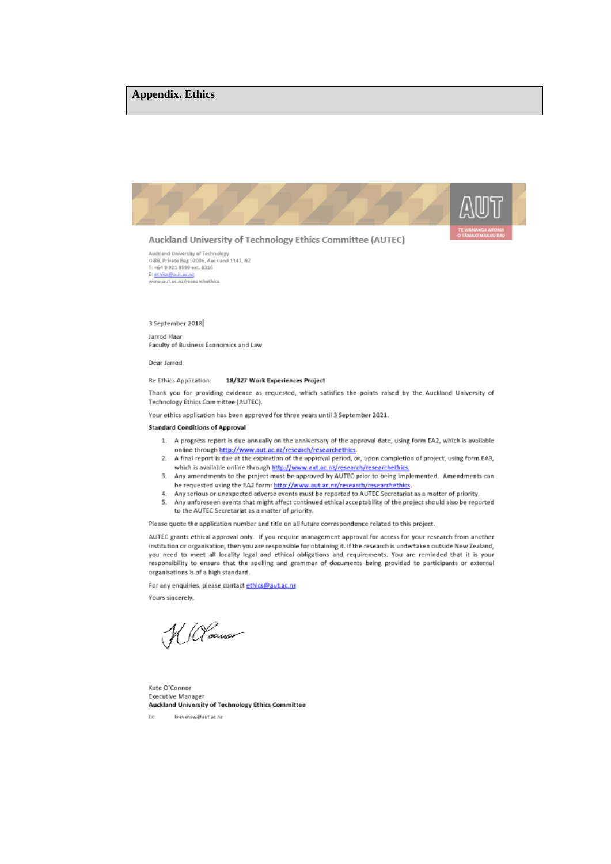### **Appendix. Ethics**



Auckland University of Technology<br>D-88, Private Bag 92006, Auckland 1142, NZ T: +64 9 921 9999 ext. 8316 E: ethics@aut.ac.nz www.aut.ac.nz/researchethics

#### 3 September 2018

Jarrod Haar Faculty of Business Economics and Law

#### Dear Jarrod

#### Re Ethics Application: 18/327 Work Experiences Project

Thank you for providing evidence as requested, which satisfies the points raised by the Auckland University of Technology Ethics Committee (AUTEC).

Your ethics application has been approved for three years until 3 September 2021.

#### **Standard Conditions of Approval**

- 1. A progress report is due annually on the anniversary of the approval date, using form EA2, which is available online through http://www.aut.ac.nz/research/researchethics
- A final report is due at the expiration of the approval period, or, upon completion of project, using form EA3,  $\mathcal{D}$ which is available online through http://www.aut.ac.nz/research/researchethics.
- 3. Any amendments to the project must be approved by AUTEC prior to being implemented. Amendments can be requested using the EA2 form: http://www.aut.ac.nz/research/researchethics
- 4. Any serious or unexpected adverse events must be reported to AUTEC Secretariat as a matter of priority.
- 5. Any unforeseen events that might affect continued ethical acceptability of the project should also be reported to the AUTEC Secretariat as a matter of priority.

Please quote the application number and title on all future correspondence related to this project.

AUTEC grants ethical approval only. If you require management approval for access for your research from another institution or organisation, then you are responsible for obtaining it. If the research is undertaken outside New Zealand, you need to meet all locality legal and ethical obligations and requirements. You are reminded that it is your responsibility to ensure that the spelling and grammar of documents being provided to participants or external organisations is of a high standard.

For any enquiries, please contact ethics@aut.ac.nz

Yours sincerely,

W (House

Kate O'Connor **Executive Manager** Auckland University of Technology Ethics Committee

 $\sigma_{\rm eff}$ kravensw@aut.ac.nz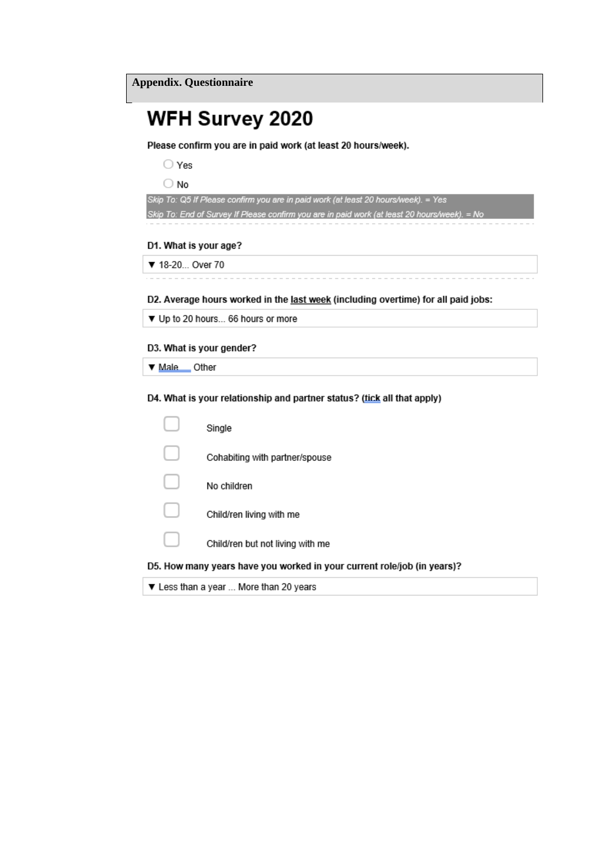### **WFH Survey 2020**

Please confirm you are in paid work (at least 20 hours/week).

 $\bigcirc$  Yes

 $\bigcirc$  No

Skip To: Q5 If Please confirm you are in paid work (at least 20 hours/week). = Yes

Skip To: End of Survey If Please confirm you are in paid work (at least 20 hours/week). = No

#### D1. What is your age?

▼ 18-20... Over 70

D2. Average hours worked in the last week (including overtime) for all paid jobs:

▼ Up to 20 hours... 66 hours or more

#### D3. What is your gender?

▼ Male \_\_ Other

D4. What is your relationship and partner status? (tick all that apply)

| ▼ Less than a year  More than 20 years                                  |
|-------------------------------------------------------------------------|
| D5. How many years have you worked in your current role/job (in years)? |
| Child/ren but not living with me                                        |
| Child/ren living with me                                                |
| No children                                                             |
| Cohabiting with partner/spouse                                          |
| Single                                                                  |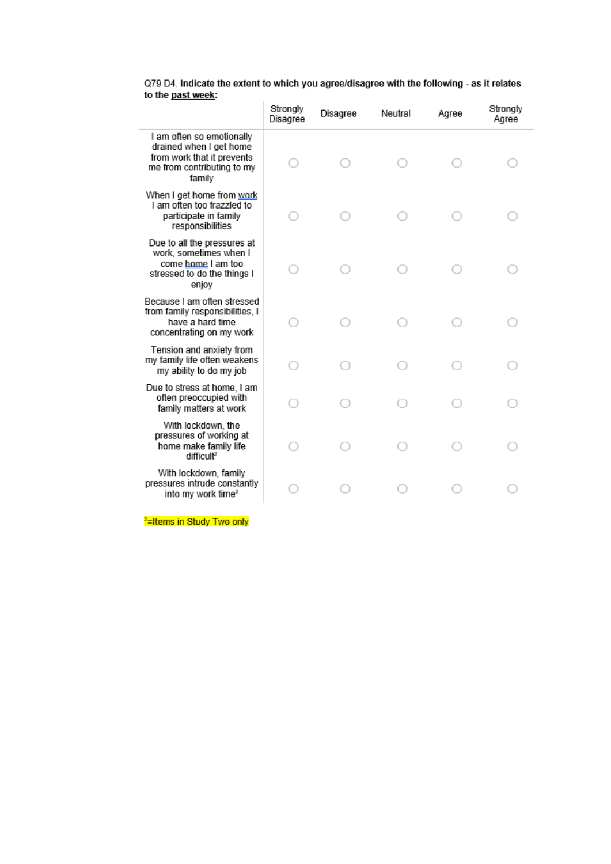|                                                                                                                            | Strongly<br>Disagree | Disagree | Neutral | Agree | Strongly<br>Agree |
|----------------------------------------------------------------------------------------------------------------------------|----------------------|----------|---------|-------|-------------------|
| I am often so emotionally<br>drained when I get home<br>from work that it prevents<br>me from contributing to my<br>family |                      |          |         |       |                   |
| When I get home from work<br>I am often too frazzled to<br>participate in family<br>responsibilities                       |                      |          |         |       |                   |
| Due to all the pressures at<br>work, sometimes when I<br>come home I am too<br>stressed to do the things I<br>enjoy        |                      |          |         |       |                   |
| Because I am often stressed<br>from family responsibilities, I<br>have a hard time<br>concentrating on my work             |                      |          |         |       |                   |
| Tension and anxiety from<br>my family life often weakens<br>my ability to do my job                                        |                      |          |         |       |                   |
| Due to stress at home, I am<br>often preoccupied with<br>family matters at work                                            |                      |          |         |       |                   |
| With lockdown, the<br>pressures of working at<br>home make family life<br>difficult <sup>2</sup>                           |                      |          |         |       |                   |
| With lockdown, family<br>pressures intrude constantly<br>into my work time <sup>2</sup>                                    |                      |          |         |       |                   |

Q79 D4. Indicate the extent to which you agree/disagree with the following - as it relates to the <u>past week</u>:

<sup>2</sup>=Items in Study Two only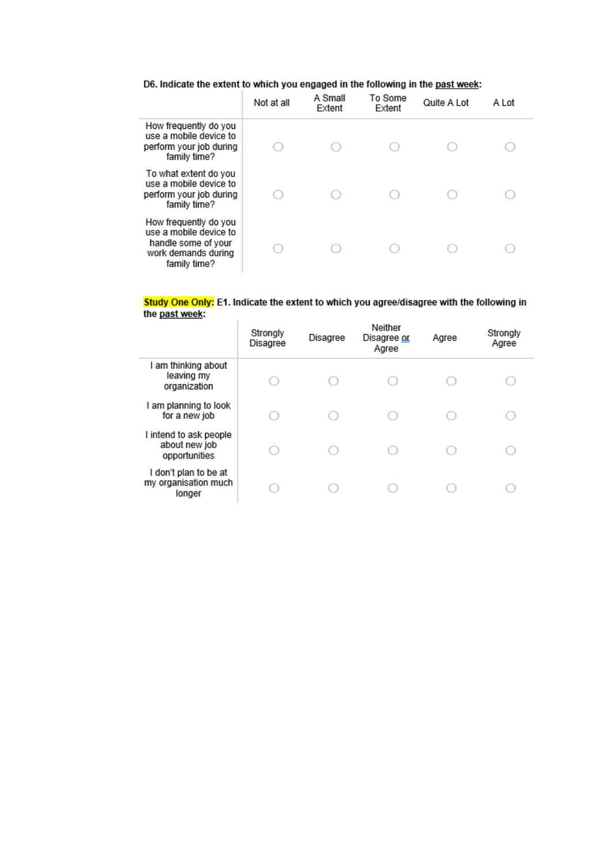#### D6. Indicate the extent to which you engaged in the following in the past week:

|                                                                                                               | Not at all | A Small<br>Extent | To Some<br>Extent | Quite A Lot | A Lot |  |
|---------------------------------------------------------------------------------------------------------------|------------|-------------------|-------------------|-------------|-------|--|
| How frequently do you<br>use a mobile device to<br>perform your job during<br>family time?                    |            |                   |                   |             |       |  |
| To what extent do you<br>use a mobile device to<br>perform your job during<br>family time?                    |            |                   |                   |             |       |  |
| How frequently do you<br>use a mobile device to<br>handle some of your<br>work demands during<br>family time? |            |                   |                   |             |       |  |

#### Study One Only: E1. Indicate the extent to which you agree/disagree with the following in the <u>past week</u>:  $\overline{1}$

|                                                          | Strongly<br>Disagree | Disagree | Neither<br>Disagree or<br>Agree | Agree | Strongly<br>Agree |
|----------------------------------------------------------|----------------------|----------|---------------------------------|-------|-------------------|
| I am thinking about<br>leaving my<br>organization        |                      |          |                                 |       |                   |
| I am planning to look<br>for a new job                   |                      |          |                                 |       |                   |
| I intend to ask people<br>about new job<br>opportunities |                      |          |                                 |       |                   |
| I don't plan to be at<br>my organisation much<br>longer  |                      |          |                                 |       |                   |